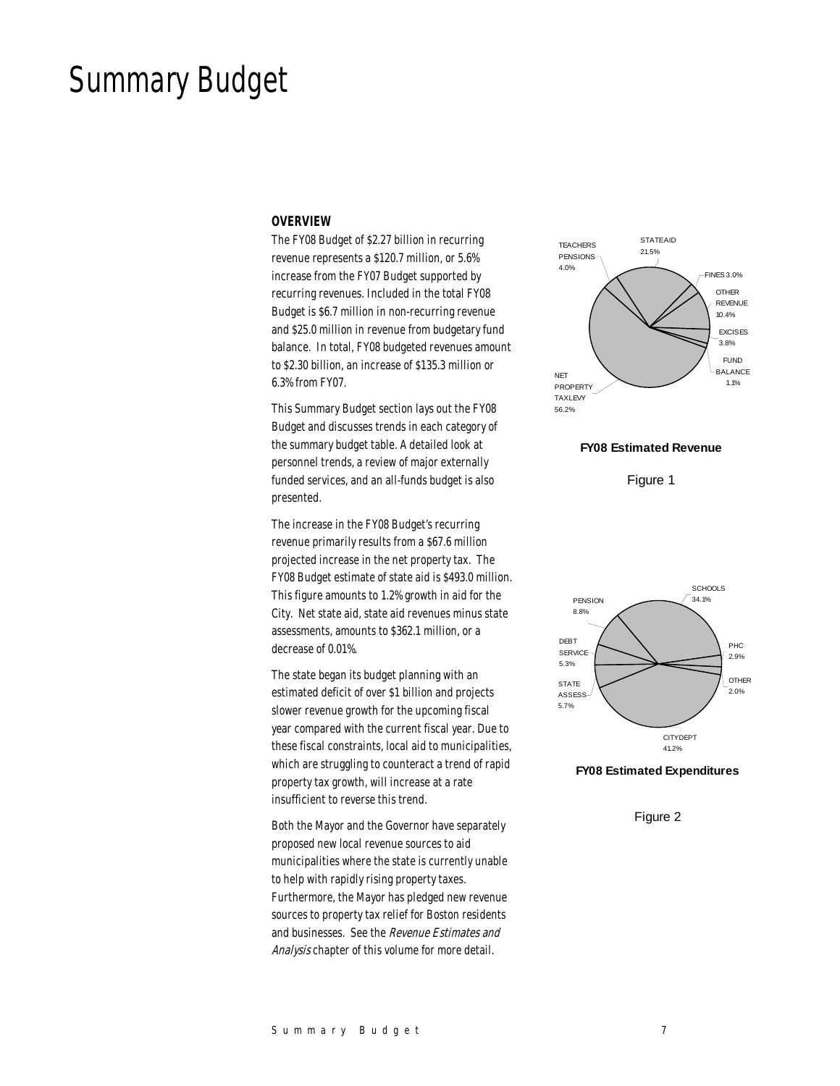# Summary Budget

#### *OVERVIEW*

The FY08 Budget of \$2.27 billion in recurring revenue represents a \$120.7 million, or 5.6% increase from the FY07 Budget supported by recurring revenues. Included in the total FY08 Budget is \$6.7 million in non-recurring revenue and \$25.0 million in revenue from budgetary fund balance. In total, FY08 budgeted revenues amount to \$2.30 billion, an increase of \$135.3 million or 6.3% from FY07.

This Summary Budget section lays out the FY08 Budget and discusses trends in each category of the summary budget table. A detailed look at personnel trends, a review of major externally funded services, and an all-funds budget is also presented.

The increase in the FY08 Budget's recurring revenue primarily results from a \$67.6 million projected increase in the net property tax. The FY08 Budget estimate of state aid is \$493.0 million. This figure amounts to 1.2% growth in aid for the City. Net state aid, state aid revenues minus state assessments, amounts to \$362.1 million, or a decrease of 0.01%.

The state began its budget planning with an estimated deficit of over \$1 billion and projects slower revenue growth for the upcoming fiscal year compared with the current fiscal year. Due to these fiscal constraints, local aid to municipalities, which are struggling to counteract a trend of rapid property tax growth, will increase at a rate insufficient to reverse this trend.

Both the Mayor and the Governor have separately proposed new local revenue sources to aid municipalities where the state is currently unable to help with rapidly rising property taxes. Furthermore, the Mayor has pledged new revenue sources to property tax relief for Boston residents and businesses. See the Revenue Estimates and Analysis chapter of this volume for more detail.



## **FY08 Estimated Revenue**

Figure 1



#### **FY08 Estimated Expenditures**

Figure 2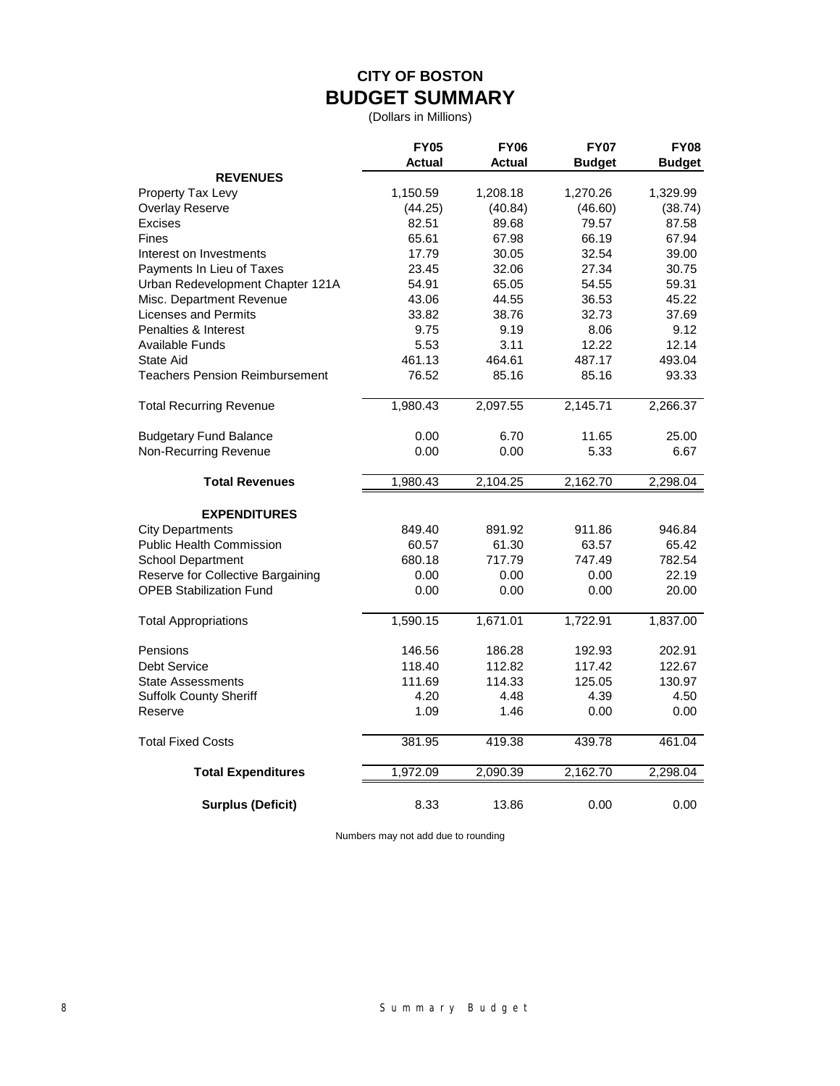# **CITY OF BOSTON BUDGET SUMMARY**

(Dollars in Millions)

|                                   | <b>FY05</b><br>Actual | <b>FY06</b><br>Actual | <b>FY07</b><br><b>Budget</b> | <b>FY08</b><br><b>Budget</b> |
|-----------------------------------|-----------------------|-----------------------|------------------------------|------------------------------|
| <b>REVENUES</b>                   |                       |                       |                              |                              |
| Property Tax Levy                 | 1,150.59              | 1,208.18              | 1,270.26                     | 1,329.99                     |
| Overlay Reserve                   | (44.25)               | (40.84)               | (46.60)                      | (38.74)                      |
| <b>Excises</b>                    | 82.51                 | 89.68                 | 79.57                        | 87.58                        |
| <b>Fines</b>                      | 65.61                 | 67.98                 | 66.19                        | 67.94                        |
| Interest on Investments           | 17.79                 | 30.05                 | 32.54                        | 39.00                        |
| Payments In Lieu of Taxes         | 23.45                 | 32.06                 | 27.34                        | 30.75                        |
| Urban Redevelopment Chapter 121A  | 54.91                 | 65.05                 | 54.55                        | 59.31                        |
| Misc. Department Revenue          | 43.06                 | 44.55                 | 36.53                        | 45.22                        |
| <b>Licenses and Permits</b>       | 33.82                 | 38.76                 | 32.73                        | 37.69                        |
| Penalties & Interest              | 9.75                  | 9.19                  | 8.06                         | 9.12                         |
| <b>Available Funds</b>            | 5.53                  | 3.11                  | 12.22                        | 12.14                        |
| <b>State Aid</b>                  | 461.13                | 464.61                | 487.17                       | 493.04                       |
| Teachers Pension Reimbursement    | 76.52                 | 85.16                 | 85.16                        | 93.33                        |
| <b>Total Recurring Revenue</b>    | 1,980.43              | 2,097.55              | 2,145.71                     | 2,266.37                     |
| <b>Budgetary Fund Balance</b>     | 0.00                  | 6.70                  | 11.65                        | 25.00                        |
| Non-Recurring Revenue             | 0.00                  | 0.00                  | 5.33                         | 6.67                         |
| <b>Total Revenues</b>             | 1,980.43              | 2,104.25              | 2,162.70                     | 2,298.04                     |
| <b>EXPENDITURES</b>               |                       |                       |                              |                              |
| <b>City Departments</b>           | 849.40                | 891.92                | 911.86                       | 946.84                       |
| Public Health Commission          | 60.57                 | 61.30                 | 63.57                        | 65.42                        |
| <b>School Department</b>          | 680.18                | 717.79                | 747.49                       | 782.54                       |
| Reserve for Collective Bargaining | 0.00                  | 0.00                  | 0.00                         | 22.19                        |
| <b>OPEB Stabilization Fund</b>    | 0.00                  | 0.00                  | 0.00                         | 20.00                        |
| <b>Total Appropriations</b>       | 1,590.15              | 1,671.01              | 1,722.91                     | 1,837.00                     |
| Pensions                          | 146.56                | 186.28                | 192.93                       | 202.91                       |
| <b>Debt Service</b>               | 118.40                | 112.82                | 117.42                       | 122.67                       |
| <b>State Assessments</b>          | 111.69                | 114.33                | 125.05                       | 130.97                       |
| <b>Suffolk County Sheriff</b>     | 4.20                  | 4.48                  | 4.39                         | 4.50                         |
| Reserve                           | 1.09                  | 1.46                  | 0.00                         | 0.00                         |
| <b>Total Fixed Costs</b>          | 381.95                | 419.38                | 439.78                       | 461.04                       |
| <b>Total Expenditures</b>         | 1,972.09              | 2,090.39              | 2,162.70                     | 2,298.04                     |
| <b>Surplus (Deficit)</b>          | 8.33                  | 13.86                 | 0.00                         | 0.00                         |

Numbers may not add due to rounding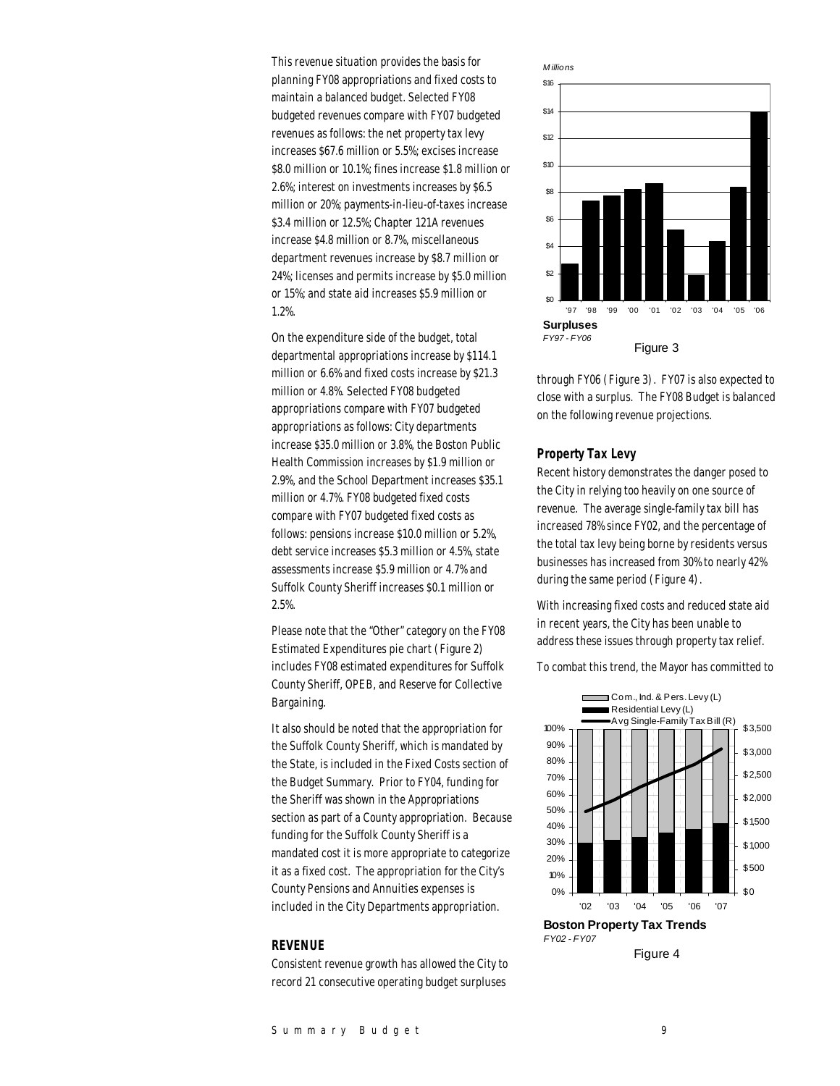This revenue situation provides the basis for planning FY08 appropriations and fixed costs to maintain a balanced budget. Selected FY08 budgeted revenues compare with FY07 budgeted revenues as follows: the net property tax levy increases \$67.6 million or 5.5%; excises increase \$8.0 million or 10.1%; fines increase \$1.8 million or 2.6%; interest on investments increases by \$6.5 million or 20%; payments-in-lieu-of-taxes increase \$3.4 million or 12.5%; Chapter 121A revenues increase \$4.8 million or 8.7%, miscellaneous department revenues increase by \$8.7 million or 24%; licenses and permits increase by \$5.0 million or 15%; and state aid increases \$5.9 million or 1.2%.

On the expenditure side of the budget, total departmental appropriations increase by \$114.1 million or 6.6% and fixed costs increase by \$21.3 million or 4.8%. Selected FY08 budgeted appropriations compare with FY07 budgeted appropriations as follows: City departments increase \$35.0 million or 3.8%, the Boston Public Health Commission increases by \$1.9 million or 2.9%, and the School Department increases \$35.1 million or 4.7%. FY08 budgeted fixed costs compare with FY07 budgeted fixed costs as follows: pensions increase \$10.0 million or 5.2%, debt service increases \$5.3 million or 4.5%, state assessments increase \$5.9 million or 4.7% and Suffolk County Sheriff increases \$0.1 million or 2.5%.

Please note that the "Other" category on the FY08 Estimated Expenditures pie chart (Figure 2) includes FY08 estimated expenditures for Suffolk County Sheriff, OPEB, and Reserve for Collective Bargaining.

It also should be noted that the appropriation for the Suffolk County Sheriff, which is mandated by the State, is included in the Fixed Costs section of the Budget Summary. Prior to FY04, funding for the Sheriff was shown in the Appropriations section as part of a County appropriation. Because funding for the Suffolk County Sheriff is a mandated cost it is more appropriate to categorize it as a fixed cost. The appropriation for the City's County Pensions and Annuities expenses is included in the City Departments appropriation.

## *REVENUE*

Consistent revenue growth has allowed the City to record 21 consecutive operating budget surpluses



through FY06 (Figure 3). FY07 is also expected to close with a surplus. The FY08 Budget is balanced on the following revenue projections.

#### *Property Tax Levy*

Recent history demonstrates the danger posed to the City in relying too heavily on one source of revenue. The average single-family tax bill has increased 78% since FY02, and the percentage of the total tax levy being borne by residents versus businesses has increased from 30% to nearly 42% during the same period (Figure 4).

With increasing fixed costs and reduced state aid in recent years, the City has been unable to address these issues through property tax relief.

To combat this trend, the Mayor has committed to



Figure 4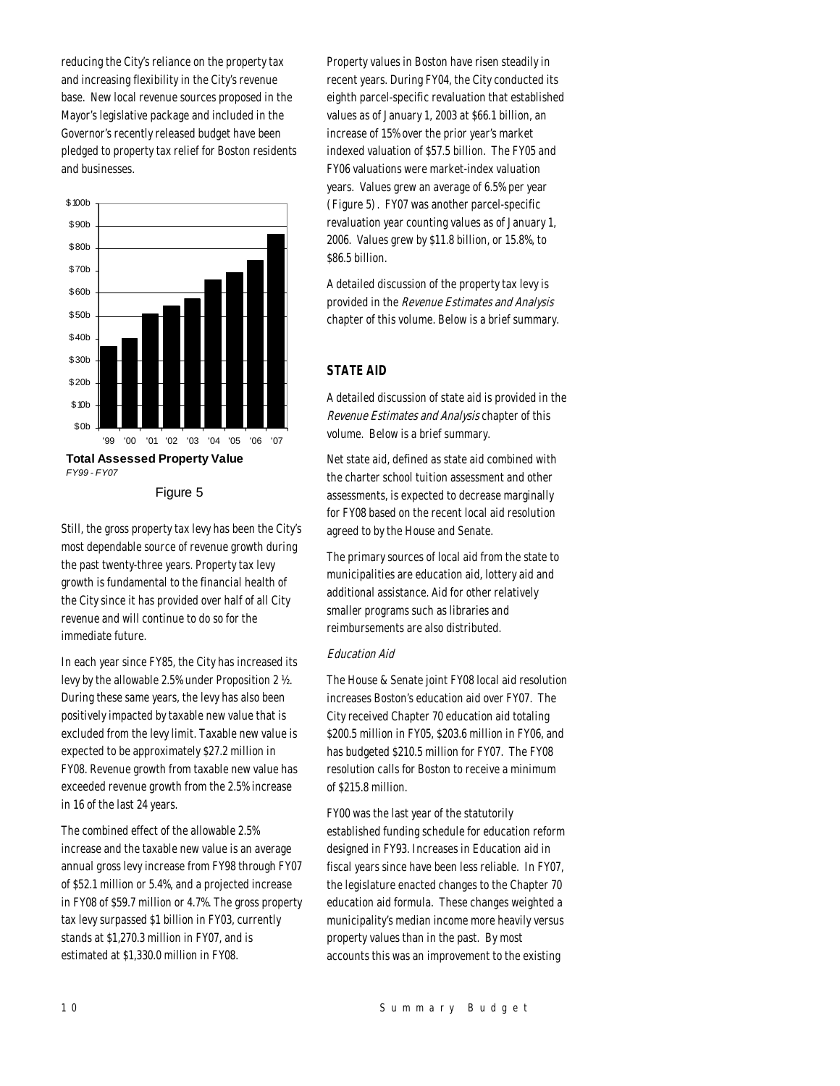reducing the City's reliance on the property tax and increasing flexibility in the City's revenue base. New local revenue sources proposed in the Mayor's legislative package and included in the Governor's recently released budget have been pledged to property tax relief for Boston residents and businesses.



Figure 5

Still, the gross property tax levy has been the City's most dependable source of revenue growth during the past twenty-three years. Property tax levy growth is fundamental to the financial health of the City since it has provided over half of all City revenue and will continue to do so for the immediate future.

In each year since FY85, the City has increased its levy by the allowable 2.5% under Proposition 2 ½. During these same years, the levy has also been positively impacted by taxable new value that is excluded from the levy limit. Taxable new value is expected to be approximately \$27.2 million in FY08. Revenue growth from taxable new value has exceeded revenue growth from the 2.5% increase in 16 of the last 24 years.

The combined effect of the allowable 2.5% increase and the taxable new value is an average annual gross levy increase from FY98 through FY07 of \$52.1 million or 5.4%, and a projected increase in FY08 of \$59.7 million or 4.7%. The gross property tax levy surpassed \$1 billion in FY03, currently stands at \$1,270.3 million in FY07, and is estimated at \$1,330.0 million in FY08.

Property values in Boston have risen steadily in recent years. During FY04, the City conducted its eighth parcel-specific revaluation that established values as of January 1, 2003 at \$66.1 billion, an increase of 15% over the prior year's market indexed valuation of \$57.5 billion. The FY05 and FY06 valuations were market-index valuation years. Values grew an average of 6.5% per year (Figure 5). FY07 was another parcel-specific revaluation year counting values as of January 1, 2006. Values grew by \$11.8 billion, or 15.8%, to \$86.5 billion.

A detailed discussion of the property tax levy is provided in the Revenue Estimates and Analysis chapter of this volume. Below is a brief summary.

## *STATE AID*

A detailed discussion of state aid is provided in the Revenue Estimates and Analysis chapter of this volume. Below is a brief summary.

Net state aid, defined as state aid combined with the charter school tuition assessment and other assessments, is expected to decrease marginally for FY08 based on the recent local aid resolution agreed to by the House and Senate.

The primary sources of local aid from the state to municipalities are education aid, lottery aid and additional assistance. Aid for other relatively smaller programs such as libraries and reimbursements are also distributed.

## Education Aid

The House & Senate joint FY08 local aid resolution increases Boston's education aid over FY07. The City received Chapter 70 education aid totaling \$200.5 million in FY05, \$203.6 million in FY06, and has budgeted \$210.5 million for FY07. The FY08 resolution calls for Boston to receive a minimum of \$215.8 million.

FY00 was the last year of the statutorily established funding schedule for education reform designed in FY93. Increases in Education aid in fiscal years since have been less reliable. In FY07, the legislature enacted changes to the Chapter 70 education aid formula. These changes weighted a municipality's median income more heavily versus property values than in the past. By most accounts this was an improvement to the existing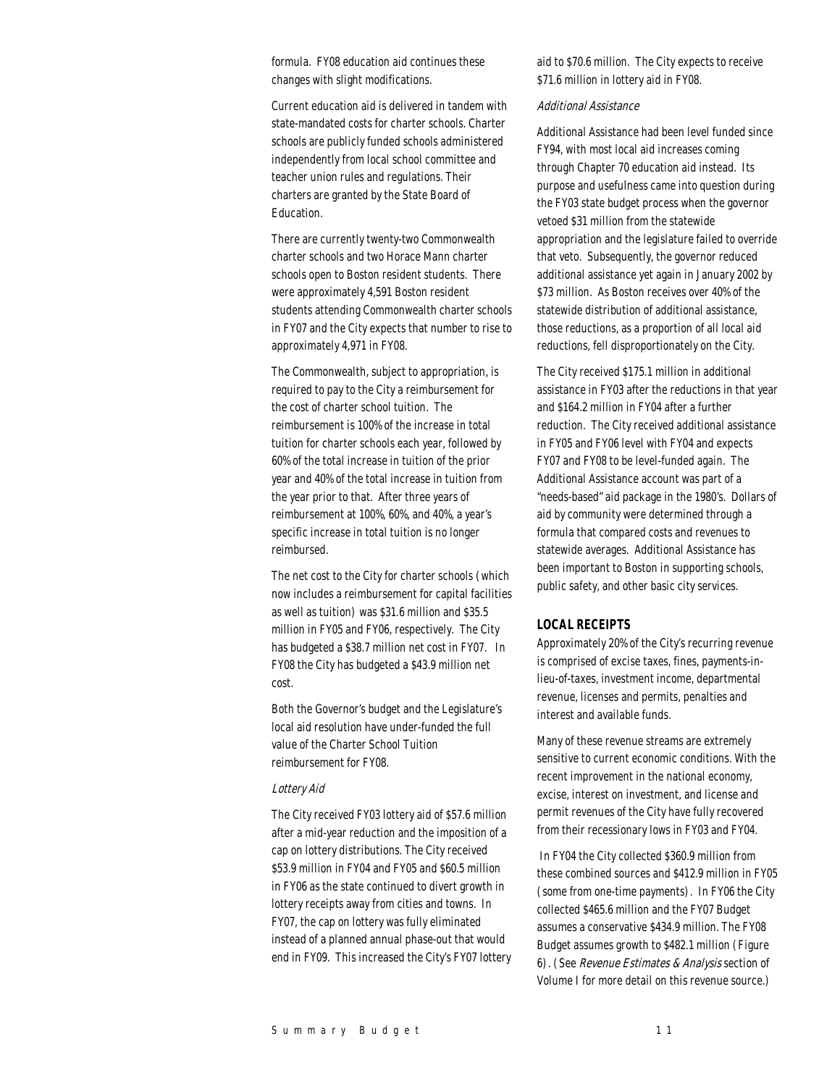formula. FY08 education aid continues these changes with slight modifications.

Current education aid is delivered in tandem with state-mandated costs for charter schools. Charter schools are publicly funded schools administered independently from local school committee and teacher union rules and regulations. Their charters are granted by the State Board of Education.

There are currently twenty-two Commonwealth charter schools and two Horace Mann charter schools open to Boston resident students. There were approximately 4,591 Boston resident students attending Commonwealth charter schools in FY07 and the City expects that number to rise to approximately 4,971 in FY08.

The Commonwealth, subject to appropriation, is required to pay to the City a reimbursement for the cost of charter school tuition. The reimbursement is 100% of the increase in total tuition for charter schools each year, followed by 60% of the total increase in tuition of the prior year and 40% of the total increase in tuition from the year prior to that. After three years of reimbursement at 100%, 60%, and 40%, a year's specific increase in total tuition is no longer reimbursed.

The net cost to the City for charter schools (which now includes a reimbursement for capital facilities as well as tuition) was \$31.6 million and \$35.5 million in FY05 and FY06, respectively. The City has budgeted a \$38.7 million net cost in FY07. In FY08 the City has budgeted a \$43.9 million net cost.

Both the Governor's budget and the Legislature's local aid resolution have under-funded the full value of the Charter School Tuition reimbursement for FY08.

#### Lottery Aid

The City received FY03 lottery aid of \$57.6 million after a mid-year reduction and the imposition of a cap on lottery distributions. The City received \$53.9 million in FY04 and FY05 and \$60.5 million in FY06 as the state continued to divert growth in lottery receipts away from cities and towns. In FY07, the cap on lottery was fully eliminated instead of a planned annual phase-out that would end in FY09. This increased the City's FY07 lottery

aid to \$70.6 million. The City expects to receive \$71.6 million in lottery aid in FY08.

## Additional Assistance

Additional Assistance had been level funded since FY94, with most local aid increases coming through Chapter 70 education aid instead. Its purpose and usefulness came into question during the FY03 state budget process when the governor vetoed \$31 million from the statewide appropriation and the legislature failed to override that veto. Subsequently, the governor reduced additional assistance yet again in January 2002 by \$73 million. As Boston receives over 40% of the statewide distribution of additional assistance, those reductions, as a proportion of all local aid reductions, fell disproportionately on the City.

The City received \$175.1 million in additional assistance in FY03 after the reductions in that year and \$164.2 million in FY04 after a further reduction. The City received additional assistance in FY05 and FY06 level with FY04 and expects FY07 and FY08 to be level-funded again. The Additional Assistance account was part of a "needs-based" aid package in the 1980's. Dollars of aid by community were determined through a formula that compared costs and revenues to statewide averages. Additional Assistance has been important to Boston in supporting schools, public safety, and other basic city services.

## *LOCAL RECEIPTS*

Approximately 20% of the City's recurring revenue is comprised of excise taxes, fines, payments-inlieu-of-taxes, investment income, departmental revenue, licenses and permits, penalties and interest and available funds.

Many of these revenue streams are extremely sensitive to current economic conditions. With the recent improvement in the national economy, excise, interest on investment, and license and permit revenues of the City have fully recovered from their recessionary lows in FY03 and FY04.

 In FY04 the City collected \$360.9 million from these combined sources and \$412.9 million in FY05 (some from one-time payments). In FY06 the City collected \$465.6 million and the FY07 Budget assumes a conservative \$434.9 million. The FY08 Budget assumes growth to \$482.1 million (Figure 6). (See Revenue Estimates & Analysis section of Volume I for more detail on this revenue source.)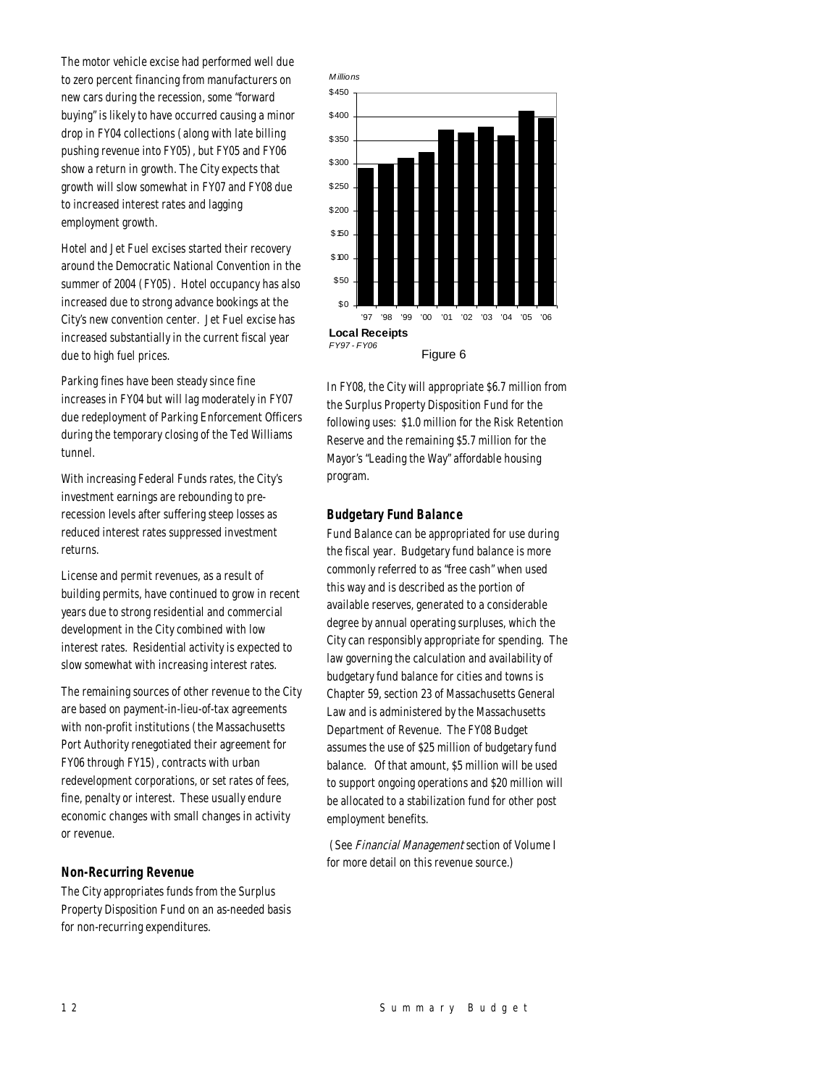The motor vehicle excise had performed well due to zero percent financing from manufacturers on new cars during the recession, some "forward buying" is likely to have occurred causing a minor drop in FY04 collections (along with late billing pushing revenue into FY05), but FY05 and FY06 show a return in growth. The City expects that growth will slow somewhat in FY07 and FY08 due to increased interest rates and lagging employment growth.

Hotel and Jet Fuel excises started their recovery around the Democratic National Convention in the summer of 2004 (FY05). Hotel occupancy has also increased due to strong advance bookings at the City's new convention center. Jet Fuel excise has increased substantially in the current fiscal year due to high fuel prices.

Parking fines have been steady since fine increases in FY04 but will lag moderately in FY07 due redeployment of Parking Enforcement Officers during the temporary closing of the Ted Williams tunnel.

With increasing Federal Funds rates, the City's investment earnings are rebounding to prerecession levels after suffering steep losses as reduced interest rates suppressed investment returns.

License and permit revenues, as a result of building permits, have continued to grow in recent years due to strong residential and commercial development in the City combined with low interest rates. Residential activity is expected to slow somewhat with increasing interest rates.

The remaining sources of other revenue to the City are based on payment-in-lieu-of-tax agreements with non-profit institutions (the Massachusetts Port Authority renegotiated their agreement for FY06 through FY15), contracts with urban redevelopment corporations, or set rates of fees, fine, penalty or interest. These usually endure economic changes with small changes in activity or revenue.

## *Non-Recurring Revenue*

The City appropriates funds from the Surplus Property Disposition Fund on an as-needed basis for non-recurring expenditures.



In FY08, the City will appropriate \$6.7 million from the Surplus Property Disposition Fund for the following uses: \$1.0 million for the Risk Retention Reserve and the remaining \$5.7 million for the Mayor's "Leading the Way" affordable housing program.

## *Budgetary Fund Balance*

Fund Balance can be appropriated for use during the fiscal year. Budgetary fund balance is more commonly referred to as "free cash" when used this way and is described as the portion of available reserves, generated to a considerable degree by annual operating surpluses, which the City can responsibly appropriate for spending. The law governing the calculation and availability of budgetary fund balance for cities and towns is Chapter 59, section 23 of Massachusetts General Law and is administered by the Massachusetts Department of Revenue. The FY08 Budget assumes the use of \$25 million of budgetary fund balance. Of that amount, \$5 million will be used to support ongoing operations and \$20 million will be allocated to a stabilization fund for other post employment benefits.

 (See Financial Management section of Volume I for more detail on this revenue source.)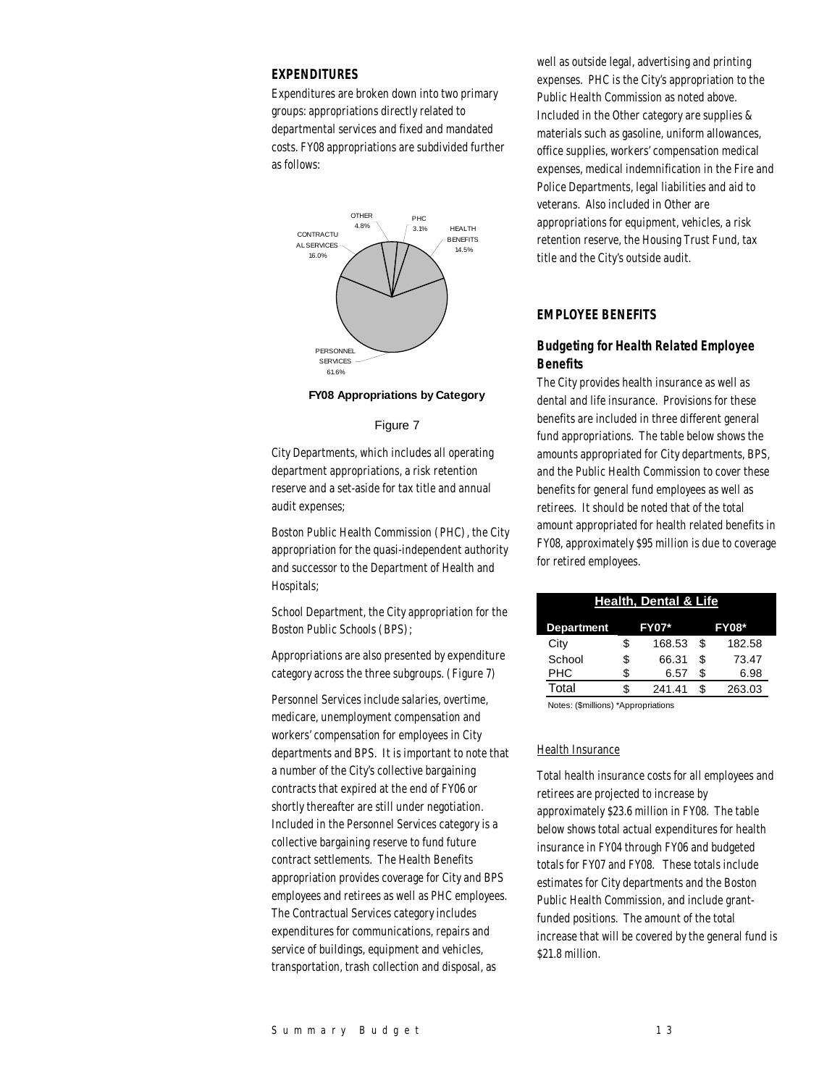## *EXPENDITURES*

Expenditures are broken down into two primary groups: appropriations directly related to departmental services and fixed and mandated costs. FY08 appropriations are subdivided further as follows:



#### **FY08 Appropriations by Category**

## Figure 7

City Departments, which includes all operating department appropriations, a risk retention reserve and a set-aside for tax title and annual audit expenses;

Boston Public Health Commission (PHC), the City appropriation for the quasi-independent authority and successor to the Department of Health and Hospitals;

School Department, the City appropriation for the Boston Public Schools (BPS);

Appropriations are also presented by expenditure category across the three subgroups. (Figure 7)

Personnel Services include salaries, overtime, medicare, unemployment compensation and workers' compensation for employees in City departments and BPS. It is important to note that a number of the City's collective bargaining contracts that expired at the end of FY06 or shortly thereafter are still under negotiation. Included in the Personnel Services category is a collective bargaining reserve to fund future contract settlements. The Health Benefits appropriation provides coverage for City and BPS employees and retirees as well as PHC employees. The Contractual Services category includes expenditures for communications, repairs and service of buildings, equipment and vehicles, transportation, trash collection and disposal, as

well as outside legal, advertising and printing expenses. PHC is the City's appropriation to the Public Health Commission as noted above. Included in the Other category are supplies & materials such as gasoline, uniform allowances, office supplies, workers' compensation medical expenses, medical indemnification in the Fire and Police Departments, legal liabilities and aid to veterans. Also included in Other are appropriations for equipment, vehicles, a risk retention reserve, the Housing Trust Fund, tax title and the City's outside audit.

## *EMPLOYEE BENEFITS*

## *Budgeting for Health Related Employee Benefits*

The City provides health insurance as well as dental and life insurance. Provisions for these benefits are included in three different general fund appropriations. The table below shows the amounts appropriated for City departments, BPS, and the Public Health Commission to cover these benefits for general fund employees as well as retirees. It should be noted that of the total amount appropriated for health related benefits in FY08, approximately \$95 million is due to coverage for retired employees.

| <b>Health, Dental &amp; Life</b> |    |              |    |              |  |  |
|----------------------------------|----|--------------|----|--------------|--|--|
| <b>Department</b>                |    | <b>FY07*</b> |    | <b>FY08*</b> |  |  |
| City                             | S  | 168.53       | S  | 182.58       |  |  |
| School                           | S  | 66.31        | \$ | 73.47        |  |  |
| <b>PHC</b>                       | \$ | 6.57         | S  | 6.98         |  |  |
| Total                            | \$ | 241.41       |    | 263.03       |  |  |

Notes: (\$millions) \*Appropriations

## Health Insurance

Total health insurance costs for all employees and retirees are projected to increase by approximately \$23.6 million in FY08. The table below shows total actual expenditures for health insurance in FY04 through FY06 and budgeted totals for FY07 and FY08. These totals include estimates for City departments and the Boston Public Health Commission, and include grantfunded positions. The amount of the total increase that will be covered by the general fund is \$21.8 million.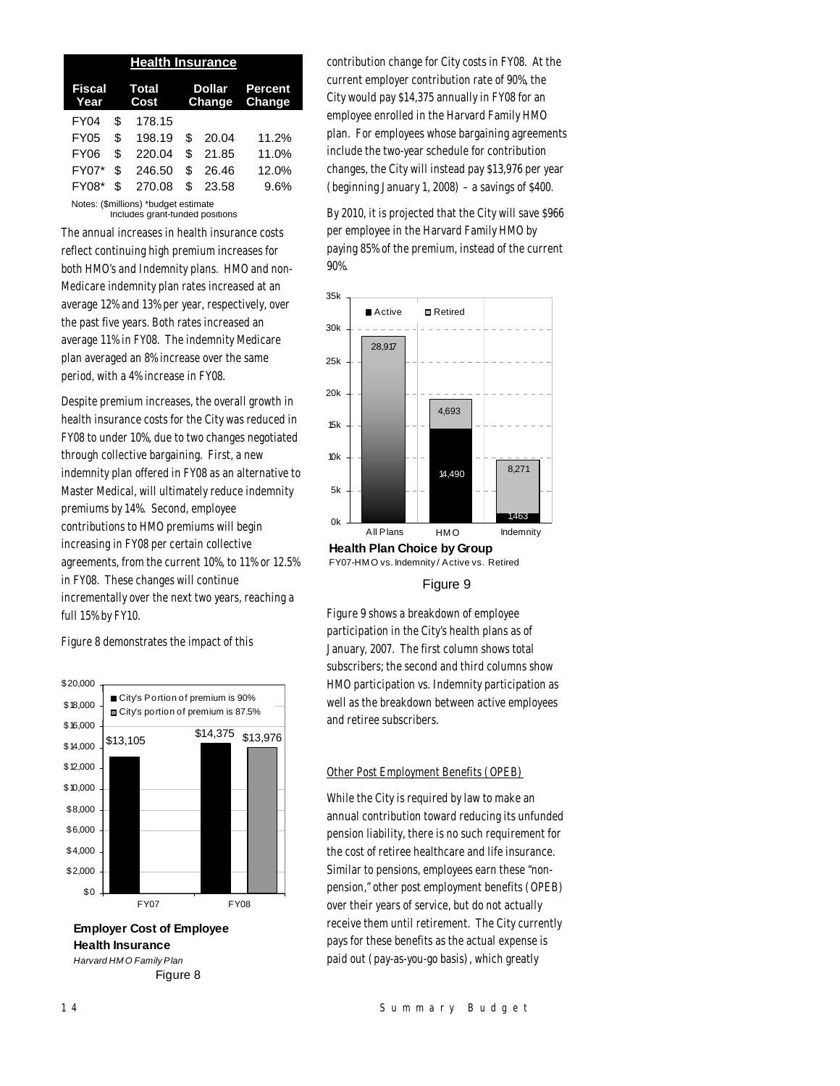| <b>Health Insurance</b>              |     |                      |                                           |       |       |  |  |
|--------------------------------------|-----|----------------------|-------------------------------------------|-------|-------|--|--|
| Fiscal<br>Year                       |     | <b>Total</b><br>Cost | <b>Percent</b><br><b>Change</b><br>Change |       |       |  |  |
| FY04                                 | \$  | 178.15               |                                           |       |       |  |  |
| <b>FY05</b>                          | \$  | 198.19               | \$                                        | 20.04 | 11.2% |  |  |
| <b>FY06</b>                          | \$  | 220.04               | \$                                        | 21.85 | 11.0% |  |  |
| FY07*                                | \$  | 246.50               | \$                                        | 26.46 | 12.0% |  |  |
| <b>FY08*</b>                         | \$. | 270.08               | \$                                        | 23.58 | 9.6%  |  |  |
| Notes: (\$millions) *budget estimate |     |                      |                                           |       |       |  |  |

Includes grant-funded positions

The annual increases in health insurance costs reflect continuing high premium increases for both HMO's and Indemnity plans. HMO and non-Medicare indemnity plan rates increased at an average 12% and 13% per year, respectively, over the past five years. Both rates increased an average 11% in FY08. The indemnity Medicare plan averaged an 8% increase over the same period, with a 4% increase in FY08.

Despite premium increases, the overall growth in health insurance costs for the City was reduced in FY08 to under 10%, due to two changes negotiated through collective bargaining. First, a new indemnity plan offered in FY08 as an alternative to Master Medical, will ultimately reduce indemnity premiums by 14%. Second, employee contributions to HMO premiums will begin increasing in FY08 per certain collective agreements, from the current 10%, to 11% or 12.5% in FY08. These changes will continue incrementally over the next two years, reaching a full 15% by FY10.

Figure 8 demonstrates the impact of this



**Employer Cost of Employee Health Insurance** *Harvard HM O Family Plan* Figure 8

contribution change for City costs in FY08. At the current employer contribution rate of 90%, the City would pay \$14,375 annually in FY08 for an employee enrolled in the Harvard Family HMO plan. For employees whose bargaining agreements include the two-year schedule for contribution changes, the City will instead pay \$13,976 per year (beginning January 1, 2008) – a savings of \$400.

By 2010, it is projected that the City will save \$966 per employee in the Harvard Family HMO by paying 85% of the premium, instead of the current 90%.



FY07-HM O vs. Indemnity / Active vs. Retired

## Figure 9

Figure 9 shows a breakdown of employee participation in the City's health plans as of January, 2007. The first column shows total subscribers; the second and third columns show HMO participation vs. Indemnity participation as well as the breakdown between active employees and retiree subscribers.

## Other Post Employment Benefits (OPEB)

While the City is required by law to make an annual contribution toward reducing its unfunded pension liability, there is no such requirement for the cost of retiree healthcare and life insurance. Similar to pensions, employees earn these "nonpension," other post employment benefits (OPEB) over their years of service, but do not actually receive them until retirement. The City currently pays for these benefits as the actual expense is paid out (pay-as-you-go basis), which greatly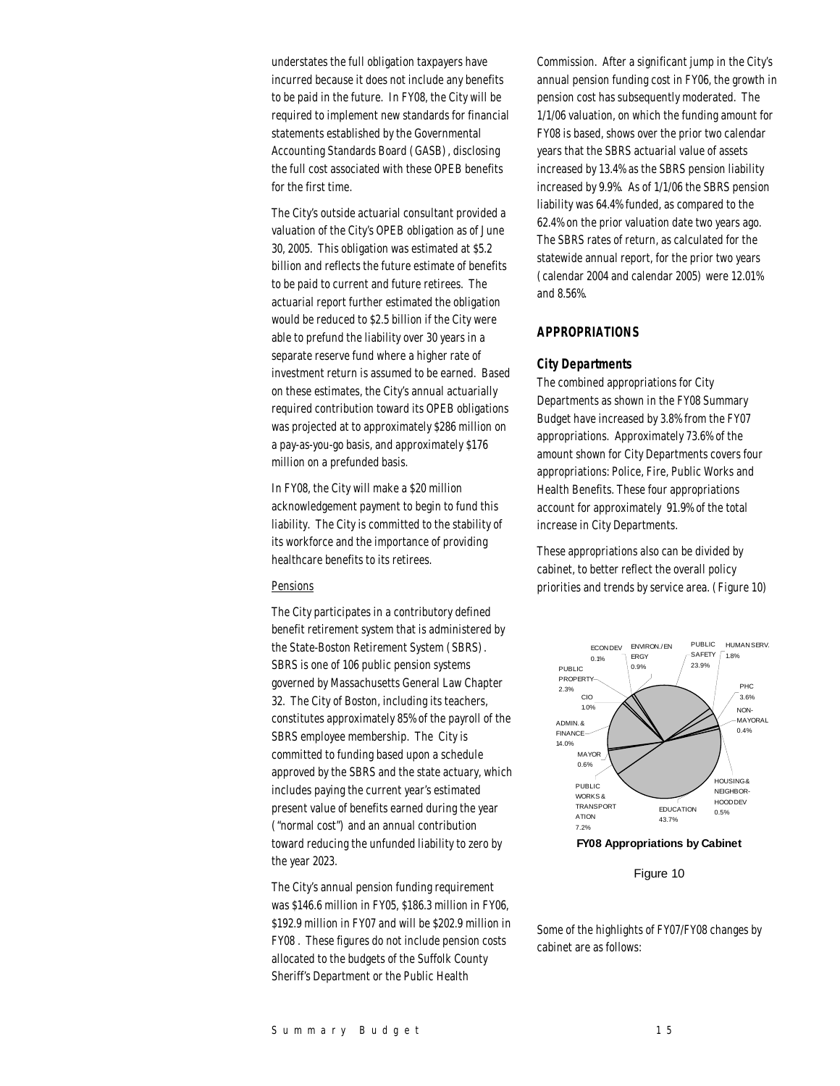understates the full obligation taxpayers have incurred because it does not include any benefits to be paid in the future. In FY08, the City will be required to implement new standards for financial statements established by the Governmental Accounting Standards Board (GASB), disclosing the full cost associated with these OPEB benefits for the first time.

The City's outside actuarial consultant provided a valuation of the City's OPEB obligation as of June 30, 2005. This obligation was estimated at \$5.2 billion and reflects the future estimate of benefits to be paid to current and future retirees. The actuarial report further estimated the obligation would be reduced to \$2.5 billion if the City were able to prefund the liability over 30 years in a separate reserve fund where a higher rate of investment return is assumed to be earned. Based on these estimates, the City's annual actuarially required contribution toward its OPEB obligations was projected at to approximately \$286 million on a pay-as-you-go basis, and approximately \$176 million on a prefunded basis.

In FY08, the City will make a \$20 million acknowledgement payment to begin to fund this liability. The City is committed to the stability of its workforce and the importance of providing healthcare benefits to its retirees.

## Pensions

The City participates in a contributory defined benefit retirement system that is administered by the State-Boston Retirement System (SBRS). SBRS is one of 106 public pension systems governed by Massachusetts General Law Chapter 32. The City of Boston, including its teachers, constitutes approximately 85% of the payroll of the SBRS employee membership. The City is committed to funding based upon a schedule approved by the SBRS and the state actuary, which includes paying the current year's estimated present value of benefits earned during the year ("normal cost") and an annual contribution toward reducing the unfunded liability to zero by the year 2023.

The City's annual pension funding requirement was \$146.6 million in FY05, \$186.3 million in FY06, \$192.9 million in FY07 and will be \$202.9 million in FY08 . These figures do not include pension costs allocated to the budgets of the Suffolk County Sheriff's Department or the Public Health

Commission. After a significant jump in the City's annual pension funding cost in FY06, the growth in pension cost has subsequently moderated. The 1/1/06 valuation, on which the funding amount for FY08 is based, shows over the prior two calendar years that the SBRS actuarial value of assets increased by 13.4% as the SBRS pension liability increased by 9.9%. As of 1/1/06 the SBRS pension liability was 64.4% funded, as compared to the 62.4% on the prior valuation date two years ago. The SBRS rates of return, as calculated for the statewide annual report, for the prior two years (calendar 2004 and calendar 2005) were 12.01% and 8.56%.

## *APPROPRIATIONS*

## *City Departments*

The combined appropriations for City Departments as shown in the FY08 Summary Budget have increased by 3.8% from the FY07 appropriations. Approximately 73.6% of the amount shown for City Departments covers four appropriations: Police, Fire, Public Works and Health Benefits. These four appropriations account for approximately 91.9% of the total increase in City Departments.

These appropriations also can be divided by cabinet, to better reflect the overall policy priorities and trends by service area. (Figure 10)



Figure 10

Some of the highlights of FY07/FY08 changes by cabinet are as follows: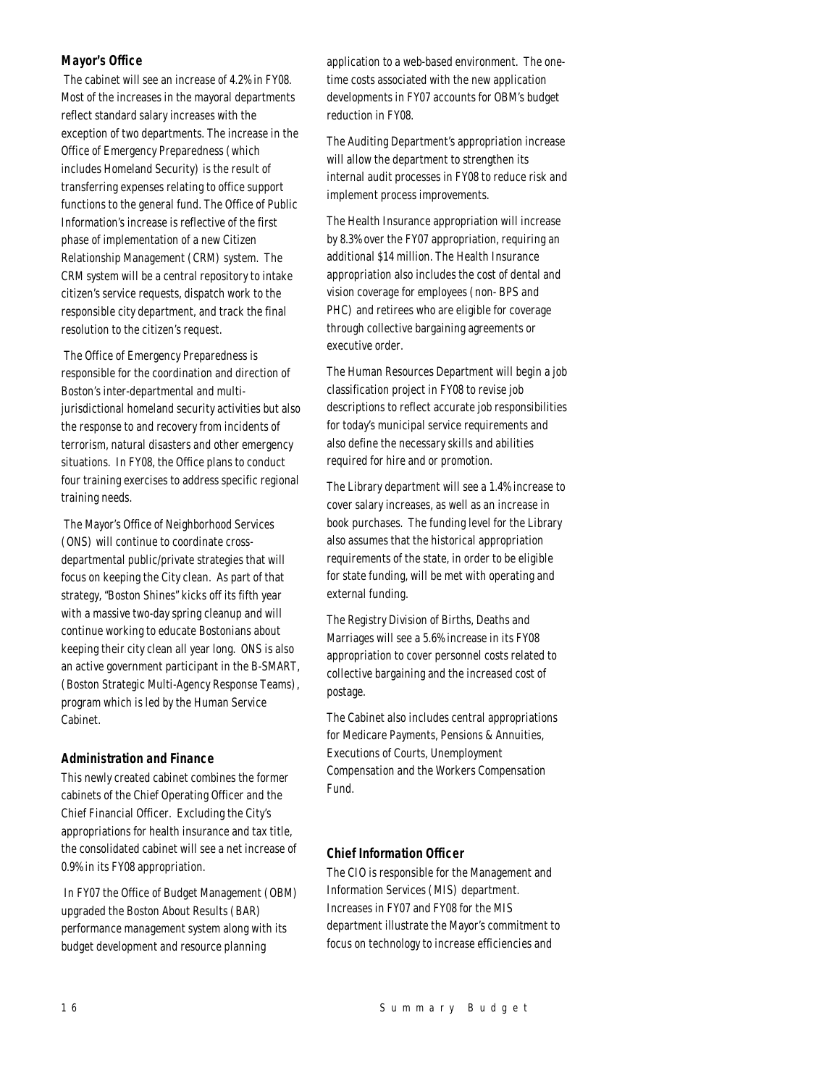## *Mayor's Office*

 The cabinet will see an increase of 4.2% in FY08. Most of the increases in the mayoral departments reflect standard salary increases with the exception of two departments. The increase in the Office of Emergency Preparedness (which includes Homeland Security) is the result of transferring expenses relating to office support functions to the general fund. The Office of Public Information's increase is reflective of the first phase of implementation of a new Citizen Relationship Management (CRM) system. The CRM system will be a central repository to intake citizen's service requests, dispatch work to the responsible city department, and track the final resolution to the citizen's request.

 The Office of Emergency Preparedness is responsible for the coordination and direction of Boston's inter-departmental and multijurisdictional homeland security activities but also the response to and recovery from incidents of terrorism, natural disasters and other emergency situations. In FY08, the Office plans to conduct four training exercises to address specific regional training needs.

 The Mayor's Office of Neighborhood Services (ONS) will continue to coordinate crossdepartmental public/private strategies that will focus on keeping the City clean. As part of that strategy, "Boston Shines" kicks off its fifth year with a massive two-day spring cleanup and will continue working to educate Bostonians about keeping their city clean all year long. ONS is also an active government participant in the B-SMART, (Boston Strategic Multi-Agency Response Teams), program which is led by the Human Service Cabinet.

## *Administration and Finance*

This newly created cabinet combines the former cabinets of the Chief Operating Officer and the Chief Financial Officer. Excluding the City's appropriations for health insurance and tax title, the consolidated cabinet will see a net increase of 0.9% in its FY08 appropriation.

 In FY07 the Office of Budget Management (OBM) upgraded the Boston About Results (BAR) performance management system along with its budget development and resource planning

application to a web-based environment. The onetime costs associated with the new application developments in FY07 accounts for OBM's budget reduction in FY08.

The Auditing Department's appropriation increase will allow the department to strengthen its internal audit processes in FY08 to reduce risk and implement process improvements.

The Health Insurance appropriation will increase by 8.3% over the FY07 appropriation, requiring an additional \$14 million. The Health Insurance appropriation also includes the cost of dental and vision coverage for employees (non- BPS and PHC) and retirees who are eligible for coverage through collective bargaining agreements or executive order.

The Human Resources Department will begin a job classification project in FY08 to revise job descriptions to reflect accurate job responsibilities for today's municipal service requirements and also define the necessary skills and abilities required for hire and or promotion.

The Library department will see a 1.4% increase to cover salary increases, as well as an increase in book purchases. The funding level for the Library also assumes that the historical appropriation requirements of the state, in order to be eligible for state funding, will be met with operating and external funding.

The Registry Division of Births, Deaths and Marriages will see a 5.6% increase in its FY08 appropriation to cover personnel costs related to collective bargaining and the increased cost of postage.

The Cabinet also includes central appropriations for Medicare Payments, Pensions & Annuities, Executions of Courts, Unemployment Compensation and the Workers Compensation Fund.

## *Chief Information Officer*

The CIO is responsible for the Management and Information Services (MIS) department. Increases in FY07 and FY08 for the MIS department illustrate the Mayor's commitment to focus on technology to increase efficiencies and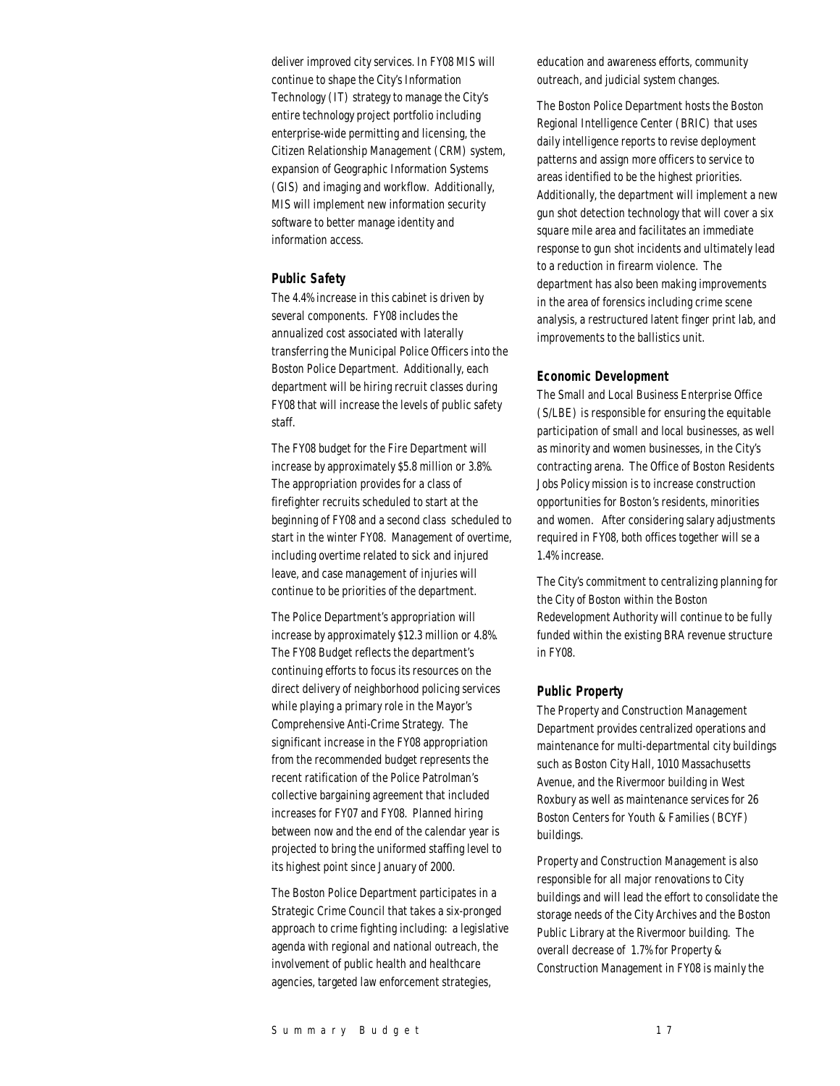deliver improved city services. In FY08 MIS will continue to shape the City's Information Technology (IT) strategy to manage the City's entire technology project portfolio including enterprise-wide permitting and licensing, the Citizen Relationship Management (CRM) system, expansion of Geographic Information Systems (GIS) and imaging and workflow. Additionally, MIS will implement new information security software to better manage identity and information access.

## *Public Safety*

The 4.4% increase in this cabinet is driven by several components. FY08 includes the annualized cost associated with laterally transferring the Municipal Police Officers into the Boston Police Department. Additionally, each department will be hiring recruit classes during FY08 that will increase the levels of public safety staff.

The FY08 budget for the Fire Department will increase by approximately \$5.8 million or 3.8%. The appropriation provides for a class of firefighter recruits scheduled to start at the beginning of FY08 and a second class scheduled to start in the winter FY08. Management of overtime, including overtime related to sick and injured leave, and case management of injuries will continue to be priorities of the department.

The Police Department's appropriation will increase by approximately \$12.3 million or 4.8%. The FY08 Budget reflects the department's continuing efforts to focus its resources on the direct delivery of neighborhood policing services while playing a primary role in the Mayor's Comprehensive Anti-Crime Strategy. The significant increase in the FY08 appropriation from the recommended budget represents the recent ratification of the Police Patrolman's collective bargaining agreement that included increases for FY07 and FY08. Planned hiring between now and the end of the calendar year is projected to bring the uniformed staffing level to its highest point since January of 2000.

The Boston Police Department participates in a Strategic Crime Council that takes a six-pronged approach to crime fighting including: a legislative agenda with regional and national outreach, the involvement of public health and healthcare agencies, targeted law enforcement strategies,

education and awareness efforts, community outreach, and judicial system changes.

The Boston Police Department hosts the Boston Regional Intelligence Center (BRIC) that uses daily intelligence reports to revise deployment patterns and assign more officers to service to areas identified to be the highest priorities. Additionally, the department will implement a new gun shot detection technology that will cover a six square mile area and facilitates an immediate response to gun shot incidents and ultimately lead to a reduction in firearm violence. The department has also been making improvements in the area of forensics including crime scene analysis, a restructured latent finger print lab, and improvements to the ballistics unit.

## *Economic Development*

The Small and Local Business Enterprise Office (S/LBE) is responsible for ensuring the equitable participation of small and local businesses, as well as minority and women businesses, in the City's contracting arena. The Office of Boston Residents Jobs Policy mission is to increase construction opportunities for Boston's residents, minorities and women. After considering salary adjustments required in FY08, both offices together will se a 1.4% increase.

The City's commitment to centralizing planning for the City of Boston within the Boston Redevelopment Authority will continue to be fully funded within the existing BRA revenue structure in FY08.

#### *Public Property*

The Property and Construction Management Department provides centralized operations and maintenance for multi-departmental city buildings such as Boston City Hall, 1010 Massachusetts Avenue, and the Rivermoor building in West Roxbury as well as maintenance services for 26 Boston Centers for Youth & Families (BCYF) buildings.

Property and Construction Management is also responsible for all major renovations to City buildings and will lead the effort to consolidate the storage needs of the City Archives and the Boston Public Library at the Rivermoor building. The overall decrease of 1.7% for Property & Construction Management in FY08 is mainly the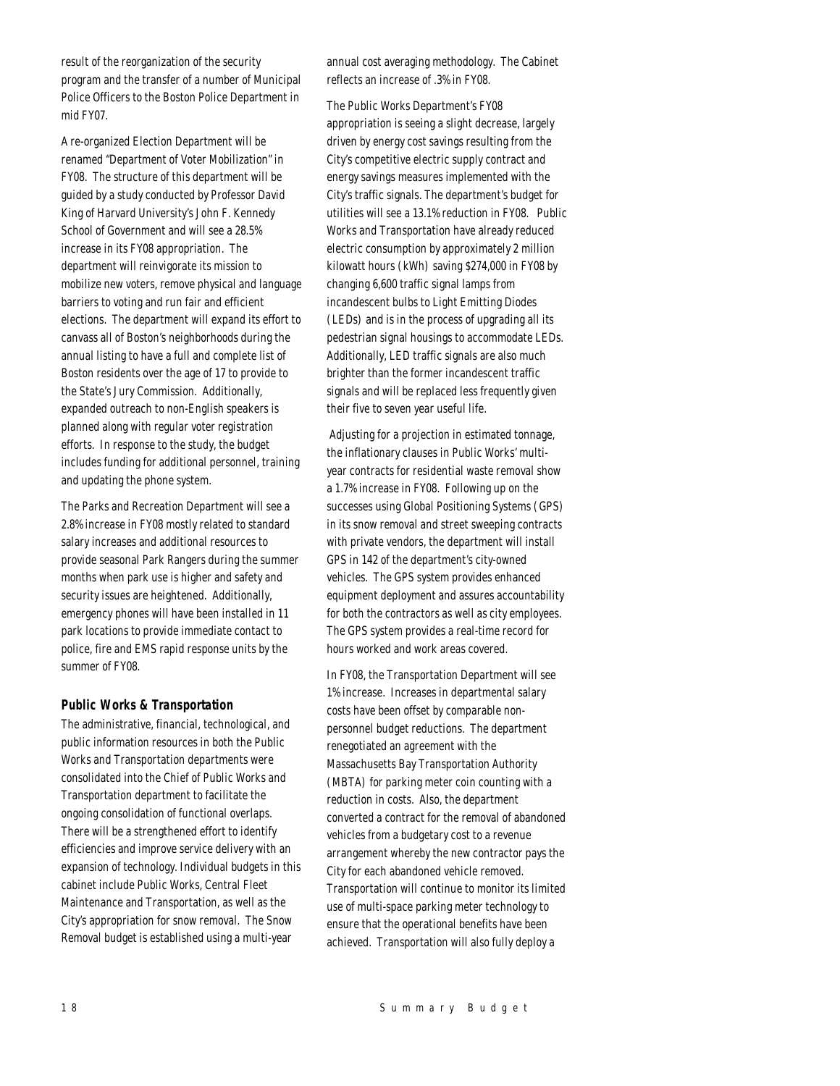result of the reorganization of the security program and the transfer of a number of Municipal Police Officers to the Boston Police Department in mid FY07.

A re-organized Election Department will be renamed "Department of Voter Mobilization" in FY08. The structure of this department will be guided by a study conducted by Professor David King of Harvard University's John F. Kennedy School of Government and will see a 28.5% increase in its FY08 appropriation. The department will reinvigorate its mission to mobilize new voters, remove physical and language barriers to voting and run fair and efficient elections. The department will expand its effort to canvass all of Boston's neighborhoods during the annual listing to have a full and complete list of Boston residents over the age of 17 to provide to the State's Jury Commission. Additionally, expanded outreach to non-English speakers is planned along with regular voter registration efforts. In response to the study, the budget includes funding for additional personnel, training and updating the phone system.

The Parks and Recreation Department will see a 2.8% increase in FY08 mostly related to standard salary increases and additional resources to provide seasonal Park Rangers during the summer months when park use is higher and safety and security issues are heightened. Additionally, emergency phones will have been installed in 11 park locations to provide immediate contact to police, fire and EMS rapid response units by the summer of FY08.

## *Public Works & Transportation*

The administrative, financial, technological, and public information resources in both the Public Works and Transportation departments were consolidated into the Chief of Public Works and Transportation department to facilitate the ongoing consolidation of functional overlaps. There will be a strengthened effort to identify efficiencies and improve service delivery with an expansion of technology. Individual budgets in this cabinet include Public Works, Central Fleet Maintenance and Transportation, as well as the City's appropriation for snow removal. The Snow Removal budget is established using a multi-year

annual cost averaging methodology. The Cabinet reflects an increase of .3% in FY08.

The Public Works Department's FY08 appropriation is seeing a slight decrease, largely driven by energy cost savings resulting from the City's competitive electric supply contract and energy savings measures implemented with the City's traffic signals. The department's budget for utilities will see a 13.1% reduction in FY08. Public Works and Transportation have already reduced electric consumption by approximately 2 million kilowatt hours (kWh) saving \$274,000 in FY08 by changing 6,600 traffic signal lamps from incandescent bulbs to Light Emitting Diodes (LEDs) and is in the process of upgrading all its pedestrian signal housings to accommodate LEDs. Additionally, LED traffic signals are also much brighter than the former incandescent traffic signals and will be replaced less frequently given their five to seven year useful life.

 Adjusting for a projection in estimated tonnage, the inflationary clauses in Public Works' multiyear contracts for residential waste removal show a 1.7% increase in FY08. Following up on the successes using Global Positioning Systems (GPS) in its snow removal and street sweeping contracts with private vendors, the department will install GPS in 142 of the department's city-owned vehicles. The GPS system provides enhanced equipment deployment and assures accountability for both the contractors as well as city employees. The GPS system provides a real-time record for hours worked and work areas covered.

In FY08, the Transportation Department will see 1% increase. Increases in departmental salary costs have been offset by comparable nonpersonnel budget reductions. The department renegotiated an agreement with the Massachusetts Bay Transportation Authority (MBTA) for parking meter coin counting with a reduction in costs. Also, the department converted a contract for the removal of abandoned vehicles from a budgetary cost to a revenue arrangement whereby the new contractor pays the City for each abandoned vehicle removed. Transportation will continue to monitor its limited use of multi-space parking meter technology to ensure that the operational benefits have been achieved. Transportation will also fully deploy a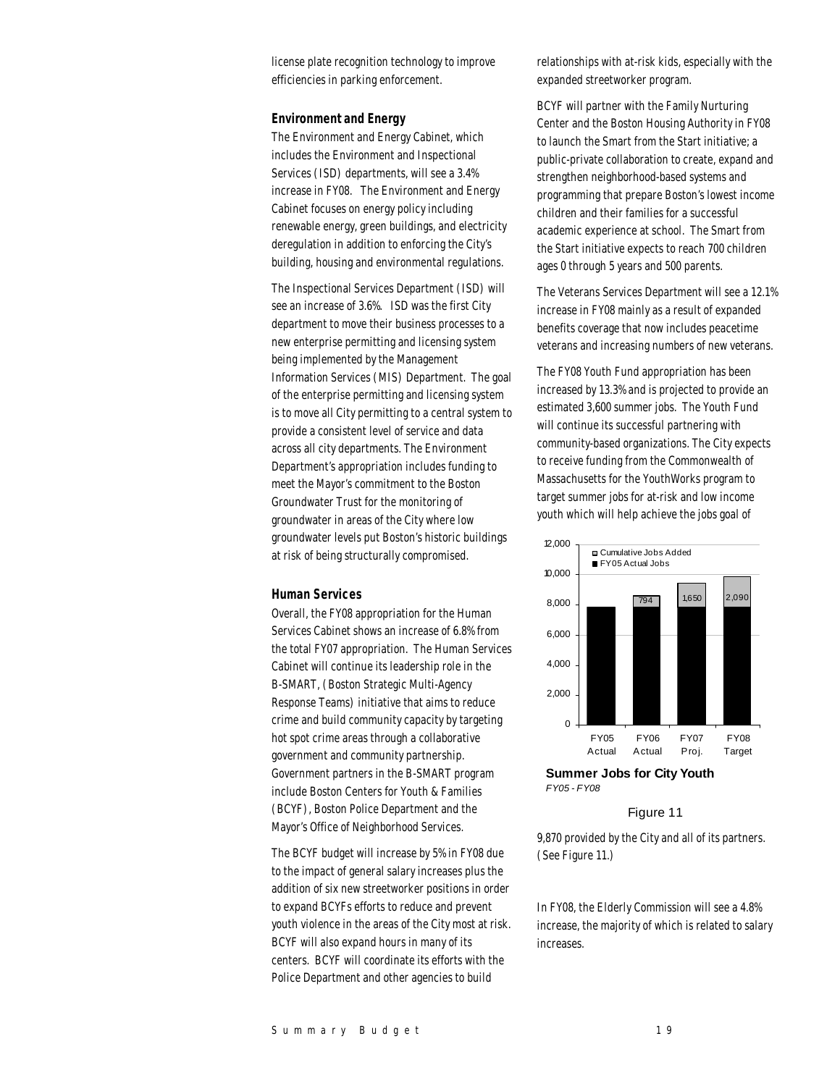license plate recognition technology to improve efficiencies in parking enforcement.

#### *Environment and Energy*

The Environment and Energy Cabinet, which includes the Environment and Inspectional Services (ISD) departments, will see a 3.4% increase in FY08. The Environment and Energy Cabinet focuses on energy policy including renewable energy, green buildings, and electricity deregulation in addition to enforcing the City's building, housing and environmental regulations.

The Inspectional Services Department (ISD) will see an increase of 3.6%. ISD was the first City department to move their business processes to a new enterprise permitting and licensing system being implemented by the Management Information Services (MIS) Department. The goal of the enterprise permitting and licensing system is to move all City permitting to a central system to provide a consistent level of service and data across all city departments. The Environment Department's appropriation includes funding to meet the Mayor's commitment to the Boston Groundwater Trust for the monitoring of groundwater in areas of the City where low groundwater levels put Boston's historic buildings at risk of being structurally compromised.

## *Human Services*

Overall, the FY08 appropriation for the Human Services Cabinet shows an increase of 6.8% from the total FY07 appropriation. The Human Services Cabinet will continue its leadership role in the B-SMART, (Boston Strategic Multi-Agency Response Teams) initiative that aims to reduce crime and build community capacity by targeting hot spot crime areas through a collaborative government and community partnership. Government partners in the B-SMART program include Boston Centers for Youth & Families (BCYF), Boston Police Department and the Mayor's Office of Neighborhood Services.

The BCYF budget will increase by 5% in FY08 due to the impact of general salary increases plus the addition of six new streetworker positions in order to expand BCYFs efforts to reduce and prevent youth violence in the areas of the City most at risk. BCYF will also expand hours in many of its centers. BCYF will coordinate its efforts with the Police Department and other agencies to build

relationships with at-risk kids, especially with the expanded streetworker program.

BCYF will partner with the Family Nurturing Center and the Boston Housing Authority in FY08 to launch the Smart from the Start initiative; a public-private collaboration to create, expand and strengthen neighborhood-based systems and programming that prepare Boston's lowest income children and their families for a successful academic experience at school. The Smart from the Start initiative expects to reach 700 children ages 0 through 5 years and 500 parents.

The Veterans Services Department will see a 12.1% increase in FY08 mainly as a result of expanded benefits coverage that now includes peacetime veterans and increasing numbers of new veterans.

The FY08 Youth Fund appropriation has been increased by 13.3% and is projected to provide an estimated 3,600 summer jobs. The Youth Fund will continue its successful partnering with community-based organizations. The City expects to receive funding from the Commonwealth of Massachusetts for the YouthWorks program to target summer jobs for at-risk and low income youth which will help achieve the jobs goal of





Figure 11

9,870 provided by the City and all of its partners. (See Figure 11.)

In FY08, the Elderly Commission will see a 4.8% increase, the majority of which is related to salary increases.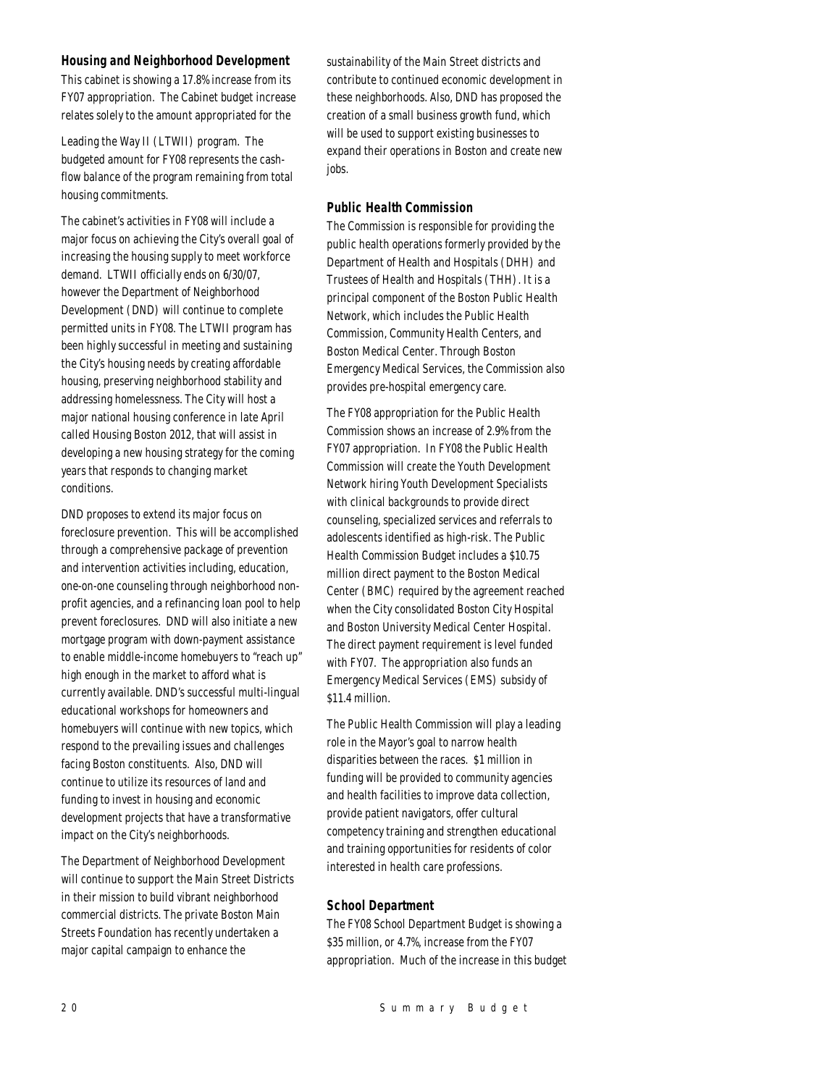## *Housing and Neighborhood Development*

This cabinet is showing a 17.8% increase from its FY07 appropriation. The Cabinet budget increase relates solely to the amount appropriated for the

Leading the Way II (LTWII) program. The budgeted amount for FY08 represents the cashflow balance of the program remaining from total housing commitments.

The cabinet's activities in FY08 will include a major focus on achieving the City's overall goal of increasing the housing supply to meet workforce demand. LTWII officially ends on 6/30/07, however the Department of Neighborhood Development (DND) will continue to complete permitted units in FY08. The LTWII program has been highly successful in meeting and sustaining the City's housing needs by creating affordable housing, preserving neighborhood stability and addressing homelessness. The City will host a major national housing conference in late April called Housing Boston 2012, that will assist in developing a new housing strategy for the coming years that responds to changing market conditions.

DND proposes to extend its major focus on foreclosure prevention. This will be accomplished through a comprehensive package of prevention and intervention activities including, education, one-on-one counseling through neighborhood nonprofit agencies, and a refinancing loan pool to help prevent foreclosures. DND will also initiate a new mortgage program with down-payment assistance to enable middle-income homebuyers to "reach up" high enough in the market to afford what is currently available. DND's successful multi-lingual educational workshops for homeowners and homebuyers will continue with new topics, which respond to the prevailing issues and challenges facing Boston constituents. Also, DND will continue to utilize its resources of land and funding to invest in housing and economic development projects that have a transformative impact on the City's neighborhoods.

The Department of Neighborhood Development will continue to support the Main Street Districts in their mission to build vibrant neighborhood commercial districts. The private Boston Main Streets Foundation has recently undertaken a major capital campaign to enhance the

sustainability of the Main Street districts and contribute to continued economic development in these neighborhoods. Also, DND has proposed the creation of a small business growth fund, which will be used to support existing businesses to expand their operations in Boston and create new jobs.

## *Public Health Commission*

The Commission is responsible for providing the public health operations formerly provided by the Department of Health and Hospitals (DHH) and Trustees of Health and Hospitals (THH). It is a principal component of the Boston Public Health Network, which includes the Public Health Commission, Community Health Centers, and Boston Medical Center. Through Boston Emergency Medical Services, the Commission also provides pre-hospital emergency care.

The FY08 appropriation for the Public Health Commission shows an increase of 2.9% from the FY07 appropriation. In FY08 the Public Health Commission will create the Youth Development Network hiring Youth Development Specialists with clinical backgrounds to provide direct counseling, specialized services and referrals to adolescents identified as high-risk. The Public Health Commission Budget includes a \$10.75 million direct payment to the Boston Medical Center (BMC) required by the agreement reached when the City consolidated Boston City Hospital and Boston University Medical Center Hospital. The direct payment requirement is level funded with FY07. The appropriation also funds an Emergency Medical Services (EMS) subsidy of \$11.4 million.

The Public Health Commission will play a leading role in the Mayor's goal to narrow health disparities between the races. \$1 million in funding will be provided to community agencies and health facilities to improve data collection, provide patient navigators, offer cultural competency training and strengthen educational and training opportunities for residents of color interested in health care professions.

## *School Department*

The FY08 School Department Budget is showing a \$35 million, or 4.7%, increase from the FY07 appropriation. Much of the increase in this budget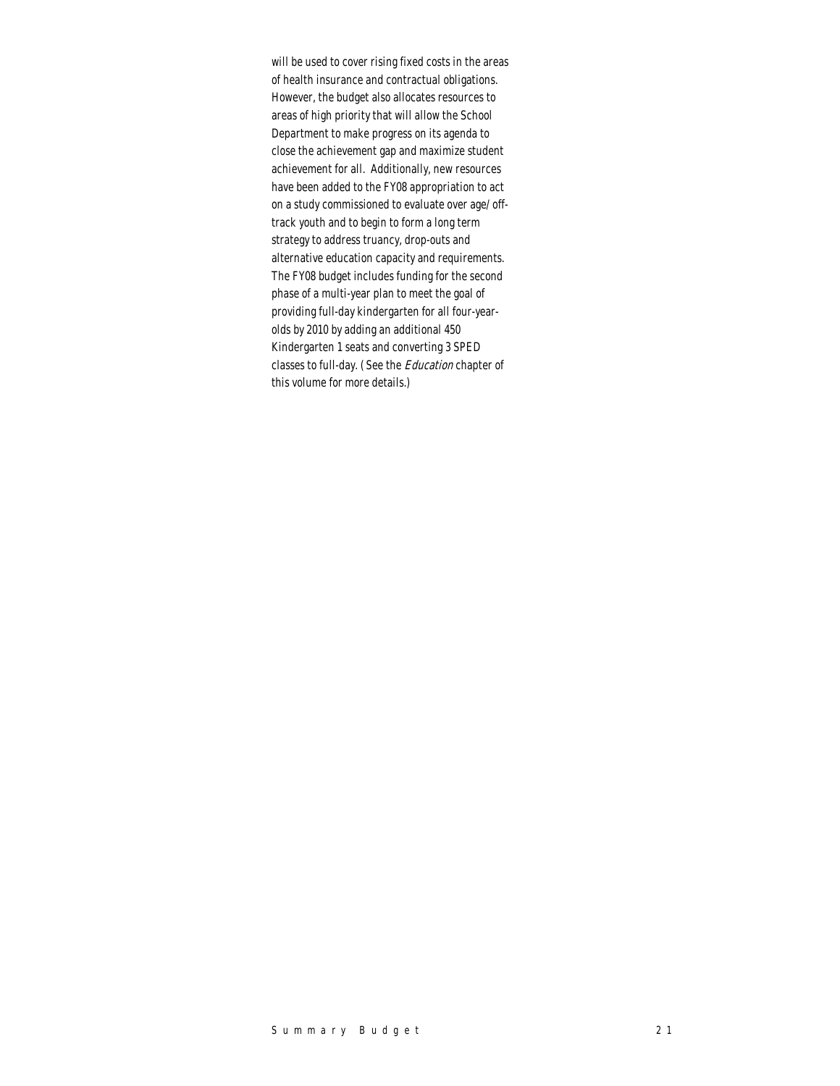will be used to cover rising fixed costs in the areas of health insurance and contractual obligations. However, the budget also allocates resources to areas of high priority that will allow the School Department to make progress on its agenda to close the achievement gap and maximize student achievement for all. Additionally, new resources have been added to the FY08 appropriation to act on a study commissioned to evaluate over age/ offtrack youth and to begin to form a long term strategy to address truancy, drop-outs and alternative education capacity and requirements. The FY08 budget includes funding for the second phase of a multi-year plan to meet the goal of providing full-day kindergarten for all four-yearolds by 2010 by adding an additional 450 Kindergarten 1 seats and converting 3 SPED classes to full-day. (See the Education chapter of this volume for more details.)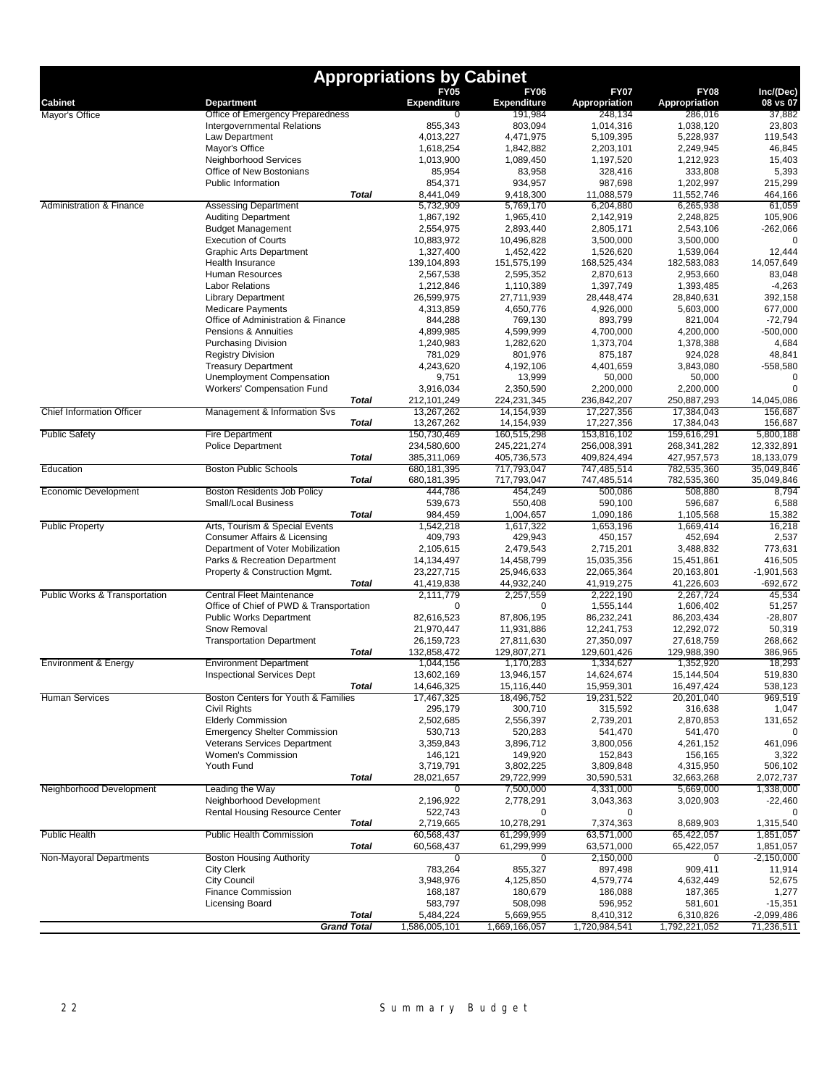| <b>FY06</b><br><b>FY05</b><br><b>FY07</b><br><b>FY08</b><br>Inc/(Dec)<br><b>Expenditure</b><br>Expenditure<br>Appropriation<br><b>Cabinet</b><br>Appropriation<br>08 vs 07<br><b>Department</b><br>Office of Emergency Preparedness<br>191,984<br>248,134<br>286,016<br>37,882<br>0<br>Mayor's Office<br><b>Intergovernmental Relations</b><br>855,343<br>803,094<br>1,014,316<br>1,038,120<br>23,803<br>Law Department<br>5,228,937<br>119.543<br>4,013,227<br>4,471,975<br>5,109,395<br>Mayor's Office<br>1,618,254<br>1,842,882<br>2,203,101<br>2,249,945<br>46,845<br>Neighborhood Services<br>1,013,900<br>1,089,450<br>1,197,520<br>15,403<br>1,212,923<br>Office of New Bostonians<br>85,954<br>83,958<br>328,416<br>333,808<br>5,393<br><b>Public Information</b><br>215,299<br>854,371<br>934,957<br>987,698<br>1,202,997<br><b>Total</b><br>8,441,049<br>9,418,300<br>11,088,579<br>11,552,746<br>464,166<br><b>Assessing Department</b><br>61,059<br>5,732,909<br>5,769,170<br>6,204,880<br>6,265,938<br>Administration & Finance<br><b>Auditing Department</b><br>2,142,919<br>105,906<br>1,867,192<br>1,965,410<br>2,248,825<br><b>Budget Management</b><br>2,554,975<br>2,893,440<br>2,805,171<br>$-262,066$<br>2,543,106<br><b>Execution of Courts</b><br>10,883,972<br>10,496,828<br>3,500,000<br>3,500,000<br>O<br><b>Graphic Arts Department</b><br>1,327,400<br>1,452,422<br>1,526,620<br>1,539,064<br>12,444<br>Health Insurance<br>139,104,893<br>151,575,199<br>168,525,434<br>14,057,649<br>182,583,083<br>Human Resources<br>2,595,352<br>2,870,613<br>2,953,660<br>83,048<br>2,567,538<br>$-4,263$<br><b>Labor Relations</b><br>1,212,846<br>1,110,389<br>1,397,749<br>1,393,485<br>27,711,939<br>28,448,474<br>392,158<br><b>Library Department</b><br>26,599,975<br>28,840,631<br><b>Medicare Payments</b><br>4,926,000<br>5,603,000<br>677,000<br>4,313,859<br>4,650,776<br>Office of Administration & Finance<br>769,130<br>893,799<br>$-72,794$<br>844,288<br>821,004<br>Pensions & Annuities<br>4,700,000<br>$-500,000$<br>4,899,985<br>4,599,999<br>4,200,000<br><b>Purchasing Division</b><br>4,684<br>1,240,983<br>1,282,620<br>1,373,704<br>1,378,388<br><b>Registry Division</b><br>801,976<br>875,187<br>924,028<br>48,841<br>781,029<br><b>Treasury Department</b><br>4,401,659<br>3,843,080<br>-558,580<br>4,243,620<br>4,192,106<br>Unemployment Compensation<br>9,751<br>13,999<br>50,000<br>50,000<br>Workers' Compensation Fund<br>3,916,034<br>2,350,590<br>2,200,000<br>2,200,000<br>$\Omega$<br>236,842,207<br>250,887,293<br>Total<br>212, 101, 249<br>224,231,345<br>14,045,086<br><b>Chief Information Officer</b><br>Management & Information Svs<br>13,267,262<br>14, 154, 939<br>17,227,356<br>17,384,043<br>156.687<br><b>Total</b><br>13,267,262<br>17,227,356<br>17,384,043<br>14,154,939<br>156.687<br><b>Public Safety</b><br><b>Fire Department</b><br>150,730,469<br>160,515,298<br>153,816,102<br>159,616,291<br>5,800,188<br>234,580,600<br>256,008,391<br><b>Police Department</b><br>245, 221, 274<br>268,341,282<br>12,332,891<br><b>Total</b><br>385,311,069<br>405,736,573<br>409,824,494<br>427,957,573<br>18,133,079<br>Education<br><b>Boston Public Schools</b><br>680,181,395<br>717,793,047<br>747,485,514<br>782,535,360<br>35,049,846<br><b>Total</b><br>680,181,395<br>717,793,047<br>747,485,514<br>782,535,360<br>35,049,846<br>Economic Development<br>Boston Residents Job Policy<br>444,786<br>454,249<br>500,086<br>508,880<br>8,794<br>539,673<br>550,408<br>590,100<br>596,687<br>6,588<br><b>Small/Local Business</b><br><b>Total</b><br>984,459<br>1,090,186<br>1,105,568<br>15,382<br>1,004,657<br>16,218<br><b>Public Property</b><br>Arts, Tourism & Special Events<br>1,542,218<br>1,617,322<br>1,653,196<br>1,669,414<br>Consumer Affairs & Licensing<br>409,793<br>429,943<br>450,157<br>452,694<br>2,537<br>Department of Voter Mobilization<br>773,631<br>2,105,615<br>2,479,543<br>2,715,201<br>3,488,832<br>Parks & Recreation Department<br>14,458,799<br>15,035,356<br>15,451,861<br>416,505<br>14,134,497<br>Property & Construction Mgmt.<br>22,065,364<br>$-1,901,563$<br>23,227,715<br>25,946,633<br>20,163,801<br>44,932,240<br>41,919,275<br>41,226,603<br>-692,672<br>Total<br>41,419,838<br>Public Works & Transportation<br><b>Central Fleet Maintenance</b><br>2,111,779<br>2,257,559<br>2,222,190<br>45,534<br>2,267,724<br>Office of Chief of PWD & Transportation<br>0<br>$\mathbf 0$<br>1,555,144<br>1,606,402<br>51,257<br><b>Public Works Department</b><br>86,232,241<br>86,203,434<br>$-28,807$<br>82,616,523<br>87,806,195<br>Snow Removal<br>21,970,447<br>12,241,753<br>12,292,072<br>50,319<br>11,931,886<br><b>Transportation Department</b><br>27,350,097<br>27,618,759<br>268,662<br>26, 159, 723<br>27,811,630<br><b>Total</b><br>129,601,426<br>132,858,472<br>129,807,271<br>129,988,390<br>386,965<br><b>Environment Department</b><br>18,293<br><b>Environment &amp; Energy</b><br>1,044,156<br>1,170,283<br>1,334,627<br>1,352,920<br>13,602,169<br>14,624,674<br>519,830<br><b>Inspectional Services Dept</b><br>13,946,157<br>15,144,504<br><b>Total</b><br>14,646,325<br>15,959,301<br>16,497,424<br>538,123<br>15,116,440<br><b>Human Services</b><br>Boston Centers for Youth & Families<br>17,467,325<br>18,496,752<br>19,231,522<br>20,201,040<br>300,710<br>Civil Rights<br>295,179<br>315,592<br>316,638<br><b>Elderly Commission</b><br>2,502,685<br>2,556,397<br>2,739,201<br>2,870,853<br>131,652<br><b>Emergency Shelter Commission</b><br>530,713<br>520,283<br>541,470<br>541,470<br>0<br>Veterans Services Department<br>3,359,843<br>3,896,712<br>3,800,056<br>461,096<br>4,261,152<br>Women's Commission<br>146,121<br>149,920<br>152,843<br>156,165<br>3,322<br>Youth Fund<br>3,809,848<br>506,102<br>3,719,791<br>3,802,225<br>4,315,950<br><b>Total</b><br>28,021,657<br>29,722,999<br>30,590,531<br>32,663,268<br>2,072,737<br>4,331,000<br>Neighborhood Development<br>Leading the Way<br>7,500,000<br>5,669,000<br>1,338,000<br>0<br>Neighborhood Development<br>3,020,903<br>2,196,922<br>2,778,291<br>3,043,363<br>$-22,460$<br><b>Rental Housing Resource Center</b><br>522,743<br>0<br>0<br>$\Omega$<br>Total<br>10,278,291<br>7,374,363<br>8,689,903<br>1,315,540<br>2,719,665<br><b>Public Health</b><br><b>Public Health Commission</b><br>61,299,999<br>63,571,000<br>60,568,437<br>65,422,057<br><b>Total</b><br>61,299,999<br>63,571,000<br>65,422,057<br>60,568,437<br>1,851,057<br>Non-Mayoral Departments<br><b>Boston Housing Authority</b><br>2,150,000<br>0<br>0<br>$\mathbf 0$<br>783,264<br>855,327<br>909,411<br><b>City Clerk</b><br>897,498<br>11,914<br><b>City Council</b><br>3,948,976<br>4,579,774<br>4,632,449<br>52,675<br>4,125,850<br><b>Finance Commission</b><br>1,277<br>168,187<br>180,679<br>186,088<br>187,365<br><b>Licensing Board</b><br>583,797<br>508,098<br>596,952<br>581,601<br>$-15,351$<br><b>Total</b><br>5,484,224<br>5,669,955<br>8,410,312<br>6,310,826<br>$-2,099,486$<br><b>Grand Total</b><br>1,720,984,541<br>1,792,221,052<br>1,586,005,101<br>1,669,166,057<br>71,236,511 |  | <b>Appropriations by Cabinet</b> |  |              |
|------------------------------------------------------------------------------------------------------------------------------------------------------------------------------------------------------------------------------------------------------------------------------------------------------------------------------------------------------------------------------------------------------------------------------------------------------------------------------------------------------------------------------------------------------------------------------------------------------------------------------------------------------------------------------------------------------------------------------------------------------------------------------------------------------------------------------------------------------------------------------------------------------------------------------------------------------------------------------------------------------------------------------------------------------------------------------------------------------------------------------------------------------------------------------------------------------------------------------------------------------------------------------------------------------------------------------------------------------------------------------------------------------------------------------------------------------------------------------------------------------------------------------------------------------------------------------------------------------------------------------------------------------------------------------------------------------------------------------------------------------------------------------------------------------------------------------------------------------------------------------------------------------------------------------------------------------------------------------------------------------------------------------------------------------------------------------------------------------------------------------------------------------------------------------------------------------------------------------------------------------------------------------------------------------------------------------------------------------------------------------------------------------------------------------------------------------------------------------------------------------------------------------------------------------------------------------------------------------------------------------------------------------------------------------------------------------------------------------------------------------------------------------------------------------------------------------------------------------------------------------------------------------------------------------------------------------------------------------------------------------------------------------------------------------------------------------------------------------------------------------------------------------------------------------------------------------------------------------------------------------------------------------------------------------------------------------------------------------------------------------------------------------------------------------------------------------------------------------------------------------------------------------------------------------------------------------------------------------------------------------------------------------------------------------------------------------------------------------------------------------------------------------------------------------------------------------------------------------------------------------------------------------------------------------------------------------------------------------------------------------------------------------------------------------------------------------------------------------------------------------------------------------------------------------------------------------------------------------------------------------------------------------------------------------------------------------------------------------------------------------------------------------------------------------------------------------------------------------------------------------------------------------------------------------------------------------------------------------------------------------------------------------------------------------------------------------------------------------------------------------------------------------------------------------------------------------------------------------------------------------------------------------------------------------------------------------------------------------------------------------------------------------------------------------------------------------------------------------------------------------------------------------------------------------------------------------------------------------------------------------------------------------------------------------------------------------------------------------------------------------------------------------------------------------------------------------------------------------------------------------------------------------------------------------------------------------------------------------------------------------------------------------------------------------------------------------------------------------------------------------------------------------------------------------------------------------------------------------------------------------------------------------------------------------------------------------------------------------------------------------------------------------------------------------------------------------------------------------------------------------------------------------------------------------------------------------------------------------------------------------------------------------------------------------------------------------------------------------------------------------------------------------------------------------------------------------------------------------------------------------------------------------------------------------------------------------------------------------------------------------------------------------------------------------------------------------------------------------------------------------------------------------------------------------------------------------------------------------------------------------------------------------------------------------------------------------------------------------------------------------------------------------------------------------------------------------------------------------------------------------------------------------------------------------------------|--|----------------------------------|--|--------------|
|                                                                                                                                                                                                                                                                                                                                                                                                                                                                                                                                                                                                                                                                                                                                                                                                                                                                                                                                                                                                                                                                                                                                                                                                                                                                                                                                                                                                                                                                                                                                                                                                                                                                                                                                                                                                                                                                                                                                                                                                                                                                                                                                                                                                                                                                                                                                                                                                                                                                                                                                                                                                                                                                                                                                                                                                                                                                                                                                                                                                                                                                                                                                                                                                                                                                                                                                                                                                                                                                                                                                                                                                                                                                                                                                                                                                                                                                                                                                                                                                                                                                                                                                                                                                                                                                                                                                                                                                                                                                                                                                                                                                                                                                                                                                                                                                                                                                                                                                                                                                                                                                                                                                                                                                                                                                                                                                                                                                                                                                                                                                                                                                                                                                                                                                                                                                                                                                                                                                                                                                                                                                                                                                                                                                                                                                                                                                                                                                                                                                                                                                                                                                                                                                                                                                                                                                                                                                                                                                                                                                                                                                                                                                                                                          |  |                                  |  |              |
|                                                                                                                                                                                                                                                                                                                                                                                                                                                                                                                                                                                                                                                                                                                                                                                                                                                                                                                                                                                                                                                                                                                                                                                                                                                                                                                                                                                                                                                                                                                                                                                                                                                                                                                                                                                                                                                                                                                                                                                                                                                                                                                                                                                                                                                                                                                                                                                                                                                                                                                                                                                                                                                                                                                                                                                                                                                                                                                                                                                                                                                                                                                                                                                                                                                                                                                                                                                                                                                                                                                                                                                                                                                                                                                                                                                                                                                                                                                                                                                                                                                                                                                                                                                                                                                                                                                                                                                                                                                                                                                                                                                                                                                                                                                                                                                                                                                                                                                                                                                                                                                                                                                                                                                                                                                                                                                                                                                                                                                                                                                                                                                                                                                                                                                                                                                                                                                                                                                                                                                                                                                                                                                                                                                                                                                                                                                                                                                                                                                                                                                                                                                                                                                                                                                                                                                                                                                                                                                                                                                                                                                                                                                                                                                          |  |                                  |  |              |
|                                                                                                                                                                                                                                                                                                                                                                                                                                                                                                                                                                                                                                                                                                                                                                                                                                                                                                                                                                                                                                                                                                                                                                                                                                                                                                                                                                                                                                                                                                                                                                                                                                                                                                                                                                                                                                                                                                                                                                                                                                                                                                                                                                                                                                                                                                                                                                                                                                                                                                                                                                                                                                                                                                                                                                                                                                                                                                                                                                                                                                                                                                                                                                                                                                                                                                                                                                                                                                                                                                                                                                                                                                                                                                                                                                                                                                                                                                                                                                                                                                                                                                                                                                                                                                                                                                                                                                                                                                                                                                                                                                                                                                                                                                                                                                                                                                                                                                                                                                                                                                                                                                                                                                                                                                                                                                                                                                                                                                                                                                                                                                                                                                                                                                                                                                                                                                                                                                                                                                                                                                                                                                                                                                                                                                                                                                                                                                                                                                                                                                                                                                                                                                                                                                                                                                                                                                                                                                                                                                                                                                                                                                                                                                                          |  |                                  |  |              |
|                                                                                                                                                                                                                                                                                                                                                                                                                                                                                                                                                                                                                                                                                                                                                                                                                                                                                                                                                                                                                                                                                                                                                                                                                                                                                                                                                                                                                                                                                                                                                                                                                                                                                                                                                                                                                                                                                                                                                                                                                                                                                                                                                                                                                                                                                                                                                                                                                                                                                                                                                                                                                                                                                                                                                                                                                                                                                                                                                                                                                                                                                                                                                                                                                                                                                                                                                                                                                                                                                                                                                                                                                                                                                                                                                                                                                                                                                                                                                                                                                                                                                                                                                                                                                                                                                                                                                                                                                                                                                                                                                                                                                                                                                                                                                                                                                                                                                                                                                                                                                                                                                                                                                                                                                                                                                                                                                                                                                                                                                                                                                                                                                                                                                                                                                                                                                                                                                                                                                                                                                                                                                                                                                                                                                                                                                                                                                                                                                                                                                                                                                                                                                                                                                                                                                                                                                                                                                                                                                                                                                                                                                                                                                                                          |  |                                  |  |              |
|                                                                                                                                                                                                                                                                                                                                                                                                                                                                                                                                                                                                                                                                                                                                                                                                                                                                                                                                                                                                                                                                                                                                                                                                                                                                                                                                                                                                                                                                                                                                                                                                                                                                                                                                                                                                                                                                                                                                                                                                                                                                                                                                                                                                                                                                                                                                                                                                                                                                                                                                                                                                                                                                                                                                                                                                                                                                                                                                                                                                                                                                                                                                                                                                                                                                                                                                                                                                                                                                                                                                                                                                                                                                                                                                                                                                                                                                                                                                                                                                                                                                                                                                                                                                                                                                                                                                                                                                                                                                                                                                                                                                                                                                                                                                                                                                                                                                                                                                                                                                                                                                                                                                                                                                                                                                                                                                                                                                                                                                                                                                                                                                                                                                                                                                                                                                                                                                                                                                                                                                                                                                                                                                                                                                                                                                                                                                                                                                                                                                                                                                                                                                                                                                                                                                                                                                                                                                                                                                                                                                                                                                                                                                                                                          |  |                                  |  |              |
|                                                                                                                                                                                                                                                                                                                                                                                                                                                                                                                                                                                                                                                                                                                                                                                                                                                                                                                                                                                                                                                                                                                                                                                                                                                                                                                                                                                                                                                                                                                                                                                                                                                                                                                                                                                                                                                                                                                                                                                                                                                                                                                                                                                                                                                                                                                                                                                                                                                                                                                                                                                                                                                                                                                                                                                                                                                                                                                                                                                                                                                                                                                                                                                                                                                                                                                                                                                                                                                                                                                                                                                                                                                                                                                                                                                                                                                                                                                                                                                                                                                                                                                                                                                                                                                                                                                                                                                                                                                                                                                                                                                                                                                                                                                                                                                                                                                                                                                                                                                                                                                                                                                                                                                                                                                                                                                                                                                                                                                                                                                                                                                                                                                                                                                                                                                                                                                                                                                                                                                                                                                                                                                                                                                                                                                                                                                                                                                                                                                                                                                                                                                                                                                                                                                                                                                                                                                                                                                                                                                                                                                                                                                                                                                          |  |                                  |  |              |
|                                                                                                                                                                                                                                                                                                                                                                                                                                                                                                                                                                                                                                                                                                                                                                                                                                                                                                                                                                                                                                                                                                                                                                                                                                                                                                                                                                                                                                                                                                                                                                                                                                                                                                                                                                                                                                                                                                                                                                                                                                                                                                                                                                                                                                                                                                                                                                                                                                                                                                                                                                                                                                                                                                                                                                                                                                                                                                                                                                                                                                                                                                                                                                                                                                                                                                                                                                                                                                                                                                                                                                                                                                                                                                                                                                                                                                                                                                                                                                                                                                                                                                                                                                                                                                                                                                                                                                                                                                                                                                                                                                                                                                                                                                                                                                                                                                                                                                                                                                                                                                                                                                                                                                                                                                                                                                                                                                                                                                                                                                                                                                                                                                                                                                                                                                                                                                                                                                                                                                                                                                                                                                                                                                                                                                                                                                                                                                                                                                                                                                                                                                                                                                                                                                                                                                                                                                                                                                                                                                                                                                                                                                                                                                                          |  |                                  |  |              |
|                                                                                                                                                                                                                                                                                                                                                                                                                                                                                                                                                                                                                                                                                                                                                                                                                                                                                                                                                                                                                                                                                                                                                                                                                                                                                                                                                                                                                                                                                                                                                                                                                                                                                                                                                                                                                                                                                                                                                                                                                                                                                                                                                                                                                                                                                                                                                                                                                                                                                                                                                                                                                                                                                                                                                                                                                                                                                                                                                                                                                                                                                                                                                                                                                                                                                                                                                                                                                                                                                                                                                                                                                                                                                                                                                                                                                                                                                                                                                                                                                                                                                                                                                                                                                                                                                                                                                                                                                                                                                                                                                                                                                                                                                                                                                                                                                                                                                                                                                                                                                                                                                                                                                                                                                                                                                                                                                                                                                                                                                                                                                                                                                                                                                                                                                                                                                                                                                                                                                                                                                                                                                                                                                                                                                                                                                                                                                                                                                                                                                                                                                                                                                                                                                                                                                                                                                                                                                                                                                                                                                                                                                                                                                                                          |  |                                  |  |              |
|                                                                                                                                                                                                                                                                                                                                                                                                                                                                                                                                                                                                                                                                                                                                                                                                                                                                                                                                                                                                                                                                                                                                                                                                                                                                                                                                                                                                                                                                                                                                                                                                                                                                                                                                                                                                                                                                                                                                                                                                                                                                                                                                                                                                                                                                                                                                                                                                                                                                                                                                                                                                                                                                                                                                                                                                                                                                                                                                                                                                                                                                                                                                                                                                                                                                                                                                                                                                                                                                                                                                                                                                                                                                                                                                                                                                                                                                                                                                                                                                                                                                                                                                                                                                                                                                                                                                                                                                                                                                                                                                                                                                                                                                                                                                                                                                                                                                                                                                                                                                                                                                                                                                                                                                                                                                                                                                                                                                                                                                                                                                                                                                                                                                                                                                                                                                                                                                                                                                                                                                                                                                                                                                                                                                                                                                                                                                                                                                                                                                                                                                                                                                                                                                                                                                                                                                                                                                                                                                                                                                                                                                                                                                                                                          |  |                                  |  |              |
|                                                                                                                                                                                                                                                                                                                                                                                                                                                                                                                                                                                                                                                                                                                                                                                                                                                                                                                                                                                                                                                                                                                                                                                                                                                                                                                                                                                                                                                                                                                                                                                                                                                                                                                                                                                                                                                                                                                                                                                                                                                                                                                                                                                                                                                                                                                                                                                                                                                                                                                                                                                                                                                                                                                                                                                                                                                                                                                                                                                                                                                                                                                                                                                                                                                                                                                                                                                                                                                                                                                                                                                                                                                                                                                                                                                                                                                                                                                                                                                                                                                                                                                                                                                                                                                                                                                                                                                                                                                                                                                                                                                                                                                                                                                                                                                                                                                                                                                                                                                                                                                                                                                                                                                                                                                                                                                                                                                                                                                                                                                                                                                                                                                                                                                                                                                                                                                                                                                                                                                                                                                                                                                                                                                                                                                                                                                                                                                                                                                                                                                                                                                                                                                                                                                                                                                                                                                                                                                                                                                                                                                                                                                                                                                          |  |                                  |  |              |
|                                                                                                                                                                                                                                                                                                                                                                                                                                                                                                                                                                                                                                                                                                                                                                                                                                                                                                                                                                                                                                                                                                                                                                                                                                                                                                                                                                                                                                                                                                                                                                                                                                                                                                                                                                                                                                                                                                                                                                                                                                                                                                                                                                                                                                                                                                                                                                                                                                                                                                                                                                                                                                                                                                                                                                                                                                                                                                                                                                                                                                                                                                                                                                                                                                                                                                                                                                                                                                                                                                                                                                                                                                                                                                                                                                                                                                                                                                                                                                                                                                                                                                                                                                                                                                                                                                                                                                                                                                                                                                                                                                                                                                                                                                                                                                                                                                                                                                                                                                                                                                                                                                                                                                                                                                                                                                                                                                                                                                                                                                                                                                                                                                                                                                                                                                                                                                                                                                                                                                                                                                                                                                                                                                                                                                                                                                                                                                                                                                                                                                                                                                                                                                                                                                                                                                                                                                                                                                                                                                                                                                                                                                                                                                                          |  |                                  |  |              |
|                                                                                                                                                                                                                                                                                                                                                                                                                                                                                                                                                                                                                                                                                                                                                                                                                                                                                                                                                                                                                                                                                                                                                                                                                                                                                                                                                                                                                                                                                                                                                                                                                                                                                                                                                                                                                                                                                                                                                                                                                                                                                                                                                                                                                                                                                                                                                                                                                                                                                                                                                                                                                                                                                                                                                                                                                                                                                                                                                                                                                                                                                                                                                                                                                                                                                                                                                                                                                                                                                                                                                                                                                                                                                                                                                                                                                                                                                                                                                                                                                                                                                                                                                                                                                                                                                                                                                                                                                                                                                                                                                                                                                                                                                                                                                                                                                                                                                                                                                                                                                                                                                                                                                                                                                                                                                                                                                                                                                                                                                                                                                                                                                                                                                                                                                                                                                                                                                                                                                                                                                                                                                                                                                                                                                                                                                                                                                                                                                                                                                                                                                                                                                                                                                                                                                                                                                                                                                                                                                                                                                                                                                                                                                                                          |  |                                  |  |              |
|                                                                                                                                                                                                                                                                                                                                                                                                                                                                                                                                                                                                                                                                                                                                                                                                                                                                                                                                                                                                                                                                                                                                                                                                                                                                                                                                                                                                                                                                                                                                                                                                                                                                                                                                                                                                                                                                                                                                                                                                                                                                                                                                                                                                                                                                                                                                                                                                                                                                                                                                                                                                                                                                                                                                                                                                                                                                                                                                                                                                                                                                                                                                                                                                                                                                                                                                                                                                                                                                                                                                                                                                                                                                                                                                                                                                                                                                                                                                                                                                                                                                                                                                                                                                                                                                                                                                                                                                                                                                                                                                                                                                                                                                                                                                                                                                                                                                                                                                                                                                                                                                                                                                                                                                                                                                                                                                                                                                                                                                                                                                                                                                                                                                                                                                                                                                                                                                                                                                                                                                                                                                                                                                                                                                                                                                                                                                                                                                                                                                                                                                                                                                                                                                                                                                                                                                                                                                                                                                                                                                                                                                                                                                                                                          |  |                                  |  |              |
|                                                                                                                                                                                                                                                                                                                                                                                                                                                                                                                                                                                                                                                                                                                                                                                                                                                                                                                                                                                                                                                                                                                                                                                                                                                                                                                                                                                                                                                                                                                                                                                                                                                                                                                                                                                                                                                                                                                                                                                                                                                                                                                                                                                                                                                                                                                                                                                                                                                                                                                                                                                                                                                                                                                                                                                                                                                                                                                                                                                                                                                                                                                                                                                                                                                                                                                                                                                                                                                                                                                                                                                                                                                                                                                                                                                                                                                                                                                                                                                                                                                                                                                                                                                                                                                                                                                                                                                                                                                                                                                                                                                                                                                                                                                                                                                                                                                                                                                                                                                                                                                                                                                                                                                                                                                                                                                                                                                                                                                                                                                                                                                                                                                                                                                                                                                                                                                                                                                                                                                                                                                                                                                                                                                                                                                                                                                                                                                                                                                                                                                                                                                                                                                                                                                                                                                                                                                                                                                                                                                                                                                                                                                                                                                          |  |                                  |  |              |
|                                                                                                                                                                                                                                                                                                                                                                                                                                                                                                                                                                                                                                                                                                                                                                                                                                                                                                                                                                                                                                                                                                                                                                                                                                                                                                                                                                                                                                                                                                                                                                                                                                                                                                                                                                                                                                                                                                                                                                                                                                                                                                                                                                                                                                                                                                                                                                                                                                                                                                                                                                                                                                                                                                                                                                                                                                                                                                                                                                                                                                                                                                                                                                                                                                                                                                                                                                                                                                                                                                                                                                                                                                                                                                                                                                                                                                                                                                                                                                                                                                                                                                                                                                                                                                                                                                                                                                                                                                                                                                                                                                                                                                                                                                                                                                                                                                                                                                                                                                                                                                                                                                                                                                                                                                                                                                                                                                                                                                                                                                                                                                                                                                                                                                                                                                                                                                                                                                                                                                                                                                                                                                                                                                                                                                                                                                                                                                                                                                                                                                                                                                                                                                                                                                                                                                                                                                                                                                                                                                                                                                                                                                                                                                                          |  |                                  |  |              |
|                                                                                                                                                                                                                                                                                                                                                                                                                                                                                                                                                                                                                                                                                                                                                                                                                                                                                                                                                                                                                                                                                                                                                                                                                                                                                                                                                                                                                                                                                                                                                                                                                                                                                                                                                                                                                                                                                                                                                                                                                                                                                                                                                                                                                                                                                                                                                                                                                                                                                                                                                                                                                                                                                                                                                                                                                                                                                                                                                                                                                                                                                                                                                                                                                                                                                                                                                                                                                                                                                                                                                                                                                                                                                                                                                                                                                                                                                                                                                                                                                                                                                                                                                                                                                                                                                                                                                                                                                                                                                                                                                                                                                                                                                                                                                                                                                                                                                                                                                                                                                                                                                                                                                                                                                                                                                                                                                                                                                                                                                                                                                                                                                                                                                                                                                                                                                                                                                                                                                                                                                                                                                                                                                                                                                                                                                                                                                                                                                                                                                                                                                                                                                                                                                                                                                                                                                                                                                                                                                                                                                                                                                                                                                                                          |  |                                  |  |              |
|                                                                                                                                                                                                                                                                                                                                                                                                                                                                                                                                                                                                                                                                                                                                                                                                                                                                                                                                                                                                                                                                                                                                                                                                                                                                                                                                                                                                                                                                                                                                                                                                                                                                                                                                                                                                                                                                                                                                                                                                                                                                                                                                                                                                                                                                                                                                                                                                                                                                                                                                                                                                                                                                                                                                                                                                                                                                                                                                                                                                                                                                                                                                                                                                                                                                                                                                                                                                                                                                                                                                                                                                                                                                                                                                                                                                                                                                                                                                                                                                                                                                                                                                                                                                                                                                                                                                                                                                                                                                                                                                                                                                                                                                                                                                                                                                                                                                                                                                                                                                                                                                                                                                                                                                                                                                                                                                                                                                                                                                                                                                                                                                                                                                                                                                                                                                                                                                                                                                                                                                                                                                                                                                                                                                                                                                                                                                                                                                                                                                                                                                                                                                                                                                                                                                                                                                                                                                                                                                                                                                                                                                                                                                                                                          |  |                                  |  |              |
|                                                                                                                                                                                                                                                                                                                                                                                                                                                                                                                                                                                                                                                                                                                                                                                                                                                                                                                                                                                                                                                                                                                                                                                                                                                                                                                                                                                                                                                                                                                                                                                                                                                                                                                                                                                                                                                                                                                                                                                                                                                                                                                                                                                                                                                                                                                                                                                                                                                                                                                                                                                                                                                                                                                                                                                                                                                                                                                                                                                                                                                                                                                                                                                                                                                                                                                                                                                                                                                                                                                                                                                                                                                                                                                                                                                                                                                                                                                                                                                                                                                                                                                                                                                                                                                                                                                                                                                                                                                                                                                                                                                                                                                                                                                                                                                                                                                                                                                                                                                                                                                                                                                                                                                                                                                                                                                                                                                                                                                                                                                                                                                                                                                                                                                                                                                                                                                                                                                                                                                                                                                                                                                                                                                                                                                                                                                                                                                                                                                                                                                                                                                                                                                                                                                                                                                                                                                                                                                                                                                                                                                                                                                                                                                          |  |                                  |  |              |
|                                                                                                                                                                                                                                                                                                                                                                                                                                                                                                                                                                                                                                                                                                                                                                                                                                                                                                                                                                                                                                                                                                                                                                                                                                                                                                                                                                                                                                                                                                                                                                                                                                                                                                                                                                                                                                                                                                                                                                                                                                                                                                                                                                                                                                                                                                                                                                                                                                                                                                                                                                                                                                                                                                                                                                                                                                                                                                                                                                                                                                                                                                                                                                                                                                                                                                                                                                                                                                                                                                                                                                                                                                                                                                                                                                                                                                                                                                                                                                                                                                                                                                                                                                                                                                                                                                                                                                                                                                                                                                                                                                                                                                                                                                                                                                                                                                                                                                                                                                                                                                                                                                                                                                                                                                                                                                                                                                                                                                                                                                                                                                                                                                                                                                                                                                                                                                                                                                                                                                                                                                                                                                                                                                                                                                                                                                                                                                                                                                                                                                                                                                                                                                                                                                                                                                                                                                                                                                                                                                                                                                                                                                                                                                                          |  |                                  |  |              |
|                                                                                                                                                                                                                                                                                                                                                                                                                                                                                                                                                                                                                                                                                                                                                                                                                                                                                                                                                                                                                                                                                                                                                                                                                                                                                                                                                                                                                                                                                                                                                                                                                                                                                                                                                                                                                                                                                                                                                                                                                                                                                                                                                                                                                                                                                                                                                                                                                                                                                                                                                                                                                                                                                                                                                                                                                                                                                                                                                                                                                                                                                                                                                                                                                                                                                                                                                                                                                                                                                                                                                                                                                                                                                                                                                                                                                                                                                                                                                                                                                                                                                                                                                                                                                                                                                                                                                                                                                                                                                                                                                                                                                                                                                                                                                                                                                                                                                                                                                                                                                                                                                                                                                                                                                                                                                                                                                                                                                                                                                                                                                                                                                                                                                                                                                                                                                                                                                                                                                                                                                                                                                                                                                                                                                                                                                                                                                                                                                                                                                                                                                                                                                                                                                                                                                                                                                                                                                                                                                                                                                                                                                                                                                                                          |  |                                  |  |              |
|                                                                                                                                                                                                                                                                                                                                                                                                                                                                                                                                                                                                                                                                                                                                                                                                                                                                                                                                                                                                                                                                                                                                                                                                                                                                                                                                                                                                                                                                                                                                                                                                                                                                                                                                                                                                                                                                                                                                                                                                                                                                                                                                                                                                                                                                                                                                                                                                                                                                                                                                                                                                                                                                                                                                                                                                                                                                                                                                                                                                                                                                                                                                                                                                                                                                                                                                                                                                                                                                                                                                                                                                                                                                                                                                                                                                                                                                                                                                                                                                                                                                                                                                                                                                                                                                                                                                                                                                                                                                                                                                                                                                                                                                                                                                                                                                                                                                                                                                                                                                                                                                                                                                                                                                                                                                                                                                                                                                                                                                                                                                                                                                                                                                                                                                                                                                                                                                                                                                                                                                                                                                                                                                                                                                                                                                                                                                                                                                                                                                                                                                                                                                                                                                                                                                                                                                                                                                                                                                                                                                                                                                                                                                                                                          |  |                                  |  |              |
|                                                                                                                                                                                                                                                                                                                                                                                                                                                                                                                                                                                                                                                                                                                                                                                                                                                                                                                                                                                                                                                                                                                                                                                                                                                                                                                                                                                                                                                                                                                                                                                                                                                                                                                                                                                                                                                                                                                                                                                                                                                                                                                                                                                                                                                                                                                                                                                                                                                                                                                                                                                                                                                                                                                                                                                                                                                                                                                                                                                                                                                                                                                                                                                                                                                                                                                                                                                                                                                                                                                                                                                                                                                                                                                                                                                                                                                                                                                                                                                                                                                                                                                                                                                                                                                                                                                                                                                                                                                                                                                                                                                                                                                                                                                                                                                                                                                                                                                                                                                                                                                                                                                                                                                                                                                                                                                                                                                                                                                                                                                                                                                                                                                                                                                                                                                                                                                                                                                                                                                                                                                                                                                                                                                                                                                                                                                                                                                                                                                                                                                                                                                                                                                                                                                                                                                                                                                                                                                                                                                                                                                                                                                                                                                          |  |                                  |  |              |
|                                                                                                                                                                                                                                                                                                                                                                                                                                                                                                                                                                                                                                                                                                                                                                                                                                                                                                                                                                                                                                                                                                                                                                                                                                                                                                                                                                                                                                                                                                                                                                                                                                                                                                                                                                                                                                                                                                                                                                                                                                                                                                                                                                                                                                                                                                                                                                                                                                                                                                                                                                                                                                                                                                                                                                                                                                                                                                                                                                                                                                                                                                                                                                                                                                                                                                                                                                                                                                                                                                                                                                                                                                                                                                                                                                                                                                                                                                                                                                                                                                                                                                                                                                                                                                                                                                                                                                                                                                                                                                                                                                                                                                                                                                                                                                                                                                                                                                                                                                                                                                                                                                                                                                                                                                                                                                                                                                                                                                                                                                                                                                                                                                                                                                                                                                                                                                                                                                                                                                                                                                                                                                                                                                                                                                                                                                                                                                                                                                                                                                                                                                                                                                                                                                                                                                                                                                                                                                                                                                                                                                                                                                                                                                                          |  |                                  |  |              |
|                                                                                                                                                                                                                                                                                                                                                                                                                                                                                                                                                                                                                                                                                                                                                                                                                                                                                                                                                                                                                                                                                                                                                                                                                                                                                                                                                                                                                                                                                                                                                                                                                                                                                                                                                                                                                                                                                                                                                                                                                                                                                                                                                                                                                                                                                                                                                                                                                                                                                                                                                                                                                                                                                                                                                                                                                                                                                                                                                                                                                                                                                                                                                                                                                                                                                                                                                                                                                                                                                                                                                                                                                                                                                                                                                                                                                                                                                                                                                                                                                                                                                                                                                                                                                                                                                                                                                                                                                                                                                                                                                                                                                                                                                                                                                                                                                                                                                                                                                                                                                                                                                                                                                                                                                                                                                                                                                                                                                                                                                                                                                                                                                                                                                                                                                                                                                                                                                                                                                                                                                                                                                                                                                                                                                                                                                                                                                                                                                                                                                                                                                                                                                                                                                                                                                                                                                                                                                                                                                                                                                                                                                                                                                                                          |  |                                  |  |              |
|                                                                                                                                                                                                                                                                                                                                                                                                                                                                                                                                                                                                                                                                                                                                                                                                                                                                                                                                                                                                                                                                                                                                                                                                                                                                                                                                                                                                                                                                                                                                                                                                                                                                                                                                                                                                                                                                                                                                                                                                                                                                                                                                                                                                                                                                                                                                                                                                                                                                                                                                                                                                                                                                                                                                                                                                                                                                                                                                                                                                                                                                                                                                                                                                                                                                                                                                                                                                                                                                                                                                                                                                                                                                                                                                                                                                                                                                                                                                                                                                                                                                                                                                                                                                                                                                                                                                                                                                                                                                                                                                                                                                                                                                                                                                                                                                                                                                                                                                                                                                                                                                                                                                                                                                                                                                                                                                                                                                                                                                                                                                                                                                                                                                                                                                                                                                                                                                                                                                                                                                                                                                                                                                                                                                                                                                                                                                                                                                                                                                                                                                                                                                                                                                                                                                                                                                                                                                                                                                                                                                                                                                                                                                                                                          |  |                                  |  |              |
|                                                                                                                                                                                                                                                                                                                                                                                                                                                                                                                                                                                                                                                                                                                                                                                                                                                                                                                                                                                                                                                                                                                                                                                                                                                                                                                                                                                                                                                                                                                                                                                                                                                                                                                                                                                                                                                                                                                                                                                                                                                                                                                                                                                                                                                                                                                                                                                                                                                                                                                                                                                                                                                                                                                                                                                                                                                                                                                                                                                                                                                                                                                                                                                                                                                                                                                                                                                                                                                                                                                                                                                                                                                                                                                                                                                                                                                                                                                                                                                                                                                                                                                                                                                                                                                                                                                                                                                                                                                                                                                                                                                                                                                                                                                                                                                                                                                                                                                                                                                                                                                                                                                                                                                                                                                                                                                                                                                                                                                                                                                                                                                                                                                                                                                                                                                                                                                                                                                                                                                                                                                                                                                                                                                                                                                                                                                                                                                                                                                                                                                                                                                                                                                                                                                                                                                                                                                                                                                                                                                                                                                                                                                                                                                          |  |                                  |  |              |
|                                                                                                                                                                                                                                                                                                                                                                                                                                                                                                                                                                                                                                                                                                                                                                                                                                                                                                                                                                                                                                                                                                                                                                                                                                                                                                                                                                                                                                                                                                                                                                                                                                                                                                                                                                                                                                                                                                                                                                                                                                                                                                                                                                                                                                                                                                                                                                                                                                                                                                                                                                                                                                                                                                                                                                                                                                                                                                                                                                                                                                                                                                                                                                                                                                                                                                                                                                                                                                                                                                                                                                                                                                                                                                                                                                                                                                                                                                                                                                                                                                                                                                                                                                                                                                                                                                                                                                                                                                                                                                                                                                                                                                                                                                                                                                                                                                                                                                                                                                                                                                                                                                                                                                                                                                                                                                                                                                                                                                                                                                                                                                                                                                                                                                                                                                                                                                                                                                                                                                                                                                                                                                                                                                                                                                                                                                                                                                                                                                                                                                                                                                                                                                                                                                                                                                                                                                                                                                                                                                                                                                                                                                                                                                                          |  |                                  |  |              |
|                                                                                                                                                                                                                                                                                                                                                                                                                                                                                                                                                                                                                                                                                                                                                                                                                                                                                                                                                                                                                                                                                                                                                                                                                                                                                                                                                                                                                                                                                                                                                                                                                                                                                                                                                                                                                                                                                                                                                                                                                                                                                                                                                                                                                                                                                                                                                                                                                                                                                                                                                                                                                                                                                                                                                                                                                                                                                                                                                                                                                                                                                                                                                                                                                                                                                                                                                                                                                                                                                                                                                                                                                                                                                                                                                                                                                                                                                                                                                                                                                                                                                                                                                                                                                                                                                                                                                                                                                                                                                                                                                                                                                                                                                                                                                                                                                                                                                                                                                                                                                                                                                                                                                                                                                                                                                                                                                                                                                                                                                                                                                                                                                                                                                                                                                                                                                                                                                                                                                                                                                                                                                                                                                                                                                                                                                                                                                                                                                                                                                                                                                                                                                                                                                                                                                                                                                                                                                                                                                                                                                                                                                                                                                                                          |  |                                  |  |              |
|                                                                                                                                                                                                                                                                                                                                                                                                                                                                                                                                                                                                                                                                                                                                                                                                                                                                                                                                                                                                                                                                                                                                                                                                                                                                                                                                                                                                                                                                                                                                                                                                                                                                                                                                                                                                                                                                                                                                                                                                                                                                                                                                                                                                                                                                                                                                                                                                                                                                                                                                                                                                                                                                                                                                                                                                                                                                                                                                                                                                                                                                                                                                                                                                                                                                                                                                                                                                                                                                                                                                                                                                                                                                                                                                                                                                                                                                                                                                                                                                                                                                                                                                                                                                                                                                                                                                                                                                                                                                                                                                                                                                                                                                                                                                                                                                                                                                                                                                                                                                                                                                                                                                                                                                                                                                                                                                                                                                                                                                                                                                                                                                                                                                                                                                                                                                                                                                                                                                                                                                                                                                                                                                                                                                                                                                                                                                                                                                                                                                                                                                                                                                                                                                                                                                                                                                                                                                                                                                                                                                                                                                                                                                                                                          |  |                                  |  |              |
|                                                                                                                                                                                                                                                                                                                                                                                                                                                                                                                                                                                                                                                                                                                                                                                                                                                                                                                                                                                                                                                                                                                                                                                                                                                                                                                                                                                                                                                                                                                                                                                                                                                                                                                                                                                                                                                                                                                                                                                                                                                                                                                                                                                                                                                                                                                                                                                                                                                                                                                                                                                                                                                                                                                                                                                                                                                                                                                                                                                                                                                                                                                                                                                                                                                                                                                                                                                                                                                                                                                                                                                                                                                                                                                                                                                                                                                                                                                                                                                                                                                                                                                                                                                                                                                                                                                                                                                                                                                                                                                                                                                                                                                                                                                                                                                                                                                                                                                                                                                                                                                                                                                                                                                                                                                                                                                                                                                                                                                                                                                                                                                                                                                                                                                                                                                                                                                                                                                                                                                                                                                                                                                                                                                                                                                                                                                                                                                                                                                                                                                                                                                                                                                                                                                                                                                                                                                                                                                                                                                                                                                                                                                                                                                          |  |                                  |  |              |
|                                                                                                                                                                                                                                                                                                                                                                                                                                                                                                                                                                                                                                                                                                                                                                                                                                                                                                                                                                                                                                                                                                                                                                                                                                                                                                                                                                                                                                                                                                                                                                                                                                                                                                                                                                                                                                                                                                                                                                                                                                                                                                                                                                                                                                                                                                                                                                                                                                                                                                                                                                                                                                                                                                                                                                                                                                                                                                                                                                                                                                                                                                                                                                                                                                                                                                                                                                                                                                                                                                                                                                                                                                                                                                                                                                                                                                                                                                                                                                                                                                                                                                                                                                                                                                                                                                                                                                                                                                                                                                                                                                                                                                                                                                                                                                                                                                                                                                                                                                                                                                                                                                                                                                                                                                                                                                                                                                                                                                                                                                                                                                                                                                                                                                                                                                                                                                                                                                                                                                                                                                                                                                                                                                                                                                                                                                                                                                                                                                                                                                                                                                                                                                                                                                                                                                                                                                                                                                                                                                                                                                                                                                                                                                                          |  |                                  |  |              |
|                                                                                                                                                                                                                                                                                                                                                                                                                                                                                                                                                                                                                                                                                                                                                                                                                                                                                                                                                                                                                                                                                                                                                                                                                                                                                                                                                                                                                                                                                                                                                                                                                                                                                                                                                                                                                                                                                                                                                                                                                                                                                                                                                                                                                                                                                                                                                                                                                                                                                                                                                                                                                                                                                                                                                                                                                                                                                                                                                                                                                                                                                                                                                                                                                                                                                                                                                                                                                                                                                                                                                                                                                                                                                                                                                                                                                                                                                                                                                                                                                                                                                                                                                                                                                                                                                                                                                                                                                                                                                                                                                                                                                                                                                                                                                                                                                                                                                                                                                                                                                                                                                                                                                                                                                                                                                                                                                                                                                                                                                                                                                                                                                                                                                                                                                                                                                                                                                                                                                                                                                                                                                                                                                                                                                                                                                                                                                                                                                                                                                                                                                                                                                                                                                                                                                                                                                                                                                                                                                                                                                                                                                                                                                                                          |  |                                  |  |              |
|                                                                                                                                                                                                                                                                                                                                                                                                                                                                                                                                                                                                                                                                                                                                                                                                                                                                                                                                                                                                                                                                                                                                                                                                                                                                                                                                                                                                                                                                                                                                                                                                                                                                                                                                                                                                                                                                                                                                                                                                                                                                                                                                                                                                                                                                                                                                                                                                                                                                                                                                                                                                                                                                                                                                                                                                                                                                                                                                                                                                                                                                                                                                                                                                                                                                                                                                                                                                                                                                                                                                                                                                                                                                                                                                                                                                                                                                                                                                                                                                                                                                                                                                                                                                                                                                                                                                                                                                                                                                                                                                                                                                                                                                                                                                                                                                                                                                                                                                                                                                                                                                                                                                                                                                                                                                                                                                                                                                                                                                                                                                                                                                                                                                                                                                                                                                                                                                                                                                                                                                                                                                                                                                                                                                                                                                                                                                                                                                                                                                                                                                                                                                                                                                                                                                                                                                                                                                                                                                                                                                                                                                                                                                                                                          |  |                                  |  |              |
|                                                                                                                                                                                                                                                                                                                                                                                                                                                                                                                                                                                                                                                                                                                                                                                                                                                                                                                                                                                                                                                                                                                                                                                                                                                                                                                                                                                                                                                                                                                                                                                                                                                                                                                                                                                                                                                                                                                                                                                                                                                                                                                                                                                                                                                                                                                                                                                                                                                                                                                                                                                                                                                                                                                                                                                                                                                                                                                                                                                                                                                                                                                                                                                                                                                                                                                                                                                                                                                                                                                                                                                                                                                                                                                                                                                                                                                                                                                                                                                                                                                                                                                                                                                                                                                                                                                                                                                                                                                                                                                                                                                                                                                                                                                                                                                                                                                                                                                                                                                                                                                                                                                                                                                                                                                                                                                                                                                                                                                                                                                                                                                                                                                                                                                                                                                                                                                                                                                                                                                                                                                                                                                                                                                                                                                                                                                                                                                                                                                                                                                                                                                                                                                                                                                                                                                                                                                                                                                                                                                                                                                                                                                                                                                          |  |                                  |  |              |
|                                                                                                                                                                                                                                                                                                                                                                                                                                                                                                                                                                                                                                                                                                                                                                                                                                                                                                                                                                                                                                                                                                                                                                                                                                                                                                                                                                                                                                                                                                                                                                                                                                                                                                                                                                                                                                                                                                                                                                                                                                                                                                                                                                                                                                                                                                                                                                                                                                                                                                                                                                                                                                                                                                                                                                                                                                                                                                                                                                                                                                                                                                                                                                                                                                                                                                                                                                                                                                                                                                                                                                                                                                                                                                                                                                                                                                                                                                                                                                                                                                                                                                                                                                                                                                                                                                                                                                                                                                                                                                                                                                                                                                                                                                                                                                                                                                                                                                                                                                                                                                                                                                                                                                                                                                                                                                                                                                                                                                                                                                                                                                                                                                                                                                                                                                                                                                                                                                                                                                                                                                                                                                                                                                                                                                                                                                                                                                                                                                                                                                                                                                                                                                                                                                                                                                                                                                                                                                                                                                                                                                                                                                                                                                                          |  |                                  |  |              |
|                                                                                                                                                                                                                                                                                                                                                                                                                                                                                                                                                                                                                                                                                                                                                                                                                                                                                                                                                                                                                                                                                                                                                                                                                                                                                                                                                                                                                                                                                                                                                                                                                                                                                                                                                                                                                                                                                                                                                                                                                                                                                                                                                                                                                                                                                                                                                                                                                                                                                                                                                                                                                                                                                                                                                                                                                                                                                                                                                                                                                                                                                                                                                                                                                                                                                                                                                                                                                                                                                                                                                                                                                                                                                                                                                                                                                                                                                                                                                                                                                                                                                                                                                                                                                                                                                                                                                                                                                                                                                                                                                                                                                                                                                                                                                                                                                                                                                                                                                                                                                                                                                                                                                                                                                                                                                                                                                                                                                                                                                                                                                                                                                                                                                                                                                                                                                                                                                                                                                                                                                                                                                                                                                                                                                                                                                                                                                                                                                                                                                                                                                                                                                                                                                                                                                                                                                                                                                                                                                                                                                                                                                                                                                                                          |  |                                  |  |              |
|                                                                                                                                                                                                                                                                                                                                                                                                                                                                                                                                                                                                                                                                                                                                                                                                                                                                                                                                                                                                                                                                                                                                                                                                                                                                                                                                                                                                                                                                                                                                                                                                                                                                                                                                                                                                                                                                                                                                                                                                                                                                                                                                                                                                                                                                                                                                                                                                                                                                                                                                                                                                                                                                                                                                                                                                                                                                                                                                                                                                                                                                                                                                                                                                                                                                                                                                                                                                                                                                                                                                                                                                                                                                                                                                                                                                                                                                                                                                                                                                                                                                                                                                                                                                                                                                                                                                                                                                                                                                                                                                                                                                                                                                                                                                                                                                                                                                                                                                                                                                                                                                                                                                                                                                                                                                                                                                                                                                                                                                                                                                                                                                                                                                                                                                                                                                                                                                                                                                                                                                                                                                                                                                                                                                                                                                                                                                                                                                                                                                                                                                                                                                                                                                                                                                                                                                                                                                                                                                                                                                                                                                                                                                                                                          |  |                                  |  |              |
|                                                                                                                                                                                                                                                                                                                                                                                                                                                                                                                                                                                                                                                                                                                                                                                                                                                                                                                                                                                                                                                                                                                                                                                                                                                                                                                                                                                                                                                                                                                                                                                                                                                                                                                                                                                                                                                                                                                                                                                                                                                                                                                                                                                                                                                                                                                                                                                                                                                                                                                                                                                                                                                                                                                                                                                                                                                                                                                                                                                                                                                                                                                                                                                                                                                                                                                                                                                                                                                                                                                                                                                                                                                                                                                                                                                                                                                                                                                                                                                                                                                                                                                                                                                                                                                                                                                                                                                                                                                                                                                                                                                                                                                                                                                                                                                                                                                                                                                                                                                                                                                                                                                                                                                                                                                                                                                                                                                                                                                                                                                                                                                                                                                                                                                                                                                                                                                                                                                                                                                                                                                                                                                                                                                                                                                                                                                                                                                                                                                                                                                                                                                                                                                                                                                                                                                                                                                                                                                                                                                                                                                                                                                                                                                          |  |                                  |  |              |
|                                                                                                                                                                                                                                                                                                                                                                                                                                                                                                                                                                                                                                                                                                                                                                                                                                                                                                                                                                                                                                                                                                                                                                                                                                                                                                                                                                                                                                                                                                                                                                                                                                                                                                                                                                                                                                                                                                                                                                                                                                                                                                                                                                                                                                                                                                                                                                                                                                                                                                                                                                                                                                                                                                                                                                                                                                                                                                                                                                                                                                                                                                                                                                                                                                                                                                                                                                                                                                                                                                                                                                                                                                                                                                                                                                                                                                                                                                                                                                                                                                                                                                                                                                                                                                                                                                                                                                                                                                                                                                                                                                                                                                                                                                                                                                                                                                                                                                                                                                                                                                                                                                                                                                                                                                                                                                                                                                                                                                                                                                                                                                                                                                                                                                                                                                                                                                                                                                                                                                                                                                                                                                                                                                                                                                                                                                                                                                                                                                                                                                                                                                                                                                                                                                                                                                                                                                                                                                                                                                                                                                                                                                                                                                                          |  |                                  |  |              |
|                                                                                                                                                                                                                                                                                                                                                                                                                                                                                                                                                                                                                                                                                                                                                                                                                                                                                                                                                                                                                                                                                                                                                                                                                                                                                                                                                                                                                                                                                                                                                                                                                                                                                                                                                                                                                                                                                                                                                                                                                                                                                                                                                                                                                                                                                                                                                                                                                                                                                                                                                                                                                                                                                                                                                                                                                                                                                                                                                                                                                                                                                                                                                                                                                                                                                                                                                                                                                                                                                                                                                                                                                                                                                                                                                                                                                                                                                                                                                                                                                                                                                                                                                                                                                                                                                                                                                                                                                                                                                                                                                                                                                                                                                                                                                                                                                                                                                                                                                                                                                                                                                                                                                                                                                                                                                                                                                                                                                                                                                                                                                                                                                                                                                                                                                                                                                                                                                                                                                                                                                                                                                                                                                                                                                                                                                                                                                                                                                                                                                                                                                                                                                                                                                                                                                                                                                                                                                                                                                                                                                                                                                                                                                                                          |  |                                  |  |              |
|                                                                                                                                                                                                                                                                                                                                                                                                                                                                                                                                                                                                                                                                                                                                                                                                                                                                                                                                                                                                                                                                                                                                                                                                                                                                                                                                                                                                                                                                                                                                                                                                                                                                                                                                                                                                                                                                                                                                                                                                                                                                                                                                                                                                                                                                                                                                                                                                                                                                                                                                                                                                                                                                                                                                                                                                                                                                                                                                                                                                                                                                                                                                                                                                                                                                                                                                                                                                                                                                                                                                                                                                                                                                                                                                                                                                                                                                                                                                                                                                                                                                                                                                                                                                                                                                                                                                                                                                                                                                                                                                                                                                                                                                                                                                                                                                                                                                                                                                                                                                                                                                                                                                                                                                                                                                                                                                                                                                                                                                                                                                                                                                                                                                                                                                                                                                                                                                                                                                                                                                                                                                                                                                                                                                                                                                                                                                                                                                                                                                                                                                                                                                                                                                                                                                                                                                                                                                                                                                                                                                                                                                                                                                                                                          |  |                                  |  |              |
|                                                                                                                                                                                                                                                                                                                                                                                                                                                                                                                                                                                                                                                                                                                                                                                                                                                                                                                                                                                                                                                                                                                                                                                                                                                                                                                                                                                                                                                                                                                                                                                                                                                                                                                                                                                                                                                                                                                                                                                                                                                                                                                                                                                                                                                                                                                                                                                                                                                                                                                                                                                                                                                                                                                                                                                                                                                                                                                                                                                                                                                                                                                                                                                                                                                                                                                                                                                                                                                                                                                                                                                                                                                                                                                                                                                                                                                                                                                                                                                                                                                                                                                                                                                                                                                                                                                                                                                                                                                                                                                                                                                                                                                                                                                                                                                                                                                                                                                                                                                                                                                                                                                                                                                                                                                                                                                                                                                                                                                                                                                                                                                                                                                                                                                                                                                                                                                                                                                                                                                                                                                                                                                                                                                                                                                                                                                                                                                                                                                                                                                                                                                                                                                                                                                                                                                                                                                                                                                                                                                                                                                                                                                                                                                          |  |                                  |  |              |
|                                                                                                                                                                                                                                                                                                                                                                                                                                                                                                                                                                                                                                                                                                                                                                                                                                                                                                                                                                                                                                                                                                                                                                                                                                                                                                                                                                                                                                                                                                                                                                                                                                                                                                                                                                                                                                                                                                                                                                                                                                                                                                                                                                                                                                                                                                                                                                                                                                                                                                                                                                                                                                                                                                                                                                                                                                                                                                                                                                                                                                                                                                                                                                                                                                                                                                                                                                                                                                                                                                                                                                                                                                                                                                                                                                                                                                                                                                                                                                                                                                                                                                                                                                                                                                                                                                                                                                                                                                                                                                                                                                                                                                                                                                                                                                                                                                                                                                                                                                                                                                                                                                                                                                                                                                                                                                                                                                                                                                                                                                                                                                                                                                                                                                                                                                                                                                                                                                                                                                                                                                                                                                                                                                                                                                                                                                                                                                                                                                                                                                                                                                                                                                                                                                                                                                                                                                                                                                                                                                                                                                                                                                                                                                                          |  |                                  |  |              |
|                                                                                                                                                                                                                                                                                                                                                                                                                                                                                                                                                                                                                                                                                                                                                                                                                                                                                                                                                                                                                                                                                                                                                                                                                                                                                                                                                                                                                                                                                                                                                                                                                                                                                                                                                                                                                                                                                                                                                                                                                                                                                                                                                                                                                                                                                                                                                                                                                                                                                                                                                                                                                                                                                                                                                                                                                                                                                                                                                                                                                                                                                                                                                                                                                                                                                                                                                                                                                                                                                                                                                                                                                                                                                                                                                                                                                                                                                                                                                                                                                                                                                                                                                                                                                                                                                                                                                                                                                                                                                                                                                                                                                                                                                                                                                                                                                                                                                                                                                                                                                                                                                                                                                                                                                                                                                                                                                                                                                                                                                                                                                                                                                                                                                                                                                                                                                                                                                                                                                                                                                                                                                                                                                                                                                                                                                                                                                                                                                                                                                                                                                                                                                                                                                                                                                                                                                                                                                                                                                                                                                                                                                                                                                                                          |  |                                  |  |              |
|                                                                                                                                                                                                                                                                                                                                                                                                                                                                                                                                                                                                                                                                                                                                                                                                                                                                                                                                                                                                                                                                                                                                                                                                                                                                                                                                                                                                                                                                                                                                                                                                                                                                                                                                                                                                                                                                                                                                                                                                                                                                                                                                                                                                                                                                                                                                                                                                                                                                                                                                                                                                                                                                                                                                                                                                                                                                                                                                                                                                                                                                                                                                                                                                                                                                                                                                                                                                                                                                                                                                                                                                                                                                                                                                                                                                                                                                                                                                                                                                                                                                                                                                                                                                                                                                                                                                                                                                                                                                                                                                                                                                                                                                                                                                                                                                                                                                                                                                                                                                                                                                                                                                                                                                                                                                                                                                                                                                                                                                                                                                                                                                                                                                                                                                                                                                                                                                                                                                                                                                                                                                                                                                                                                                                                                                                                                                                                                                                                                                                                                                                                                                                                                                                                                                                                                                                                                                                                                                                                                                                                                                                                                                                                                          |  |                                  |  |              |
|                                                                                                                                                                                                                                                                                                                                                                                                                                                                                                                                                                                                                                                                                                                                                                                                                                                                                                                                                                                                                                                                                                                                                                                                                                                                                                                                                                                                                                                                                                                                                                                                                                                                                                                                                                                                                                                                                                                                                                                                                                                                                                                                                                                                                                                                                                                                                                                                                                                                                                                                                                                                                                                                                                                                                                                                                                                                                                                                                                                                                                                                                                                                                                                                                                                                                                                                                                                                                                                                                                                                                                                                                                                                                                                                                                                                                                                                                                                                                                                                                                                                                                                                                                                                                                                                                                                                                                                                                                                                                                                                                                                                                                                                                                                                                                                                                                                                                                                                                                                                                                                                                                                                                                                                                                                                                                                                                                                                                                                                                                                                                                                                                                                                                                                                                                                                                                                                                                                                                                                                                                                                                                                                                                                                                                                                                                                                                                                                                                                                                                                                                                                                                                                                                                                                                                                                                                                                                                                                                                                                                                                                                                                                                                                          |  |                                  |  |              |
|                                                                                                                                                                                                                                                                                                                                                                                                                                                                                                                                                                                                                                                                                                                                                                                                                                                                                                                                                                                                                                                                                                                                                                                                                                                                                                                                                                                                                                                                                                                                                                                                                                                                                                                                                                                                                                                                                                                                                                                                                                                                                                                                                                                                                                                                                                                                                                                                                                                                                                                                                                                                                                                                                                                                                                                                                                                                                                                                                                                                                                                                                                                                                                                                                                                                                                                                                                                                                                                                                                                                                                                                                                                                                                                                                                                                                                                                                                                                                                                                                                                                                                                                                                                                                                                                                                                                                                                                                                                                                                                                                                                                                                                                                                                                                                                                                                                                                                                                                                                                                                                                                                                                                                                                                                                                                                                                                                                                                                                                                                                                                                                                                                                                                                                                                                                                                                                                                                                                                                                                                                                                                                                                                                                                                                                                                                                                                                                                                                                                                                                                                                                                                                                                                                                                                                                                                                                                                                                                                                                                                                                                                                                                                                                          |  |                                  |  |              |
|                                                                                                                                                                                                                                                                                                                                                                                                                                                                                                                                                                                                                                                                                                                                                                                                                                                                                                                                                                                                                                                                                                                                                                                                                                                                                                                                                                                                                                                                                                                                                                                                                                                                                                                                                                                                                                                                                                                                                                                                                                                                                                                                                                                                                                                                                                                                                                                                                                                                                                                                                                                                                                                                                                                                                                                                                                                                                                                                                                                                                                                                                                                                                                                                                                                                                                                                                                                                                                                                                                                                                                                                                                                                                                                                                                                                                                                                                                                                                                                                                                                                                                                                                                                                                                                                                                                                                                                                                                                                                                                                                                                                                                                                                                                                                                                                                                                                                                                                                                                                                                                                                                                                                                                                                                                                                                                                                                                                                                                                                                                                                                                                                                                                                                                                                                                                                                                                                                                                                                                                                                                                                                                                                                                                                                                                                                                                                                                                                                                                                                                                                                                                                                                                                                                                                                                                                                                                                                                                                                                                                                                                                                                                                                                          |  |                                  |  |              |
|                                                                                                                                                                                                                                                                                                                                                                                                                                                                                                                                                                                                                                                                                                                                                                                                                                                                                                                                                                                                                                                                                                                                                                                                                                                                                                                                                                                                                                                                                                                                                                                                                                                                                                                                                                                                                                                                                                                                                                                                                                                                                                                                                                                                                                                                                                                                                                                                                                                                                                                                                                                                                                                                                                                                                                                                                                                                                                                                                                                                                                                                                                                                                                                                                                                                                                                                                                                                                                                                                                                                                                                                                                                                                                                                                                                                                                                                                                                                                                                                                                                                                                                                                                                                                                                                                                                                                                                                                                                                                                                                                                                                                                                                                                                                                                                                                                                                                                                                                                                                                                                                                                                                                                                                                                                                                                                                                                                                                                                                                                                                                                                                                                                                                                                                                                                                                                                                                                                                                                                                                                                                                                                                                                                                                                                                                                                                                                                                                                                                                                                                                                                                                                                                                                                                                                                                                                                                                                                                                                                                                                                                                                                                                                                          |  |                                  |  | 969,519      |
|                                                                                                                                                                                                                                                                                                                                                                                                                                                                                                                                                                                                                                                                                                                                                                                                                                                                                                                                                                                                                                                                                                                                                                                                                                                                                                                                                                                                                                                                                                                                                                                                                                                                                                                                                                                                                                                                                                                                                                                                                                                                                                                                                                                                                                                                                                                                                                                                                                                                                                                                                                                                                                                                                                                                                                                                                                                                                                                                                                                                                                                                                                                                                                                                                                                                                                                                                                                                                                                                                                                                                                                                                                                                                                                                                                                                                                                                                                                                                                                                                                                                                                                                                                                                                                                                                                                                                                                                                                                                                                                                                                                                                                                                                                                                                                                                                                                                                                                                                                                                                                                                                                                                                                                                                                                                                                                                                                                                                                                                                                                                                                                                                                                                                                                                                                                                                                                                                                                                                                                                                                                                                                                                                                                                                                                                                                                                                                                                                                                                                                                                                                                                                                                                                                                                                                                                                                                                                                                                                                                                                                                                                                                                                                                          |  |                                  |  | 1,047        |
|                                                                                                                                                                                                                                                                                                                                                                                                                                                                                                                                                                                                                                                                                                                                                                                                                                                                                                                                                                                                                                                                                                                                                                                                                                                                                                                                                                                                                                                                                                                                                                                                                                                                                                                                                                                                                                                                                                                                                                                                                                                                                                                                                                                                                                                                                                                                                                                                                                                                                                                                                                                                                                                                                                                                                                                                                                                                                                                                                                                                                                                                                                                                                                                                                                                                                                                                                                                                                                                                                                                                                                                                                                                                                                                                                                                                                                                                                                                                                                                                                                                                                                                                                                                                                                                                                                                                                                                                                                                                                                                                                                                                                                                                                                                                                                                                                                                                                                                                                                                                                                                                                                                                                                                                                                                                                                                                                                                                                                                                                                                                                                                                                                                                                                                                                                                                                                                                                                                                                                                                                                                                                                                                                                                                                                                                                                                                                                                                                                                                                                                                                                                                                                                                                                                                                                                                                                                                                                                                                                                                                                                                                                                                                                                          |  |                                  |  |              |
|                                                                                                                                                                                                                                                                                                                                                                                                                                                                                                                                                                                                                                                                                                                                                                                                                                                                                                                                                                                                                                                                                                                                                                                                                                                                                                                                                                                                                                                                                                                                                                                                                                                                                                                                                                                                                                                                                                                                                                                                                                                                                                                                                                                                                                                                                                                                                                                                                                                                                                                                                                                                                                                                                                                                                                                                                                                                                                                                                                                                                                                                                                                                                                                                                                                                                                                                                                                                                                                                                                                                                                                                                                                                                                                                                                                                                                                                                                                                                                                                                                                                                                                                                                                                                                                                                                                                                                                                                                                                                                                                                                                                                                                                                                                                                                                                                                                                                                                                                                                                                                                                                                                                                                                                                                                                                                                                                                                                                                                                                                                                                                                                                                                                                                                                                                                                                                                                                                                                                                                                                                                                                                                                                                                                                                                                                                                                                                                                                                                                                                                                                                                                                                                                                                                                                                                                                                                                                                                                                                                                                                                                                                                                                                                          |  |                                  |  |              |
|                                                                                                                                                                                                                                                                                                                                                                                                                                                                                                                                                                                                                                                                                                                                                                                                                                                                                                                                                                                                                                                                                                                                                                                                                                                                                                                                                                                                                                                                                                                                                                                                                                                                                                                                                                                                                                                                                                                                                                                                                                                                                                                                                                                                                                                                                                                                                                                                                                                                                                                                                                                                                                                                                                                                                                                                                                                                                                                                                                                                                                                                                                                                                                                                                                                                                                                                                                                                                                                                                                                                                                                                                                                                                                                                                                                                                                                                                                                                                                                                                                                                                                                                                                                                                                                                                                                                                                                                                                                                                                                                                                                                                                                                                                                                                                                                                                                                                                                                                                                                                                                                                                                                                                                                                                                                                                                                                                                                                                                                                                                                                                                                                                                                                                                                                                                                                                                                                                                                                                                                                                                                                                                                                                                                                                                                                                                                                                                                                                                                                                                                                                                                                                                                                                                                                                                                                                                                                                                                                                                                                                                                                                                                                                                          |  |                                  |  |              |
|                                                                                                                                                                                                                                                                                                                                                                                                                                                                                                                                                                                                                                                                                                                                                                                                                                                                                                                                                                                                                                                                                                                                                                                                                                                                                                                                                                                                                                                                                                                                                                                                                                                                                                                                                                                                                                                                                                                                                                                                                                                                                                                                                                                                                                                                                                                                                                                                                                                                                                                                                                                                                                                                                                                                                                                                                                                                                                                                                                                                                                                                                                                                                                                                                                                                                                                                                                                                                                                                                                                                                                                                                                                                                                                                                                                                                                                                                                                                                                                                                                                                                                                                                                                                                                                                                                                                                                                                                                                                                                                                                                                                                                                                                                                                                                                                                                                                                                                                                                                                                                                                                                                                                                                                                                                                                                                                                                                                                                                                                                                                                                                                                                                                                                                                                                                                                                                                                                                                                                                                                                                                                                                                                                                                                                                                                                                                                                                                                                                                                                                                                                                                                                                                                                                                                                                                                                                                                                                                                                                                                                                                                                                                                                                          |  |                                  |  |              |
|                                                                                                                                                                                                                                                                                                                                                                                                                                                                                                                                                                                                                                                                                                                                                                                                                                                                                                                                                                                                                                                                                                                                                                                                                                                                                                                                                                                                                                                                                                                                                                                                                                                                                                                                                                                                                                                                                                                                                                                                                                                                                                                                                                                                                                                                                                                                                                                                                                                                                                                                                                                                                                                                                                                                                                                                                                                                                                                                                                                                                                                                                                                                                                                                                                                                                                                                                                                                                                                                                                                                                                                                                                                                                                                                                                                                                                                                                                                                                                                                                                                                                                                                                                                                                                                                                                                                                                                                                                                                                                                                                                                                                                                                                                                                                                                                                                                                                                                                                                                                                                                                                                                                                                                                                                                                                                                                                                                                                                                                                                                                                                                                                                                                                                                                                                                                                                                                                                                                                                                                                                                                                                                                                                                                                                                                                                                                                                                                                                                                                                                                                                                                                                                                                                                                                                                                                                                                                                                                                                                                                                                                                                                                                                                          |  |                                  |  |              |
|                                                                                                                                                                                                                                                                                                                                                                                                                                                                                                                                                                                                                                                                                                                                                                                                                                                                                                                                                                                                                                                                                                                                                                                                                                                                                                                                                                                                                                                                                                                                                                                                                                                                                                                                                                                                                                                                                                                                                                                                                                                                                                                                                                                                                                                                                                                                                                                                                                                                                                                                                                                                                                                                                                                                                                                                                                                                                                                                                                                                                                                                                                                                                                                                                                                                                                                                                                                                                                                                                                                                                                                                                                                                                                                                                                                                                                                                                                                                                                                                                                                                                                                                                                                                                                                                                                                                                                                                                                                                                                                                                                                                                                                                                                                                                                                                                                                                                                                                                                                                                                                                                                                                                                                                                                                                                                                                                                                                                                                                                                                                                                                                                                                                                                                                                                                                                                                                                                                                                                                                                                                                                                                                                                                                                                                                                                                                                                                                                                                                                                                                                                                                                                                                                                                                                                                                                                                                                                                                                                                                                                                                                                                                                                                          |  |                                  |  |              |
|                                                                                                                                                                                                                                                                                                                                                                                                                                                                                                                                                                                                                                                                                                                                                                                                                                                                                                                                                                                                                                                                                                                                                                                                                                                                                                                                                                                                                                                                                                                                                                                                                                                                                                                                                                                                                                                                                                                                                                                                                                                                                                                                                                                                                                                                                                                                                                                                                                                                                                                                                                                                                                                                                                                                                                                                                                                                                                                                                                                                                                                                                                                                                                                                                                                                                                                                                                                                                                                                                                                                                                                                                                                                                                                                                                                                                                                                                                                                                                                                                                                                                                                                                                                                                                                                                                                                                                                                                                                                                                                                                                                                                                                                                                                                                                                                                                                                                                                                                                                                                                                                                                                                                                                                                                                                                                                                                                                                                                                                                                                                                                                                                                                                                                                                                                                                                                                                                                                                                                                                                                                                                                                                                                                                                                                                                                                                                                                                                                                                                                                                                                                                                                                                                                                                                                                                                                                                                                                                                                                                                                                                                                                                                                                          |  |                                  |  |              |
|                                                                                                                                                                                                                                                                                                                                                                                                                                                                                                                                                                                                                                                                                                                                                                                                                                                                                                                                                                                                                                                                                                                                                                                                                                                                                                                                                                                                                                                                                                                                                                                                                                                                                                                                                                                                                                                                                                                                                                                                                                                                                                                                                                                                                                                                                                                                                                                                                                                                                                                                                                                                                                                                                                                                                                                                                                                                                                                                                                                                                                                                                                                                                                                                                                                                                                                                                                                                                                                                                                                                                                                                                                                                                                                                                                                                                                                                                                                                                                                                                                                                                                                                                                                                                                                                                                                                                                                                                                                                                                                                                                                                                                                                                                                                                                                                                                                                                                                                                                                                                                                                                                                                                                                                                                                                                                                                                                                                                                                                                                                                                                                                                                                                                                                                                                                                                                                                                                                                                                                                                                                                                                                                                                                                                                                                                                                                                                                                                                                                                                                                                                                                                                                                                                                                                                                                                                                                                                                                                                                                                                                                                                                                                                                          |  |                                  |  |              |
|                                                                                                                                                                                                                                                                                                                                                                                                                                                                                                                                                                                                                                                                                                                                                                                                                                                                                                                                                                                                                                                                                                                                                                                                                                                                                                                                                                                                                                                                                                                                                                                                                                                                                                                                                                                                                                                                                                                                                                                                                                                                                                                                                                                                                                                                                                                                                                                                                                                                                                                                                                                                                                                                                                                                                                                                                                                                                                                                                                                                                                                                                                                                                                                                                                                                                                                                                                                                                                                                                                                                                                                                                                                                                                                                                                                                                                                                                                                                                                                                                                                                                                                                                                                                                                                                                                                                                                                                                                                                                                                                                                                                                                                                                                                                                                                                                                                                                                                                                                                                                                                                                                                                                                                                                                                                                                                                                                                                                                                                                                                                                                                                                                                                                                                                                                                                                                                                                                                                                                                                                                                                                                                                                                                                                                                                                                                                                                                                                                                                                                                                                                                                                                                                                                                                                                                                                                                                                                                                                                                                                                                                                                                                                                                          |  |                                  |  |              |
|                                                                                                                                                                                                                                                                                                                                                                                                                                                                                                                                                                                                                                                                                                                                                                                                                                                                                                                                                                                                                                                                                                                                                                                                                                                                                                                                                                                                                                                                                                                                                                                                                                                                                                                                                                                                                                                                                                                                                                                                                                                                                                                                                                                                                                                                                                                                                                                                                                                                                                                                                                                                                                                                                                                                                                                                                                                                                                                                                                                                                                                                                                                                                                                                                                                                                                                                                                                                                                                                                                                                                                                                                                                                                                                                                                                                                                                                                                                                                                                                                                                                                                                                                                                                                                                                                                                                                                                                                                                                                                                                                                                                                                                                                                                                                                                                                                                                                                                                                                                                                                                                                                                                                                                                                                                                                                                                                                                                                                                                                                                                                                                                                                                                                                                                                                                                                                                                                                                                                                                                                                                                                                                                                                                                                                                                                                                                                                                                                                                                                                                                                                                                                                                                                                                                                                                                                                                                                                                                                                                                                                                                                                                                                                                          |  |                                  |  | 1,851,057    |
|                                                                                                                                                                                                                                                                                                                                                                                                                                                                                                                                                                                                                                                                                                                                                                                                                                                                                                                                                                                                                                                                                                                                                                                                                                                                                                                                                                                                                                                                                                                                                                                                                                                                                                                                                                                                                                                                                                                                                                                                                                                                                                                                                                                                                                                                                                                                                                                                                                                                                                                                                                                                                                                                                                                                                                                                                                                                                                                                                                                                                                                                                                                                                                                                                                                                                                                                                                                                                                                                                                                                                                                                                                                                                                                                                                                                                                                                                                                                                                                                                                                                                                                                                                                                                                                                                                                                                                                                                                                                                                                                                                                                                                                                                                                                                                                                                                                                                                                                                                                                                                                                                                                                                                                                                                                                                                                                                                                                                                                                                                                                                                                                                                                                                                                                                                                                                                                                                                                                                                                                                                                                                                                                                                                                                                                                                                                                                                                                                                                                                                                                                                                                                                                                                                                                                                                                                                                                                                                                                                                                                                                                                                                                                                                          |  |                                  |  |              |
|                                                                                                                                                                                                                                                                                                                                                                                                                                                                                                                                                                                                                                                                                                                                                                                                                                                                                                                                                                                                                                                                                                                                                                                                                                                                                                                                                                                                                                                                                                                                                                                                                                                                                                                                                                                                                                                                                                                                                                                                                                                                                                                                                                                                                                                                                                                                                                                                                                                                                                                                                                                                                                                                                                                                                                                                                                                                                                                                                                                                                                                                                                                                                                                                                                                                                                                                                                                                                                                                                                                                                                                                                                                                                                                                                                                                                                                                                                                                                                                                                                                                                                                                                                                                                                                                                                                                                                                                                                                                                                                                                                                                                                                                                                                                                                                                                                                                                                                                                                                                                                                                                                                                                                                                                                                                                                                                                                                                                                                                                                                                                                                                                                                                                                                                                                                                                                                                                                                                                                                                                                                                                                                                                                                                                                                                                                                                                                                                                                                                                                                                                                                                                                                                                                                                                                                                                                                                                                                                                                                                                                                                                                                                                                                          |  |                                  |  | $-2,150,000$ |
|                                                                                                                                                                                                                                                                                                                                                                                                                                                                                                                                                                                                                                                                                                                                                                                                                                                                                                                                                                                                                                                                                                                                                                                                                                                                                                                                                                                                                                                                                                                                                                                                                                                                                                                                                                                                                                                                                                                                                                                                                                                                                                                                                                                                                                                                                                                                                                                                                                                                                                                                                                                                                                                                                                                                                                                                                                                                                                                                                                                                                                                                                                                                                                                                                                                                                                                                                                                                                                                                                                                                                                                                                                                                                                                                                                                                                                                                                                                                                                                                                                                                                                                                                                                                                                                                                                                                                                                                                                                                                                                                                                                                                                                                                                                                                                                                                                                                                                                                                                                                                                                                                                                                                                                                                                                                                                                                                                                                                                                                                                                                                                                                                                                                                                                                                                                                                                                                                                                                                                                                                                                                                                                                                                                                                                                                                                                                                                                                                                                                                                                                                                                                                                                                                                                                                                                                                                                                                                                                                                                                                                                                                                                                                                                          |  |                                  |  |              |
|                                                                                                                                                                                                                                                                                                                                                                                                                                                                                                                                                                                                                                                                                                                                                                                                                                                                                                                                                                                                                                                                                                                                                                                                                                                                                                                                                                                                                                                                                                                                                                                                                                                                                                                                                                                                                                                                                                                                                                                                                                                                                                                                                                                                                                                                                                                                                                                                                                                                                                                                                                                                                                                                                                                                                                                                                                                                                                                                                                                                                                                                                                                                                                                                                                                                                                                                                                                                                                                                                                                                                                                                                                                                                                                                                                                                                                                                                                                                                                                                                                                                                                                                                                                                                                                                                                                                                                                                                                                                                                                                                                                                                                                                                                                                                                                                                                                                                                                                                                                                                                                                                                                                                                                                                                                                                                                                                                                                                                                                                                                                                                                                                                                                                                                                                                                                                                                                                                                                                                                                                                                                                                                                                                                                                                                                                                                                                                                                                                                                                                                                                                                                                                                                                                                                                                                                                                                                                                                                                                                                                                                                                                                                                                                          |  |                                  |  |              |
|                                                                                                                                                                                                                                                                                                                                                                                                                                                                                                                                                                                                                                                                                                                                                                                                                                                                                                                                                                                                                                                                                                                                                                                                                                                                                                                                                                                                                                                                                                                                                                                                                                                                                                                                                                                                                                                                                                                                                                                                                                                                                                                                                                                                                                                                                                                                                                                                                                                                                                                                                                                                                                                                                                                                                                                                                                                                                                                                                                                                                                                                                                                                                                                                                                                                                                                                                                                                                                                                                                                                                                                                                                                                                                                                                                                                                                                                                                                                                                                                                                                                                                                                                                                                                                                                                                                                                                                                                                                                                                                                                                                                                                                                                                                                                                                                                                                                                                                                                                                                                                                                                                                                                                                                                                                                                                                                                                                                                                                                                                                                                                                                                                                                                                                                                                                                                                                                                                                                                                                                                                                                                                                                                                                                                                                                                                                                                                                                                                                                                                                                                                                                                                                                                                                                                                                                                                                                                                                                                                                                                                                                                                                                                                                          |  |                                  |  |              |
|                                                                                                                                                                                                                                                                                                                                                                                                                                                                                                                                                                                                                                                                                                                                                                                                                                                                                                                                                                                                                                                                                                                                                                                                                                                                                                                                                                                                                                                                                                                                                                                                                                                                                                                                                                                                                                                                                                                                                                                                                                                                                                                                                                                                                                                                                                                                                                                                                                                                                                                                                                                                                                                                                                                                                                                                                                                                                                                                                                                                                                                                                                                                                                                                                                                                                                                                                                                                                                                                                                                                                                                                                                                                                                                                                                                                                                                                                                                                                                                                                                                                                                                                                                                                                                                                                                                                                                                                                                                                                                                                                                                                                                                                                                                                                                                                                                                                                                                                                                                                                                                                                                                                                                                                                                                                                                                                                                                                                                                                                                                                                                                                                                                                                                                                                                                                                                                                                                                                                                                                                                                                                                                                                                                                                                                                                                                                                                                                                                                                                                                                                                                                                                                                                                                                                                                                                                                                                                                                                                                                                                                                                                                                                                                          |  |                                  |  |              |
|                                                                                                                                                                                                                                                                                                                                                                                                                                                                                                                                                                                                                                                                                                                                                                                                                                                                                                                                                                                                                                                                                                                                                                                                                                                                                                                                                                                                                                                                                                                                                                                                                                                                                                                                                                                                                                                                                                                                                                                                                                                                                                                                                                                                                                                                                                                                                                                                                                                                                                                                                                                                                                                                                                                                                                                                                                                                                                                                                                                                                                                                                                                                                                                                                                                                                                                                                                                                                                                                                                                                                                                                                                                                                                                                                                                                                                                                                                                                                                                                                                                                                                                                                                                                                                                                                                                                                                                                                                                                                                                                                                                                                                                                                                                                                                                                                                                                                                                                                                                                                                                                                                                                                                                                                                                                                                                                                                                                                                                                                                                                                                                                                                                                                                                                                                                                                                                                                                                                                                                                                                                                                                                                                                                                                                                                                                                                                                                                                                                                                                                                                                                                                                                                                                                                                                                                                                                                                                                                                                                                                                                                                                                                                                                          |  |                                  |  |              |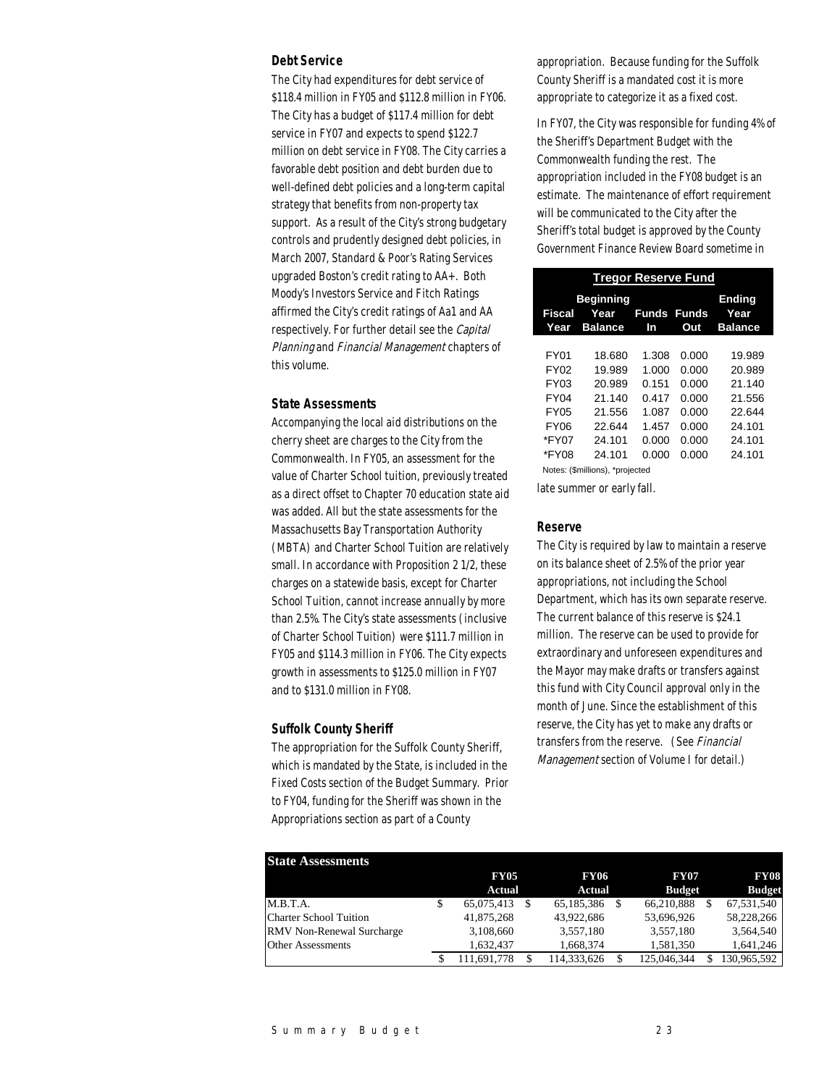### *Debt Service*

The City had expenditures for debt service of \$118.4 million in FY05 and \$112.8 million in FY06. The City has a budget of \$117.4 million for debt service in FY07 and expects to spend \$122.7 million on debt service in FY08. The City carries a favorable debt position and debt burden due to well-defined debt policies and a long-term capital strategy that benefits from non-property tax support. As a result of the City's strong budgetary controls and prudently designed debt policies, in March 2007, Standard & Poor's Rating Services upgraded Boston's credit rating to AA+. Both Moody's Investors Service and Fitch Ratings affirmed the City's credit ratings of Aa1 and AA respectively. For further detail see the Capital Planning and Financial Management chapters of this volume.

## *State Assessments*

Accompanying the local aid distributions on the cherry sheet are charges to the City from the Commonwealth. In FY05, an assessment for the value of Charter School tuition, previously treated as a direct offset to Chapter 70 education state aid was added. All but the state assessments for the Massachusetts Bay Transportation Authority (MBTA) and Charter School Tuition are relatively small. In accordance with Proposition 2 1/2, these charges on a statewide basis, except for Charter School Tuition, cannot increase annually by more than 2.5%. The City's state assessments (inclusive of Charter School Tuition) were \$111.7 million in FY05 and \$114.3 million in FY06. The City expects growth in assessments to \$125.0 million in FY07 and to \$131.0 million in FY08.

#### *Suffolk County Sheriff*

The appropriation for the Suffolk County Sheriff, which is mandated by the State, is included in the Fixed Costs section of the Budget Summary. Prior to FY04, funding for the Sheriff was shown in the Appropriations section as part of a County

appropriation. Because funding for the Suffolk County Sheriff is a mandated cost it is more appropriate to categorize it as a fixed cost.

In FY07, the City was responsible for funding 4% of the Sheriff's Department Budget with the Commonwealth funding the rest. The appropriation included in the FY08 budget is an estimate. The maintenance of effort requirement will be communicated to the City after the Sheriff's total budget is approved by the County Government Finance Review Board sometime in

| <b>Tregor Reserve Fund</b> |                                            |                          |       |                                  |  |
|----------------------------|--------------------------------------------|--------------------------|-------|----------------------------------|--|
| Fiscal<br>Year             | <b>Beginning</b><br>Year<br><b>Balance</b> | <b>Funds Funds</b><br>In | Out   | Ending<br>Year<br><b>Balance</b> |  |
|                            |                                            |                          |       |                                  |  |
| <b>FY01</b>                | 18.680                                     | 1.308                    | 0.000 | 19.989                           |  |
| FY02                       | 19.989                                     | 1.000                    | 0.000 | 20.989                           |  |
| FY03                       | 20.989                                     | 0.151                    | 0.000 | 21.140                           |  |
| <b>FY04</b>                | 21.140                                     | 0.417                    | 0.000 | 21.556                           |  |
| <b>FY05</b>                | 21.556                                     | 1.087                    | 0.000 | 22.644                           |  |
| <b>FY06</b>                | 22.644                                     | 1.457                    | 0.000 | 24.101                           |  |
| *FY07                      | 24.101                                     | 0.000                    | 0.000 | 24.101                           |  |
| *FY08                      | 24.101                                     | 0.000                    | 0.000 | 24.101                           |  |
|                            | Notes: (\$millions), *projected            |                          |       |                                  |  |

late summer or early fall.

#### *Reserve*

The City is required by law to maintain a reserve on its balance sheet of 2.5% of the prior year appropriations, not including the School Department, which has its own separate reserve. The current balance of this reserve is \$24.1 million. The reserve can be used to provide for extraordinary and unforeseen expenditures and the Mayor may make drafts or transfers against this fund with City Council approval only in the month of June. Since the establishment of this reserve, the City has yet to make any drafts or transfers from the reserve. (See Financial Management section of Volume I for detail.)

| <b>State Assessments</b>         |               |               |               |               |
|----------------------------------|---------------|---------------|---------------|---------------|
|                                  | <b>FY05</b>   | <b>FY06</b>   | <b>FY07</b>   | <b>FY08</b>   |
|                                  | <b>Actual</b> | <b>Actual</b> | <b>Budget</b> | <b>Budget</b> |
| M.B.T.A.                         | 65,075,413    | 65.185.386    | 66,210,888    | 67,531,540    |
| <b>Charter School Tuition</b>    | 41,875,268    | 43.922.686    | 53,696,926    | 58,228,266    |
| <b>RMV</b> Non-Renewal Surcharge | 3,108,660     | 3.557.180     | 3,557,180     | 3,564,540     |
| <b>Other Assessments</b>         | 1.632.437     | 1.668.374     | 1.581.350     | 1,641,246     |
|                                  | .691.778      | 114.333.626   | 125,046,344   | 130.965.592   |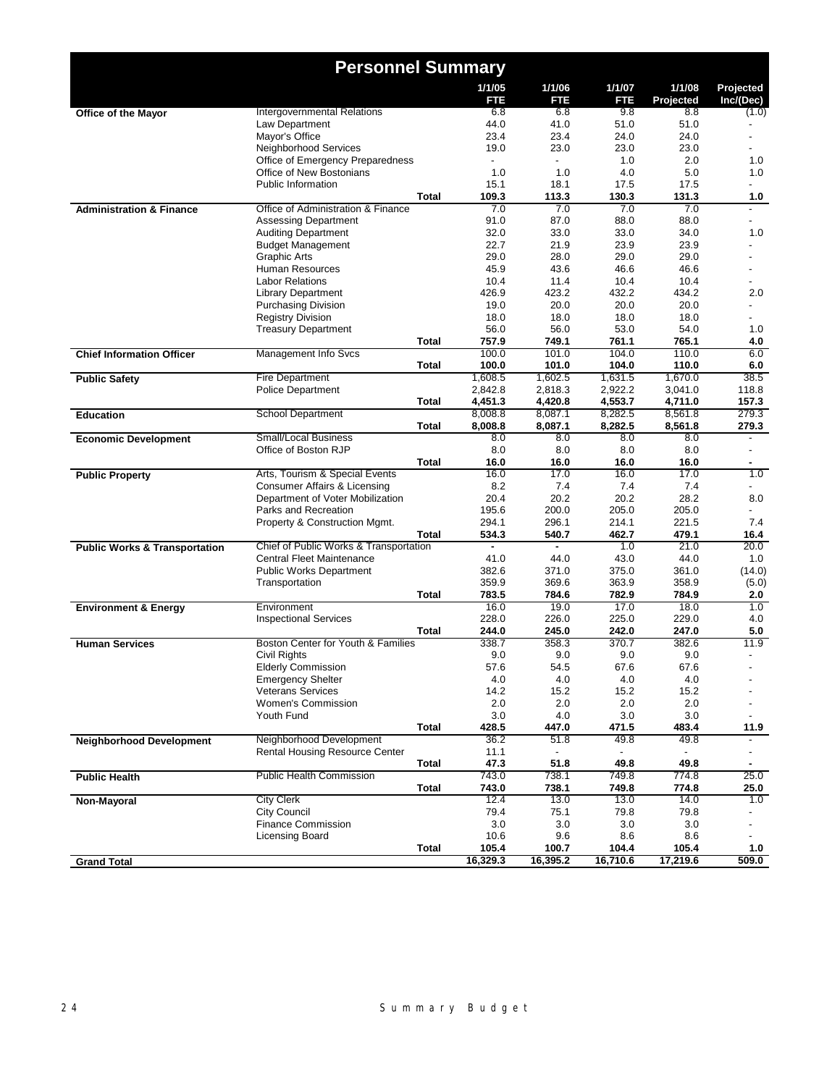|                                          | <b>Personnel Summary</b>                              |              |                          |                    |                    |                     |                          |
|------------------------------------------|-------------------------------------------------------|--------------|--------------------------|--------------------|--------------------|---------------------|--------------------------|
|                                          |                                                       |              | 1/1/05<br>FTE            | 1/1/06<br>FTE      | 1/1/07<br>FTE      | 1/1/08<br>Projected | Projected<br>Inc/(Dec)   |
| <b>Office of the Mayor</b>               | Intergovernmental Relations                           |              | 6.8                      | 6.8                | 9.8                | 8.8                 | (1.0)                    |
|                                          | Law Department                                        |              | 44.0                     | 41.0               | 51.0               | 51.0                |                          |
|                                          | Mayor's Office                                        |              | 23.4                     | 23.4               | 24.0               | 24.0                |                          |
|                                          | Neighborhood Services                                 |              | 19.0                     | 23.0               | 23.0               | 23.0                |                          |
|                                          | Office of Emergency Preparedness                      |              | $\overline{\phantom{0}}$ |                    | 1.0                | 2.0                 | 1.0                      |
|                                          | Office of New Bostonians                              |              | 1.0                      | 1.0                | 4.0                | 5.0                 | 1.0                      |
|                                          | Public Information                                    | Total        | 15.1<br>109.3            | 18.1               | 17.5<br>130.3      | 17.5<br>131.3       |                          |
| <b>Administration &amp; Finance</b>      | Office of Administration & Finance                    |              | 7.0                      | 113.3<br>7.0       | 7.0                | 7.0                 | 1.0                      |
|                                          | <b>Assessing Department</b>                           |              | 91.0                     | 87.0               | 88.0               | 88.0                |                          |
|                                          | <b>Auditing Department</b>                            |              | 32.0                     | 33.0               | 33.0               | 34.0                | 1.0                      |
|                                          | <b>Budget Management</b>                              |              | 22.7                     | 21.9               | 23.9               | 23.9                |                          |
|                                          | <b>Graphic Arts</b>                                   |              | 29.0                     | 28.0               | 29.0               | 29.0                |                          |
|                                          | Human Resources                                       |              | 45.9                     | 43.6               | 46.6               | 46.6                |                          |
|                                          | <b>Labor Relations</b>                                |              | 10.4                     | 11.4               | 10.4               | 10.4                |                          |
|                                          | <b>Library Department</b>                             |              | 426.9                    | 423.2              | 432.2              | 434.2               | 2.0                      |
|                                          | <b>Purchasing Division</b>                            |              | 19.0                     | 20.0               | 20.0               | 20.0                |                          |
|                                          | <b>Registry Division</b>                              |              | 18.0                     | 18.0               | 18.0               | 18.0                |                          |
|                                          | <b>Treasury Department</b>                            |              | 56.0                     | 56.0               | 53.0               | 54.0                | 1.0                      |
|                                          |                                                       | <b>Total</b> | 757.9                    | 749.1              | 761.1              | 765.1               | 4.0                      |
| <b>Chief Information Officer</b>         | Management Info Svcs                                  |              | 100.0                    | 101.0              | 104.0              | 110.0               | 6.0                      |
|                                          |                                                       | <b>Total</b> | 100.0                    | 101.0              | 104.0              | 110.0               | 6.0                      |
| <b>Public Safety</b>                     | <b>Fire Department</b><br><b>Police Department</b>    |              | 1,608.5<br>2,842.8       | 1,602.5<br>2,818.3 | 1,631.5<br>2,922.2 | 1,670.0<br>3,041.0  | 38.5<br>118.8            |
|                                          |                                                       | <b>Total</b> | 4,451.3                  | 4,420.8            | 4,553.7            | 4,711.0             | 157.3                    |
| <b>Education</b>                         | <b>School Department</b>                              |              | 8,008.8                  | 8,087.1            | 8,282.5            | 8,561.8             | 279.3                    |
|                                          |                                                       | Total        | 8,008.8                  | 8,087.1            | 8,282.5            | 8,561.8             | 279.3                    |
| <b>Economic Development</b>              | <b>Small/Local Business</b>                           |              | 8.0                      | 8.0                | 8.0                | 8.0                 |                          |
|                                          | Office of Boston RJP                                  |              | 8.0                      | 8.0                | 8.0                | 8.0                 | $\overline{a}$           |
|                                          |                                                       | Total        | 16.0                     | 16.0               | 16.0               | 16.0                | ۰                        |
| <b>Public Property</b>                   | Arts, Tourism & Special Events                        |              | 16.0                     | 17.0               | 16.0               | 17.0                | 1.0                      |
|                                          | Consumer Affairs & Licensing                          |              | 8.2                      | 7.4                | 7.4                | 7.4                 | $\overline{\phantom{0}}$ |
|                                          | Department of Voter Mobilization                      |              | 20.4                     | 20.2               | 20.2               | 28.2                | 8.0                      |
|                                          | Parks and Recreation                                  |              | 195.6                    | 200.0              | 205.0              | 205.0               |                          |
|                                          | Property & Construction Mgmt.                         | Total        | 294.1<br>534.3           | 296.1<br>540.7     | 214.1<br>462.7     | 221.5<br>479.1      | 7.4<br>16.4              |
| <b>Public Works &amp; Transportation</b> | Chief of Public Works & Transportation                |              | ٠                        | $\blacksquare$     | 1.0                | 21.0                | 20.0                     |
|                                          | Central Fleet Maintenance                             |              | 41.0                     | 44.0               | 43.0               | 44.0                | 1.0                      |
|                                          | <b>Public Works Department</b>                        |              | 382.6                    | 371.0              | 375.0              | 361.0               | (14.0)                   |
|                                          | Transportation                                        |              | 359.9                    | 369.6              | 363.9              | 358.9               | (5.0)                    |
|                                          |                                                       | Total        | 783.5                    | 784.6              | 782.9              | 784.9               | 2.0                      |
| <b>Environment &amp; Energy</b>          | Environment                                           |              | 16.0                     | 19.0               | 17.0               | 18.0                | 1.0                      |
|                                          | <b>Inspectional Services</b>                          |              | 228.0                    | 226.0              | 225.0              | 229.0               | 4.0                      |
|                                          |                                                       | <b>Total</b> | 244.0                    | 245.0              | 242.0              | 247.0               | 5.0                      |
| <b>Human Services</b>                    | Boston Center for Youth & Families                    |              | 338.7                    | 358.3              | 370.7              | 382.6               | 11.9                     |
|                                          | Civil Rights                                          |              | 9.0                      | 9.0                | 9.0                | 9.0                 | $\blacksquare$           |
|                                          | <b>Elderly Commission</b>                             |              | 57.6                     | 54.5               | 67.6               | 67.6                |                          |
|                                          | <b>Emergency Shelter</b>                              |              | 4.0                      | 4.0                | 4.0                | 4.0                 |                          |
|                                          | <b>Veterans Services</b><br><b>Women's Commission</b> |              | 14.2                     | 15.2               | 15.2               | 15.2                |                          |
|                                          | Youth Fund                                            |              | 2.0<br>3.0               | 2.0<br>4.0         | 2.0<br>3.0         | 2.0<br>3.0          |                          |
|                                          |                                                       | <b>Total</b> | 428.5                    | 447.0              | 471.5              | 483.4               | 11.9                     |
| <b>Neighborhood Development</b>          | Neighborhood Development                              |              | 36.2                     | 51.8               | 49.8               | 49.8                |                          |
|                                          | Rental Housing Resource Center                        |              | 11.1                     |                    |                    |                     |                          |
|                                          |                                                       | Total        | 47.3                     | 51.8               | 49.8               | 49.8                |                          |
| <b>Public Health</b>                     | <b>Public Health Commission</b>                       |              | 743.0                    | 738.1              | 749.8              | 774.8               | 25.0                     |
|                                          |                                                       | <b>Total</b> | 743.0                    | 738.1              | 749.8              | 774.8               | 25.0                     |
| Non-Mayoral                              | <b>City Clerk</b>                                     |              | 12.4                     | 13.0               | 13.0               | 14.0                | 1.0                      |
|                                          | <b>City Council</b>                                   |              | 79.4                     | 75.1               | 79.8               | 79.8                |                          |
|                                          | <b>Finance Commission</b>                             |              | 3.0                      | 3.0                | 3.0                | 3.0                 |                          |
|                                          | Licensing Board                                       |              | 10.6                     | 9.6                | 8.6                | 8.6                 |                          |
|                                          |                                                       | Total        | 105.4                    | 100.7              | 104.4              | 105.4               | 1.0                      |
| <b>Grand Total</b>                       |                                                       |              | 16,329.3                 | 16,395.2           | 16,710.6           | 17,219.6            | 509.0                    |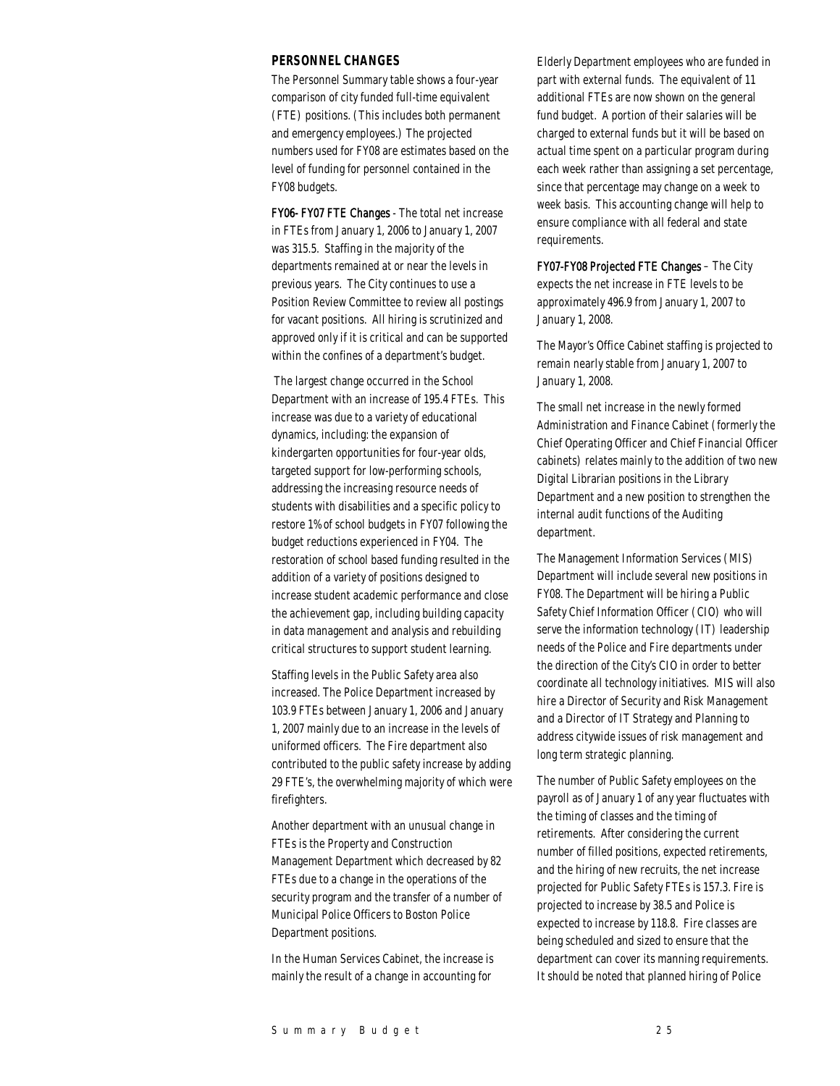## *PERSONNEL CHANGES*

The Personnel Summary table shows a four-year comparison of city funded full-time equivalent (FTE) positions. (This includes both permanent and emergency employees.) The projected numbers used for FY08 are estimates based on the level of funding for personnel contained in the FY08 budgets.

FY06- FY07 FTE Changes - The total net increase in FTEs from January 1, 2006 to January 1, 2007 was 315.5. Staffing in the majority of the departments remained at or near the levels in previous years. The City continues to use a Position Review Committee to review all postings for vacant positions. All hiring is scrutinized and approved only if it is critical and can be supported within the confines of a department's budget.

 The largest change occurred in the School Department with an increase of 195.4 FTEs. This increase was due to a variety of educational dynamics, including: the expansion of kindergarten opportunities for four-year olds, targeted support for low-performing schools, addressing the increasing resource needs of students with disabilities and a specific policy to restore 1% of school budgets in FY07 following the budget reductions experienced in FY04. The restoration of school based funding resulted in the addition of a variety of positions designed to increase student academic performance and close the achievement gap, including building capacity in data management and analysis and rebuilding critical structures to support student learning.

Staffing levels in the Public Safety area also increased. The Police Department increased by 103.9 FTEs between January 1, 2006 and January 1, 2007 mainly due to an increase in the levels of uniformed officers. The Fire department also contributed to the public safety increase by adding 29 FTE's, the overwhelming majority of which were firefighters.

Another department with an unusual change in FTEs is the Property and Construction Management Department which decreased by 82 FTEs due to a change in the operations of the security program and the transfer of a number of Municipal Police Officers to Boston Police Department positions.

In the Human Services Cabinet, the increase is mainly the result of a change in accounting for

Elderly Department employees who are funded in part with external funds. The equivalent of 11 additional FTEs are now shown on the general fund budget. A portion of their salaries will be charged to external funds but it will be based on actual time spent on a particular program during each week rather than assigning a set percentage, since that percentage may change on a week to week basis. This accounting change will help to ensure compliance with all federal and state requirements.

FY07-FY08 Projected FTE Changes – The City expects the net increase in FTE levels to be approximately 496.9 from January 1, 2007 to January 1, 2008.

The Mayor's Office Cabinet staffing is projected to remain nearly stable from January 1, 2007 to January 1, 2008.

The small net increase in the newly formed Administration and Finance Cabinet (formerly the Chief Operating Officer and Chief Financial Officer cabinets) relates mainly to the addition of two new Digital Librarian positions in the Library Department and a new position to strengthen the internal audit functions of the Auditing department.

The Management Information Services (MIS) Department will include several new positions in FY08. The Department will be hiring a Public Safety Chief Information Officer (CIO) who will serve the information technology (IT) leadership needs of the Police and Fire departments under the direction of the City's CIO in order to better coordinate all technology initiatives. MIS will also hire a Director of Security and Risk Management and a Director of IT Strategy and Planning to address citywide issues of risk management and long term strategic planning.

The number of Public Safety employees on the payroll as of January 1 of any year fluctuates with the timing of classes and the timing of retirements. After considering the current number of filled positions, expected retirements, and the hiring of new recruits, the net increase projected for Public Safety FTEs is 157.3. Fire is projected to increase by 38.5 and Police is expected to increase by 118.8. Fire classes are being scheduled and sized to ensure that the department can cover its manning requirements. It should be noted that planned hiring of Police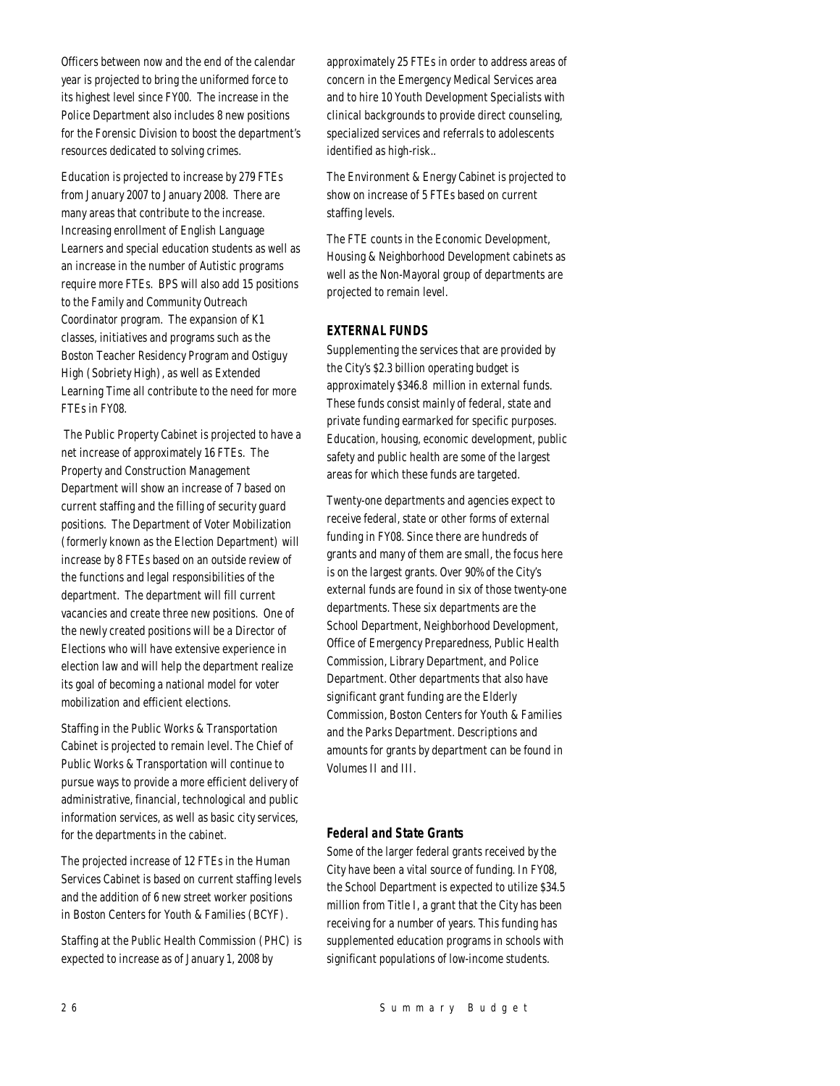Officers between now and the end of the calendar year is projected to bring the uniformed force to its highest level since FY00. The increase in the Police Department also includes 8 new positions for the Forensic Division to boost the department's resources dedicated to solving crimes.

Education is projected to increase by 279 FTEs from January 2007 to January 2008. There are many areas that contribute to the increase. Increasing enrollment of English Language Learners and special education students as well as an increase in the number of Autistic programs require more FTEs. BPS will also add 15 positions to the Family and Community Outreach Coordinator program. The expansion of K1 classes, initiatives and programs such as the Boston Teacher Residency Program and Ostiguy High (Sobriety High), as well as Extended Learning Time all contribute to the need for more FTEs in FY08.

 The Public Property Cabinet is projected to have a net increase of approximately 16 FTEs. The Property and Construction Management Department will show an increase of 7 based on current staffing and the filling of security guard positions. The Department of Voter Mobilization (formerly known as the Election Department) will increase by 8 FTEs based on an outside review of the functions and legal responsibilities of the department. The department will fill current vacancies and create three new positions. One of the newly created positions will be a Director of Elections who will have extensive experience in election law and will help the department realize its goal of becoming a national model for voter mobilization and efficient elections.

Staffing in the Public Works & Transportation Cabinet is projected to remain level. The Chief of Public Works & Transportation will continue to pursue ways to provide a more efficient delivery of administrative, financial, technological and public information services, as well as basic city services, for the departments in the cabinet.

The projected increase of 12 FTEs in the Human Services Cabinet is based on current staffing levels and the addition of 6 new street worker positions in Boston Centers for Youth & Families (BCYF).

Staffing at the Public Health Commission (PHC) is expected to increase as of January 1, 2008 by

approximately 25 FTEs in order to address areas of concern in the Emergency Medical Services area and to hire 10 Youth Development Specialists with clinical backgrounds to provide direct counseling, specialized services and referrals to adolescents identified as high-risk..

The Environment & Energy Cabinet is projected to show on increase of 5 FTEs based on current staffing levels.

The FTE counts in the Economic Development, Housing & Neighborhood Development cabinets as well as the Non-Mayoral group of departments are projected to remain level.

## *EXTERNAL FUNDS*

Supplementing the services that are provided by the City's \$2.3 billion operating budget is approximately \$346.8 million in external funds. These funds consist mainly of federal, state and private funding earmarked for specific purposes. Education, housing, economic development, public safety and public health are some of the largest areas for which these funds are targeted.

Twenty-one departments and agencies expect to receive federal, state or other forms of external funding in FY08. Since there are hundreds of grants and many of them are small, the focus here is on the largest grants. Over 90% of the City's external funds are found in six of those twenty-one departments. These six departments are the School Department, Neighborhood Development, Office of Emergency Preparedness, Public Health Commission, Library Department, and Police Department. Other departments that also have significant grant funding are the Elderly Commission, Boston Centers for Youth & Families and the Parks Department. Descriptions and amounts for grants by department can be found in Volumes II and III.

## *Federal and State Grants*

Some of the larger federal grants received by the City have been a vital source of funding. In FY08, the School Department is expected to utilize \$34.5 million from Title I, a grant that the City has been receiving for a number of years. This funding has supplemented education programs in schools with significant populations of low-income students.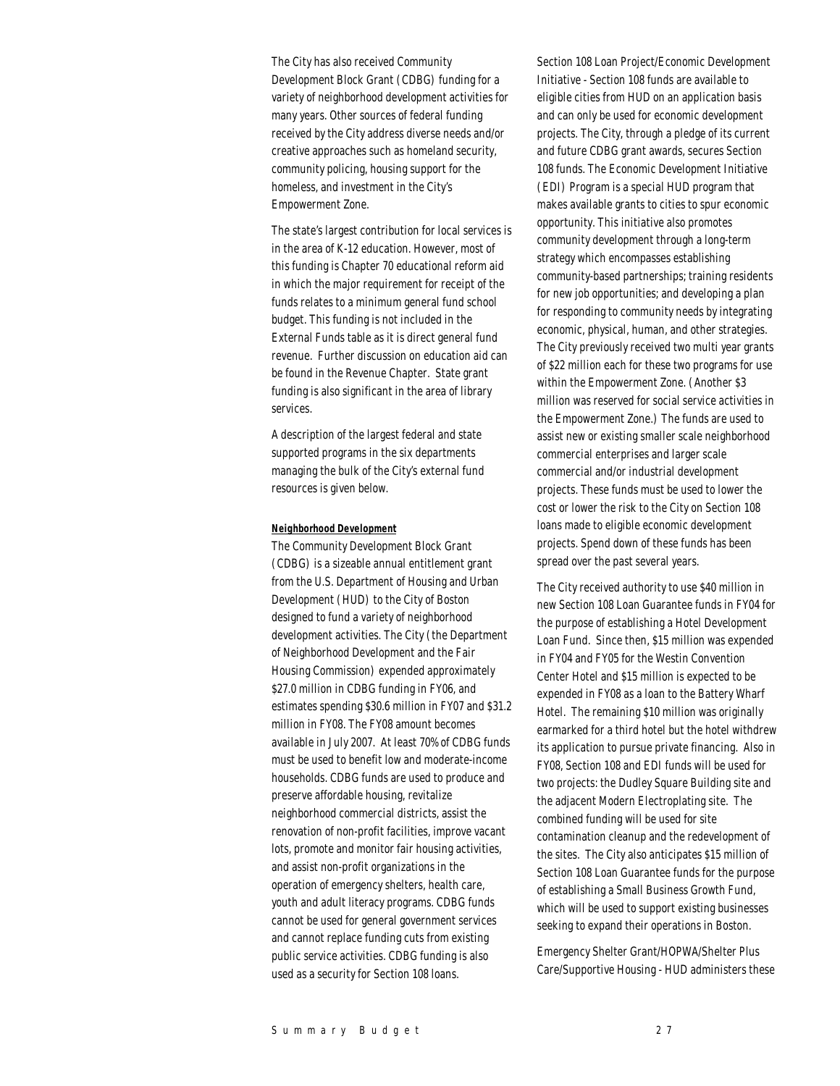The City has also received Community Development Block Grant (CDBG) funding for a variety of neighborhood development activities for many years. Other sources of federal funding received by the City address diverse needs and/or creative approaches such as homeland security, community policing, housing support for the homeless, and investment in the City's Empowerment Zone.

The state's largest contribution for local services is in the area of K-12 education. However, most of this funding is Chapter 70 educational reform aid in which the major requirement for receipt of the funds relates to a minimum general fund school budget. This funding is not included in the External Funds table as it is direct general fund revenue. Further discussion on education aid can be found in the Revenue Chapter. State grant funding is also significant in the area of library services.

A description of the largest federal and state supported programs in the six departments managing the bulk of the City's external fund resources is given below.

#### *Neighborhood Development*

The Community Development Block Grant (CDBG) is a sizeable annual entitlement grant from the U.S. Department of Housing and Urban Development (HUD) to the City of Boston designed to fund a variety of neighborhood development activities. The City (the Department of Neighborhood Development and the Fair Housing Commission) expended approximately \$27.0 million in CDBG funding in FY06, and estimates spending \$30.6 million in FY07 and \$31.2 million in FY08. The FY08 amount becomes available in July 2007. At least 70% of CDBG funds must be used to benefit low and moderate-income households. CDBG funds are used to produce and preserve affordable housing, revitalize neighborhood commercial districts, assist the renovation of non-profit facilities, improve vacant lots, promote and monitor fair housing activities, and assist non-profit organizations in the operation of emergency shelters, health care, youth and adult literacy programs. CDBG funds cannot be used for general government services and cannot replace funding cuts from existing public service activities. CDBG funding is also used as a security for Section 108 loans.

Section 108 Loan Project/Economic Development Initiative - Section 108 funds are available to eligible cities from HUD on an application basis and can only be used for economic development projects. The City, through a pledge of its current and future CDBG grant awards, secures Section 108 funds. The Economic Development Initiative (EDI) Program is a special HUD program that makes available grants to cities to spur economic opportunity. This initiative also promotes community development through a long-term strategy which encompasses establishing community-based partnerships; training residents for new job opportunities; and developing a plan for responding to community needs by integrating economic, physical, human, and other strategies. The City previously received two multi year grants of \$22 million each for these two programs for use within the Empowerment Zone. (Another \$3 million was reserved for social service activities in the Empowerment Zone.) The funds are used to assist new or existing smaller scale neighborhood commercial enterprises and larger scale commercial and/or industrial development projects. These funds must be used to lower the cost or lower the risk to the City on Section 108 loans made to eligible economic development projects. Spend down of these funds has been spread over the past several years.

The City received authority to use \$40 million in new Section 108 Loan Guarantee funds in FY04 for the purpose of establishing a Hotel Development Loan Fund. Since then, \$15 million was expended in FY04 and FY05 for the Westin Convention Center Hotel and \$15 million is expected to be expended in FY08 as a loan to the Battery Wharf Hotel. The remaining \$10 million was originally earmarked for a third hotel but the hotel withdrew its application to pursue private financing. Also in FY08, Section 108 and EDI funds will be used for two projects: the Dudley Square Building site and the adjacent Modern Electroplating site. The combined funding will be used for site contamination cleanup and the redevelopment of the sites. The City also anticipates \$15 million of Section 108 Loan Guarantee funds for the purpose of establishing a Small Business Growth Fund, which will be used to support existing businesses seeking to expand their operations in Boston.

Emergency Shelter Grant/HOPWA/Shelter Plus Care/Supportive Housing - HUD administers these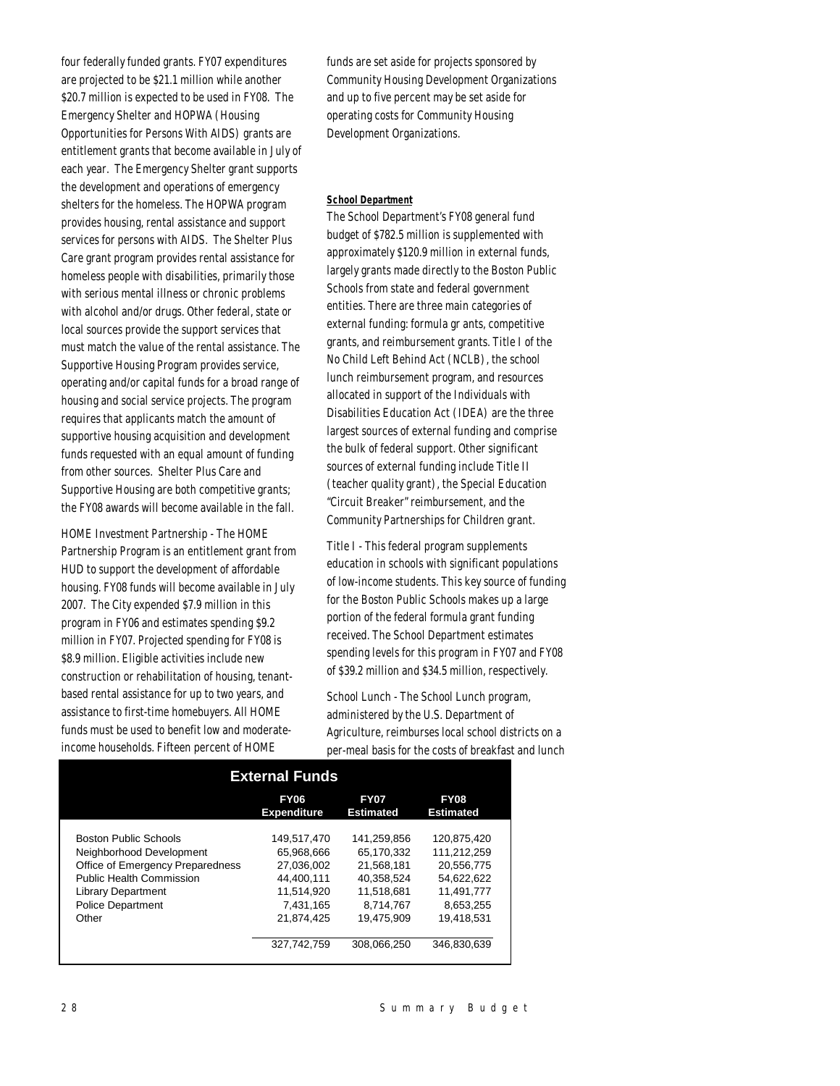four federally funded grants. FY07 expenditures are projected to be \$21.1 million while another \$20.7 million is expected to be used in FY08. The Emergency Shelter and HOPWA (Housing Opportunities for Persons With AIDS) grants are entitlement grants that become available in July of each year. The Emergency Shelter grant supports the development and operations of emergency shelters for the homeless. The HOPWA program provides housing, rental assistance and support services for persons with AIDS. The Shelter Plus Care grant program provides rental assistance for homeless people with disabilities, primarily those with serious mental illness or chronic problems with alcohol and/or drugs. Other federal, state or local sources provide the support services that must match the value of the rental assistance. The Supportive Housing Program provides service, operating and/or capital funds for a broad range of housing and social service projects. The program requires that applicants match the amount of supportive housing acquisition and development funds requested with an equal amount of funding from other sources. Shelter Plus Care and Supportive Housing are both competitive grants; the FY08 awards will become available in the fall.

HOME Investment Partnership - The HOME Partnership Program is an entitlement grant from HUD to support the development of affordable housing. FY08 funds will become available in July 2007. The City expended \$7.9 million in this program in FY06 and estimates spending \$9.2 million in FY07. Projected spending for FY08 is \$8.9 million. Eligible activities include new construction or rehabilitation of housing, tenantbased rental assistance for up to two years, and assistance to first-time homebuyers. All HOME funds must be used to benefit low and moderateincome households. Fifteen percent of HOME

funds are set aside for projects sponsored by Community Housing Development Organizations and up to five percent may be set aside for operating costs for Community Housing Development Organizations.

#### *School Department*

The School Department's FY08 general fund budget of \$782.5 million is supplemented with approximately \$120.9 million in external funds, largely grants made directly to the Boston Public Schools from state and federal government entities. There are three main categories of external funding: formula gr ants, competitive grants, and reimbursement grants. Title I of the No Child Left Behind Act (NCLB), the school lunch reimbursement program, and resources allocated in support of the Individuals with Disabilities Education Act (IDEA) are the three largest sources of external funding and comprise the bulk of federal support. Other significant sources of external funding include Title II (teacher quality grant), the Special Education "Circuit Breaker" reimbursement, and the Community Partnerships for Children grant.

Title I - This federal program supplements education in schools with significant populations of low-income students. This key source of funding for the Boston Public Schools makes up a large portion of the federal formula grant funding received. The School Department estimates spending levels for this program in FY07 and FY08 of \$39.2 million and \$34.5 million, respectively.

School Lunch - The School Lunch program, administered by the U.S. Department of Agriculture, reimburses local school districts on a per-meal basis for the costs of breakfast and lunch

| <b>External Funds</b>            |                                   |                                 |                                 |  |  |  |
|----------------------------------|-----------------------------------|---------------------------------|---------------------------------|--|--|--|
|                                  | <b>FY06</b><br><b>Expenditure</b> | <b>FY07</b><br><b>Estimated</b> | <b>FY08</b><br><b>Estimated</b> |  |  |  |
|                                  |                                   |                                 |                                 |  |  |  |
| <b>Boston Public Schools</b>     | 149.517.470                       | 141.259.856                     | 120.875.420                     |  |  |  |
| Neighborhood Development         | 65.968.666                        | 65.170.332                      | 111.212.259                     |  |  |  |
| Office of Emergency Preparedness | 27.036.002                        | 21.568.181                      | 20.556.775                      |  |  |  |
| <b>Public Health Commission</b>  | 44.400.111                        | 40.358.524                      | 54.622.622                      |  |  |  |
| <b>Library Department</b>        | 11.514.920                        | 11.518.681                      | 11.491.777                      |  |  |  |
| <b>Police Department</b>         | 7.431.165                         | 8.714.767                       | 8,653,255                       |  |  |  |
| Other                            | 21.874.425                        | 19.475.909                      | 19.418.531                      |  |  |  |
|                                  | 327.742.759                       | 308.066.250                     | 346.830.639                     |  |  |  |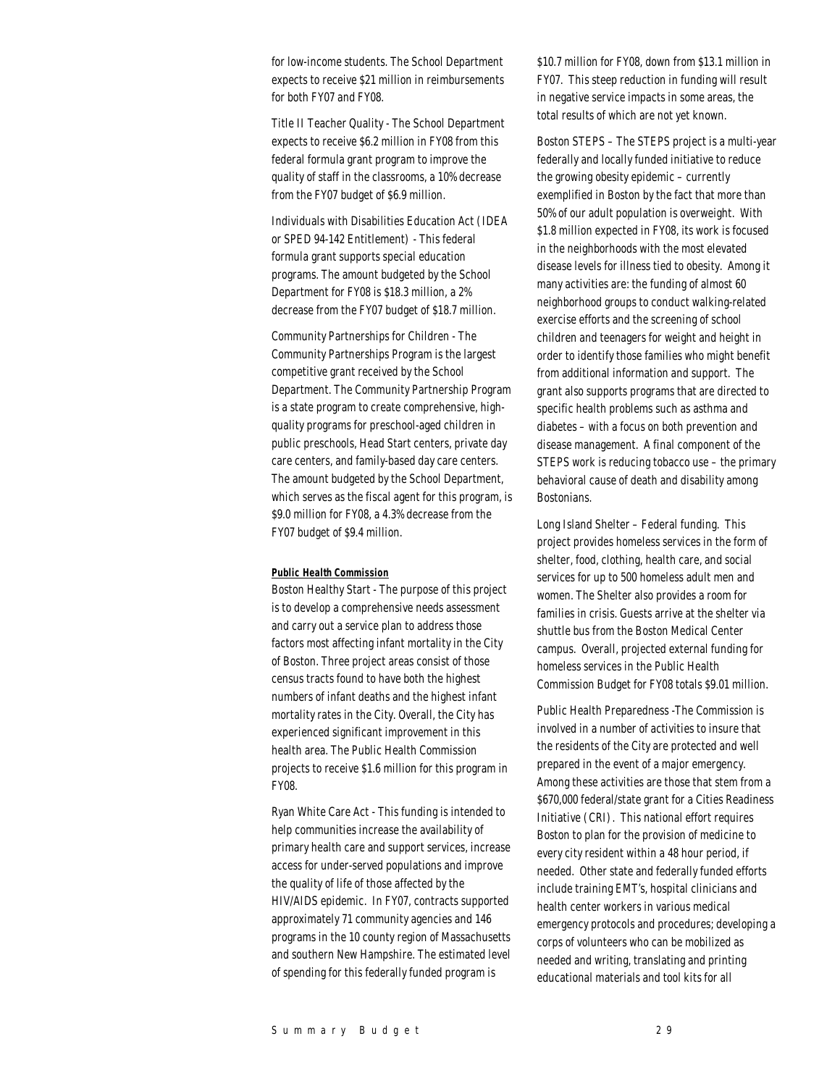for low-income students. The School Department expects to receive \$21 million in reimbursements for both FY07 and FY08.

Title II Teacher Quality - The School Department expects to receive \$6.2 million in FY08 from this federal formula grant program to improve the quality of staff in the classrooms, a 10% decrease from the FY07 budget of \$6.9 million.

Individuals with Disabilities Education Act (IDEA or SPED 94-142 Entitlement) - This federal formula grant supports special education programs. The amount budgeted by the School Department for FY08 is \$18.3 million, a 2% decrease from the FY07 budget of \$18.7 million.

Community Partnerships for Children - The Community Partnerships Program is the largest competitive grant received by the School Department. The Community Partnership Program is a state program to create comprehensive, highquality programs for preschool-aged children in public preschools, Head Start centers, private day care centers, and family-based day care centers. The amount budgeted by the School Department, which serves as the fiscal agent for this program, is \$9.0 million for FY08, a 4.3% decrease from the FY07 budget of \$9.4 million.

#### *Public Health Commission*

Boston Healthy Start - The purpose of this project is to develop a comprehensive needs assessment and carry out a service plan to address those factors most affecting infant mortality in the City of Boston. Three project areas consist of those census tracts found to have both the highest numbers of infant deaths and the highest infant mortality rates in the City. Overall, the City has experienced significant improvement in this health area. The Public Health Commission projects to receive \$1.6 million for this program in FY08.

Ryan White Care Act - This funding is intended to help communities increase the availability of primary health care and support services, increase access for under-served populations and improve the quality of life of those affected by the HIV/AIDS epidemic. In FY07, contracts supported approximately 71 community agencies and 146 programs in the 10 county region of Massachusetts and southern New Hampshire. The estimated level of spending for this federally funded program is

\$10.7 million for FY08, down from \$13.1 million in FY07. This steep reduction in funding will result in negative service impacts in some areas, the total results of which are not yet known.

Boston STEPS – The STEPS project is a multi-year federally and locally funded initiative to reduce the growing obesity epidemic – currently exemplified in Boston by the fact that more than 50% of our adult population is overweight. With \$1.8 million expected in FY08, its work is focused in the neighborhoods with the most elevated disease levels for illness tied to obesity. Among it many activities are: the funding of almost 60 neighborhood groups to conduct walking-related exercise efforts and the screening of school children and teenagers for weight and height in order to identify those families who might benefit from additional information and support. The grant also supports programs that are directed to specific health problems such as asthma and diabetes – with a focus on both prevention and disease management. A final component of the STEPS work is reducing tobacco use – the primary behavioral cause of death and disability among Bostonians.

Long Island Shelter – Federal funding. This project provides homeless services in the form of shelter, food, clothing, health care, and social services for up to 500 homeless adult men and women. The Shelter also provides a room for families in crisis. Guests arrive at the shelter via shuttle bus from the Boston Medical Center campus. Overall, projected external funding for homeless services in the Public Health Commission Budget for FY08 totals \$9.01 million.

Public Health Preparedness -The Commission is involved in a number of activities to insure that the residents of the City are protected and well prepared in the event of a major emergency. Among these activities are those that stem from a \$670,000 federal/state grant for a Cities Readiness Initiative (CRI). This national effort requires Boston to plan for the provision of medicine to every city resident within a 48 hour period, if needed. Other state and federally funded efforts include training EMT's, hospital clinicians and health center workers in various medical emergency protocols and procedures; developing a corps of volunteers who can be mobilized as needed and writing, translating and printing educational materials and tool kits for all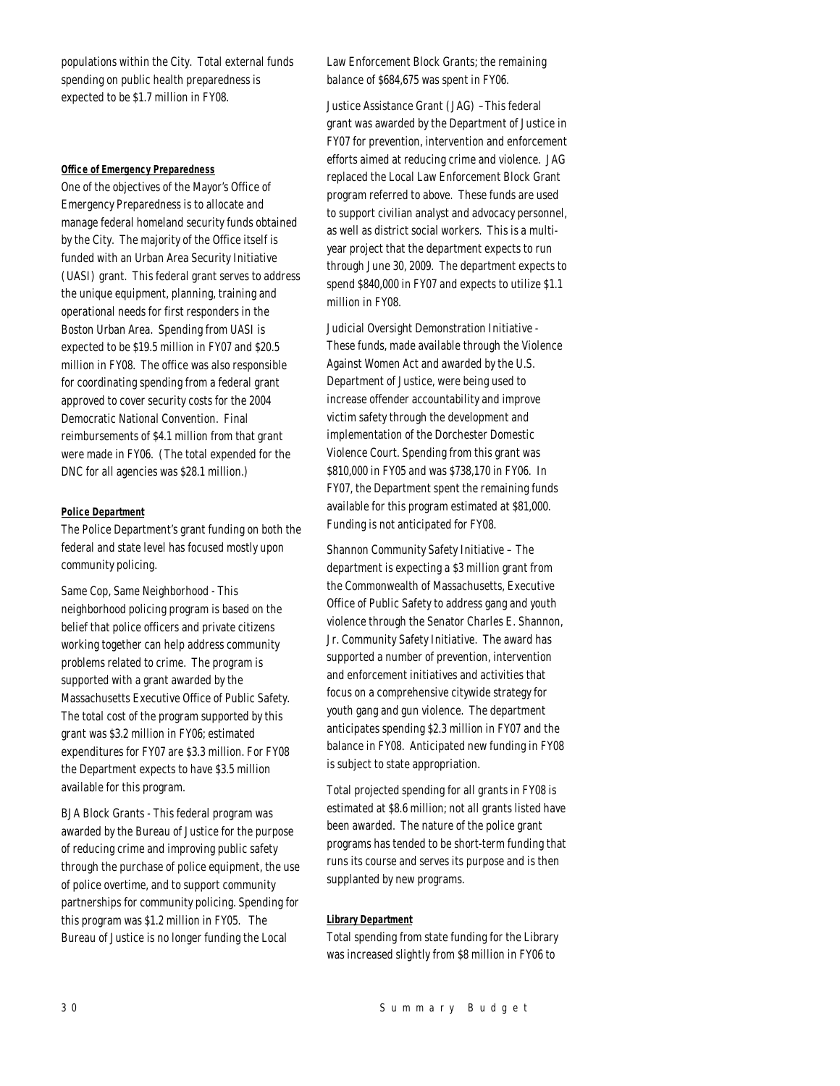populations within the City. Total external funds spending on public health preparedness is expected to be \$1.7 million in FY08.

#### *Office of Emergency Preparedness*

One of the objectives of the Mayor's Office of Emergency Preparedness is to allocate and manage federal homeland security funds obtained by the City. The majority of the Office itself is funded with an Urban Area Security Initiative (UASI) grant. This federal grant serves to address the unique equipment, planning, training and operational needs for first responders in the Boston Urban Area. Spending from UASI is expected to be \$19.5 million in FY07 and \$20.5 million in FY08. The office was also responsible for coordinating spending from a federal grant approved to cover security costs for the 2004 Democratic National Convention. Final reimbursements of \$4.1 million from that grant were made in FY06. (The total expended for the DNC for all agencies was \$28.1 million.)

## *Police Department*

The Police Department's grant funding on both the federal and state level has focused mostly upon community policing.

Same Cop, Same Neighborhood - This neighborhood policing program is based on the belief that police officers and private citizens working together can help address community problems related to crime. The program is supported with a grant awarded by the Massachusetts Executive Office of Public Safety. The total cost of the program supported by this grant was \$3.2 million in FY06; estimated expenditures for FY07 are \$3.3 million. For FY08 the Department expects to have \$3.5 million available for this program.

BJA Block Grants - This federal program was awarded by the Bureau of Justice for the purpose of reducing crime and improving public safety through the purchase of police equipment, the use of police overtime, and to support community partnerships for community policing. Spending for this program was \$1.2 million in FY05. The Bureau of Justice is no longer funding the Local

Law Enforcement Block Grants; the remaining balance of \$684,675 was spent in FY06.

Justice Assistance Grant (JAG) –This federal grant was awarded by the Department of Justice in FY07 for prevention, intervention and enforcement efforts aimed at reducing crime and violence. JAG replaced the Local Law Enforcement Block Grant program referred to above. These funds are used to support civilian analyst and advocacy personnel, as well as district social workers. This is a multiyear project that the department expects to run through June 30, 2009. The department expects to spend \$840,000 in FY07 and expects to utilize \$1.1 million in FY08.

Judicial Oversight Demonstration Initiative - These funds, made available through the Violence Against Women Act and awarded by the U.S. Department of Justice, were being used to increase offender accountability and improve victim safety through the development and implementation of the Dorchester Domestic Violence Court. Spending from this grant was \$810,000 in FY05 and was \$738,170 in FY06. In FY07, the Department spent the remaining funds available for this program estimated at \$81,000. Funding is not anticipated for FY08.

Shannon Community Safety Initiative – The department is expecting a \$3 million grant from the Commonwealth of Massachusetts, Executive Office of Public Safety to address gang and youth violence through the Senator Charles E. Shannon, Jr. Community Safety Initiative. The award has supported a number of prevention, intervention and enforcement initiatives and activities that focus on a comprehensive citywide strategy for youth gang and gun violence. The department anticipates spending \$2.3 million in FY07 and the balance in FY08. Anticipated new funding in FY08 is subject to state appropriation.

Total projected spending for all grants in FY08 is estimated at \$8.6 million; not all grants listed have been awarded. The nature of the police grant programs has tended to be short-term funding that runs its course and serves its purpose and is then supplanted by new programs.

## *Library Department*

Total spending from state funding for the Library was increased slightly from \$8 million in FY06 to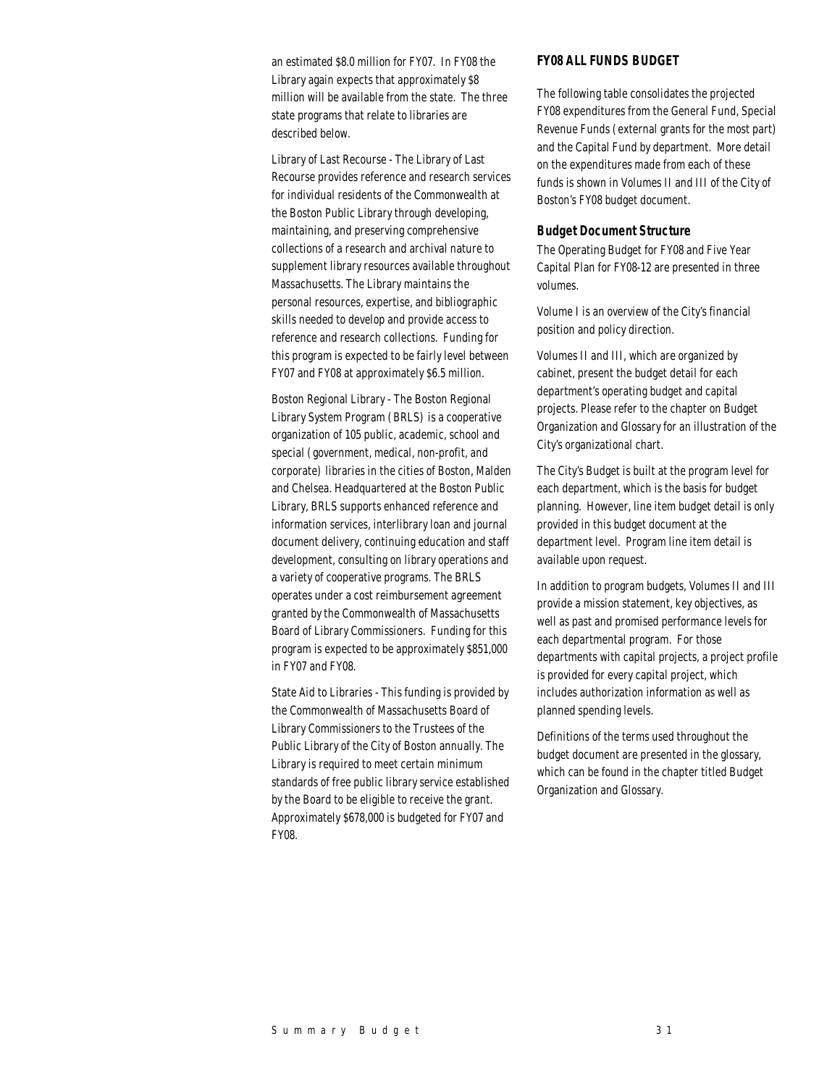an estimated \$8.0 million for FY07. In FY08 the Library again expects that approximately \$8 million will be available from the state. The three state programs that relate to libraries are described below.

Library of Last Recourse - The Library of Last Recourse provides reference and research services for individual residents of the Commonwealth at the Boston Public Library through developing, maintaining, and preserving comprehensive collections of a research and archival nature to supplement library resources available throughout Massachusetts. The Library maintains the personal resources, expertise, and bibliographic skills needed to develop and provide access to reference and research collections. Funding for this program is expected to be fairly level between FY07 and FY08 at approximately \$6.5 million.

Boston Regional Library - The Boston Regional Library System Program (BRLS) is a cooperative organization of 105 public, academic, school and special (government, medical, non-profit, and corporate) libraries in the cities of Boston, Malden and Chelsea. Headquartered at the Boston Public Library, BRLS supports enhanced reference and information services, interlibrary loan and journal document delivery, continuing education and staff development, consulting on library operations and a variety of cooperative programs. The BRLS operates under a cost reimbursement agreement granted by the Commonwealth of Massachusetts Board of Library Commissioners. Funding for this program is expected to be approximately \$851,000 in FY07 and FY08.

State Aid to Libraries - This funding is provided by the Commonwealth of Massachusetts Board of Library Commissioners to the Trustees of the Public Library of the City of Boston annually. The Library is required to meet certain minimum standards of free public library service established by the Board to be eligible to receive the grant. Approximately \$678,000 is budgeted for FY07 and FY08.

## *FY08 ALL FUNDS BUDGET*

The following table consolidates the projected FY08 expenditures from the General Fund, Special Revenue Funds (external grants for the most part) and the Capital Fund by department. More detail on the expenditures made from each of these funds is shown in Volumes II and III of the City of Boston's FY08 budget document.

## *Budget Document Structure*

The Operating Budget for FY08 and Five Year Capital Plan for FY08-12 are presented in three volumes.

Volume I is an overview of the City's financial position and policy direction.

Volumes II and III, which are organized by cabinet, present the budget detail for each department's operating budget and capital projects. Please refer to the chapter on Budget Organization and Glossary for an illustration of the City's organizational chart.

The City's Budget is built at the program level for each department, which is the basis for budget planning. However, line item budget detail is only provided in this budget document at the department level. Program line item detail is available upon request.

In addition to program budgets, Volumes II and III provide a mission statement, key objectives, as well as past and promised performance levels for each departmental program. For those departments with capital projects, a project profile is provided for every capital project, which includes authorization information as well as planned spending levels.

Definitions of the terms used throughout the budget document are presented in the glossary, which can be found in the chapter titled Budget Organization and Glossary.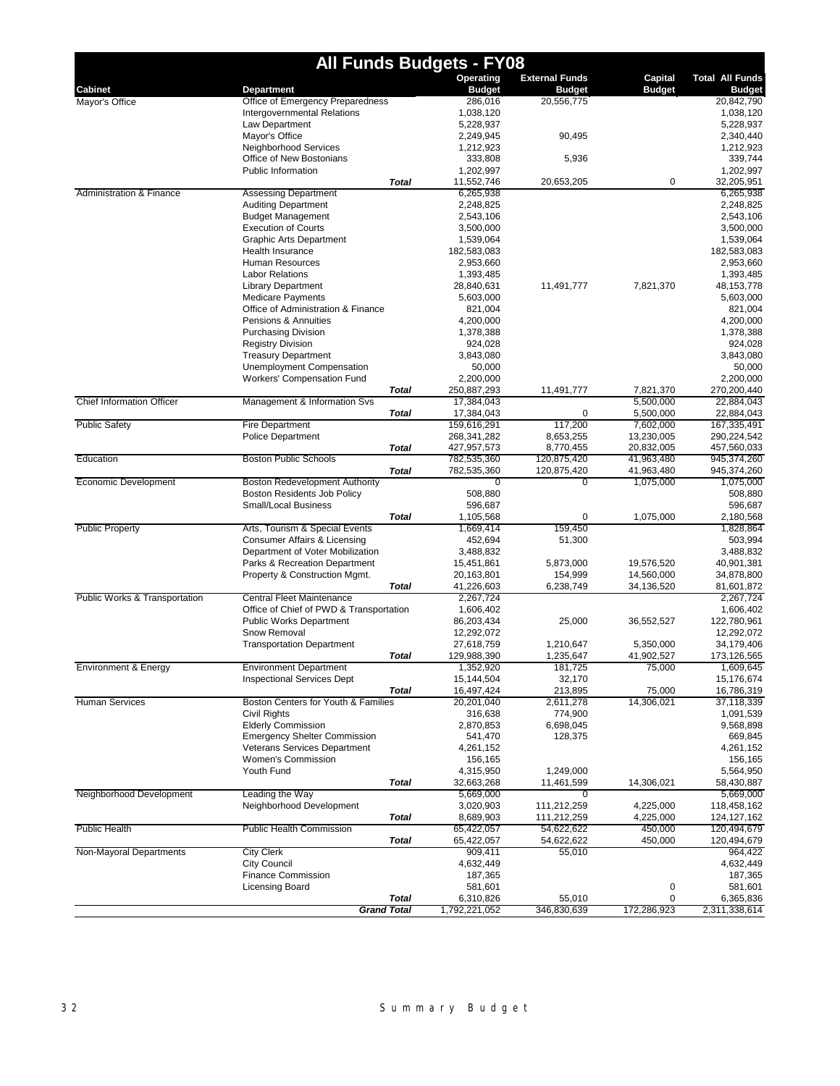|                                  | <b>All Funds Budgets - FY08</b>                                        |                            |                       |                         |                            |
|----------------------------------|------------------------------------------------------------------------|----------------------------|-----------------------|-------------------------|----------------------------|
|                                  |                                                                        | Operating                  | <b>External Funds</b> | Capital                 | <b>Total All Funds</b>     |
| Cabinet                          | <b>Department</b>                                                      | <b>Budget</b>              | <b>Budget</b>         | <b>Budget</b>           | <b>Budget</b>              |
| Mayor's Office                   | Office of Emergency Preparedness<br><b>Intergovernmental Relations</b> | 286,016<br>1,038,120       | 20,556,775            |                         | 20,842,790<br>1,038,120    |
|                                  | Law Department                                                         | 5,228,937                  |                       |                         | 5,228,937                  |
|                                  | Mayor's Office                                                         | 2,249,945                  | 90,495                |                         | 2,340,440                  |
|                                  | Neighborhood Services                                                  | 1,212,923                  |                       |                         | 1,212,923                  |
|                                  | Office of New Bostonians                                               | 333,808                    | 5,936                 |                         | 339,744                    |
|                                  | Public Information                                                     | 1,202,997                  |                       |                         | 1,202,997                  |
|                                  | <b>Total</b>                                                           | 11,552,746                 | 20,653,205            | 0                       | 32,205,951                 |
| Administration & Finance         | <b>Assessing Department</b>                                            | 6,265,938                  |                       |                         | 6,265,938                  |
|                                  | <b>Auditing Department</b>                                             | 2,248,825                  |                       |                         | 2,248,825                  |
|                                  | <b>Budget Management</b>                                               | 2,543,106                  |                       |                         | 2,543,106                  |
|                                  | <b>Execution of Courts</b>                                             | 3,500,000                  |                       |                         | 3,500,000                  |
|                                  | <b>Graphic Arts Department</b><br>Health Insurance                     | 1,539,064<br>182,583,083   |                       |                         | 1,539,064<br>182,583,083   |
|                                  | Human Resources                                                        | 2,953,660                  |                       |                         | 2,953,660                  |
|                                  | <b>Labor Relations</b>                                                 | 1,393,485                  |                       |                         | 1,393,485                  |
|                                  | <b>Library Department</b>                                              | 28,840,631                 | 11,491,777            | 7,821,370               | 48,153,778                 |
|                                  | <b>Medicare Payments</b>                                               | 5,603,000                  |                       |                         | 5,603,000                  |
|                                  | Office of Administration & Finance                                     | 821,004                    |                       |                         | 821,004                    |
|                                  | Pensions & Annuities                                                   | 4,200,000                  |                       |                         | 4,200,000                  |
|                                  | <b>Purchasing Division</b>                                             | 1,378,388                  |                       |                         | 1,378,388                  |
|                                  | <b>Registry Division</b>                                               | 924.028                    |                       |                         | 924,028                    |
|                                  | <b>Treasury Department</b>                                             | 3,843,080                  |                       |                         | 3,843,080                  |
|                                  | <b>Unemployment Compensation</b>                                       | 50,000                     |                       |                         | 50,000                     |
|                                  | Workers' Compensation Fund                                             | 2,200,000                  |                       |                         | 2,200,000                  |
|                                  | Total                                                                  | 250,887,293                | 11,491,777            | 7,821,370               | 270,200,440                |
| <b>Chief Information Officer</b> | Management & Information Svs                                           | 17,384,043                 |                       | 5,500,000               | 22,884,043                 |
|                                  | <b>Total</b><br><b>Fire Department</b>                                 | 17,384,043                 | 0                     | 5,500,000               | 22,884,043                 |
| <b>Public Safety</b>             |                                                                        | 159,616,291<br>268,341,282 | 117,200<br>8,653,255  | 7,602,000<br>13,230,005 | 167,335,491<br>290.224.542 |
|                                  | <b>Police Department</b><br><b>Total</b>                               | 427,957,573                | 8,770,455             | 20,832,005              | 457,560,033                |
| Education                        | <b>Boston Public Schools</b>                                           | 782,535,360                | 120,875,420           | 41,963,480              | 945, 374, 260              |
|                                  | <b>Total</b>                                                           | 782,535,360                | 120,875,420           | 41,963,480              | 945,374,260                |
| Economic Development             | Boston Redevelopment Authority                                         | $\overline{0}$             | $\overline{0}$        | 1,075,000               | 1,075,000                  |
|                                  | Boston Residents Job Policy                                            | 508,880                    |                       |                         | 508,880                    |
|                                  | Small/Local Business                                                   | 596,687                    |                       |                         | 596,687                    |
|                                  | Total                                                                  | 1,105,568                  | 0                     | 1,075,000               | 2,180,568                  |
| <b>Public Property</b>           | Arts, Tourism & Special Events                                         | 1,669,414                  | 159,450               |                         | 1,828,864                  |
|                                  | Consumer Affairs & Licensing                                           | 452,694                    | 51,300                |                         | 503,994                    |
|                                  | Department of Voter Mobilization                                       | 3,488,832                  |                       |                         | 3,488,832                  |
|                                  | Parks & Recreation Department                                          | 15,451,861                 | 5,873,000             | 19,576,520              | 40,901,381                 |
|                                  | Property & Construction Mgmt.                                          | 20,163,801                 | 154,999               | 14,560,000              | 34,878,800                 |
| Public Works & Transportation    | Total<br>Central Fleet Maintenance                                     | 41,226,603<br>2,267,724    | 6,238,749             | 34,136,520              | 81,601,872<br>2,267,724    |
|                                  | Office of Chief of PWD & Transportation                                | 1,606,402                  |                       |                         | 1,606,402                  |
|                                  | <b>Public Works Department</b>                                         | 86,203,434                 | 25,000                | 36,552,527              | 122,780,961                |
|                                  | Snow Removal                                                           | 12,292,072                 |                       |                         | 12,292,072                 |
|                                  | <b>Transportation Department</b>                                       | 27,618,759                 | 1,210,647             | 5,350,000               | 34,179,406                 |
|                                  | <b>Total</b>                                                           | 129,988,390                | 1,235,647             | 41,902,527              | 173,126,565                |
| Environment & Energy             | <b>Environment Department</b>                                          | 1,352,920                  | 181,725               | 75,000                  | 1,609,645                  |
|                                  | <b>Inspectional Services Dept</b>                                      | 15,144,504                 | 32,170                |                         | 15,176,674                 |
|                                  | <b>Total</b>                                                           | 16,497,424                 | 213,895               | 75,000                  | 16,786,319                 |
| <b>Human Services</b>            | Boston Centers for Youth & Families                                    | 20,201,040                 | 2,611,278             | 14,306,021              | 37,118,339                 |
|                                  | Civil Rights<br><b>Elderly Commission</b>                              | 316,638                    | 774,900               |                         | 1,091,539                  |
|                                  | <b>Emergency Shelter Commission</b>                                    | 2,870,853<br>541,470       | 6,698,045<br>128,375  |                         | 9,568,898<br>669,845       |
|                                  | Veterans Services Department                                           | 4,261,152                  |                       |                         | 4,261,152                  |
|                                  | Women's Commission                                                     | 156,165                    |                       |                         | 156,165                    |
|                                  | Youth Fund                                                             | 4,315,950                  | 1,249,000             |                         | 5,564,950                  |
|                                  | <b>Total</b>                                                           | 32,663,268                 | 11,461,599            | 14,306,021              | 58,430,887                 |
| Neighborhood Development         | Leading the Way                                                        | 5,669,000                  | $\Omega$              |                         | 5,669,000                  |
|                                  | Neighborhood Development                                               | 3,020,903                  | 111,212,259           | 4,225,000               | 118,458,162                |
|                                  | <b>Total</b>                                                           | 8,689,903                  | 111,212,259           | 4,225,000               | 124, 127, 162              |
| <b>Public Health</b>             | <b>Public Health Commission</b>                                        | 65,422,057                 | 54,622,622            | 450,000                 | 120,494,679                |
|                                  | Total                                                                  | 65,422,057                 | 54,622,622            | 450,000                 | 120,494,679                |
| Non-Mayoral Departments          | <b>City Clerk</b>                                                      | 909,411                    | 55,010                |                         | 964,422                    |
|                                  | <b>City Council</b>                                                    | 4,632,449                  |                       |                         | 4,632,449                  |
|                                  | Finance Commission                                                     | 187,365                    |                       |                         | 187,365                    |
|                                  | Licensing Board                                                        | 581,601                    |                       | 0                       | 581,601                    |
|                                  | <b>Total</b><br><b>Grand Total</b>                                     | 6,310,826<br>1,792,221,052 | 55,010<br>346,830,639 | 0<br>172,286,923        | 6,365,836<br>2,311,338,614 |
|                                  |                                                                        |                            |                       |                         |                            |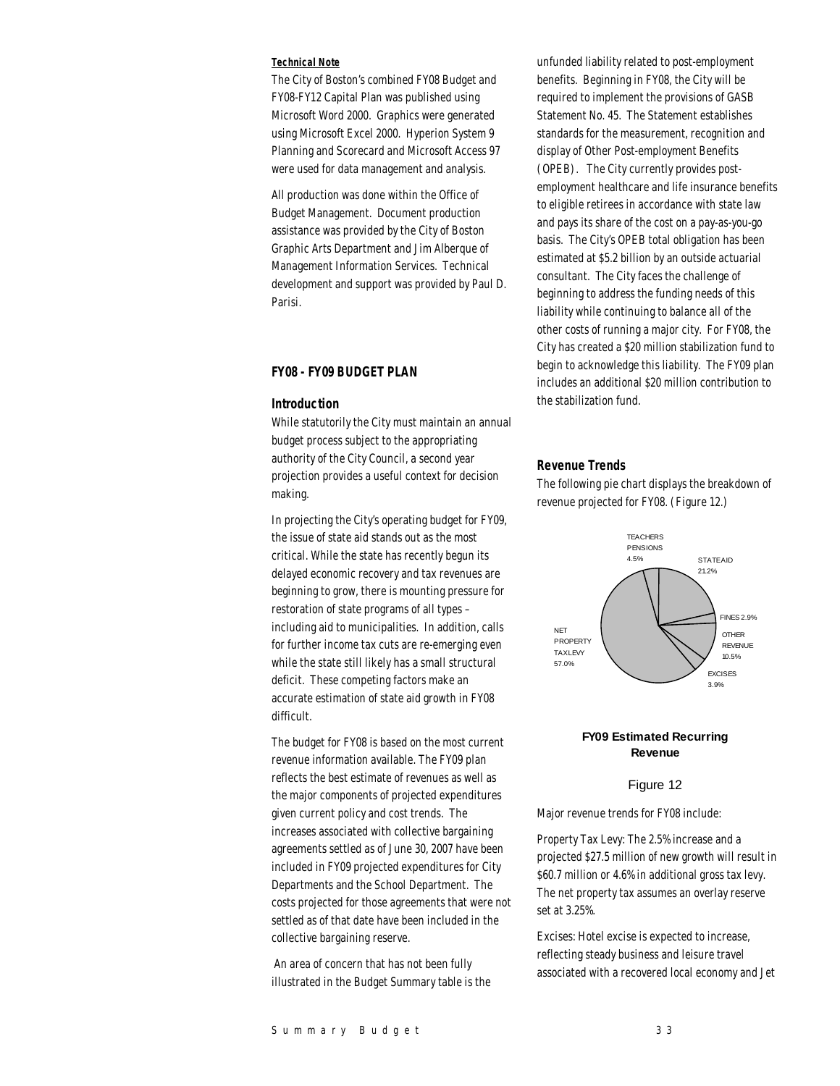#### *Technical Note*

The City of Boston's combined FY08 Budget and FY08-FY12 Capital Plan was published using Microsoft Word 2000. Graphics were generated using Microsoft Excel 2000. Hyperion System 9 Planning and Scorecard and Microsoft Access 97 were used for data management and analysis.

All production was done within the Office of Budget Management. Document production assistance was provided by the City of Boston Graphic Arts Department and Jim Alberque of Management Information Services. Technical development and support was provided by Paul D. Parisi.

## *FY08 - FY09 BUDGET PLAN*

#### *Introduction*

While statutorily the City must maintain an annual budget process subject to the appropriating authority of the City Council, a second year projection provides a useful context for decision making.

In projecting the City's operating budget for FY09, the issue of state aid stands out as the most critical. While the state has recently begun its delayed economic recovery and tax revenues are beginning to grow, there is mounting pressure for restoration of state programs of all types – including aid to municipalities. In addition, calls for further income tax cuts are re-emerging even while the state still likely has a small structural deficit. These competing factors make an accurate estimation of state aid growth in FY08 difficult.

The budget for FY08 is based on the most current revenue information available. The FY09 plan reflects the best estimate of revenues as well as the major components of projected expenditures given current policy and cost trends. The increases associated with collective bargaining agreements settled as of June 30, 2007 have been included in FY09 projected expenditures for City Departments and the School Department. The costs projected for those agreements that were not settled as of that date have been included in the collective bargaining reserve.

 An area of concern that has not been fully illustrated in the Budget Summary table is the

unfunded liability related to post-employment benefits. Beginning in FY08, the City will be required to implement the provisions of GASB Statement No. 45. The Statement establishes standards for the measurement, recognition and display of Other Post-employment Benefits (OPEB). The City currently provides postemployment healthcare and life insurance benefits to eligible retirees in accordance with state law and pays its share of the cost on a pay-as-you-go basis. The City's OPEB total obligation has been estimated at \$5.2 billion by an outside actuarial consultant. The City faces the challenge of beginning to address the funding needs of this liability while continuing to balance all of the other costs of running a major city. For FY08, the City has created a \$20 million stabilization fund to begin to acknowledge this liability. The FY09 plan includes an additional \$20 million contribution to the stabilization fund.

### *Revenue Trends*

The following pie chart displays the breakdown of revenue projected for FY08. (Figure 12.)



## **FY09 Estimated Recurring Revenue**

#### Figure 12

Major revenue trends for FY08 include:

Property Tax Levy: The 2.5% increase and a projected \$27.5 million of new growth will result in \$60.7 million or 4.6% in additional gross tax levy. The net property tax assumes an overlay reserve set at 3.25%.

Excises: Hotel excise is expected to increase, reflecting steady business and leisure travel associated with a recovered local economy and Jet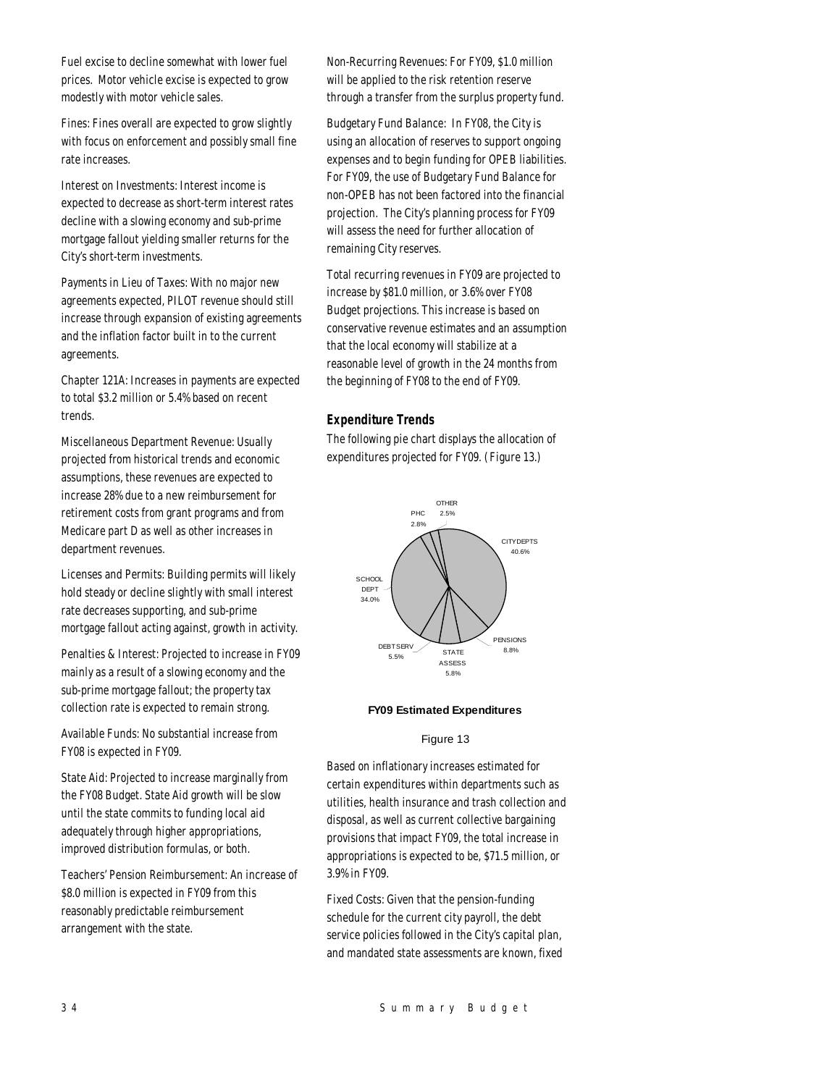Fuel excise to decline somewhat with lower fuel prices. Motor vehicle excise is expected to grow modestly with motor vehicle sales.

Fines: Fines overall are expected to grow slightly with focus on enforcement and possibly small fine rate increases.

Interest on Investments: Interest income is expected to decrease as short-term interest rates decline with a slowing economy and sub-prime mortgage fallout yielding smaller returns for the City's short-term investments.

Payments in Lieu of Taxes: With no major new agreements expected, PILOT revenue should still increase through expansion of existing agreements and the inflation factor built in to the current agreements.

Chapter 121A: Increases in payments are expected to total \$3.2 million or 5.4% based on recent trends.

Miscellaneous Department Revenue: Usually projected from historical trends and economic assumptions, these revenues are expected to increase 28% due to a new reimbursement for retirement costs from grant programs and from Medicare part D as well as other increases in department revenues.

Licenses and Permits: Building permits will likely hold steady or decline slightly with small interest rate decreases supporting, and sub-prime mortgage fallout acting against, growth in activity.

Penalties & Interest: Projected to increase in FY09 mainly as a result of a slowing economy and the sub-prime mortgage fallout; the property tax collection rate is expected to remain strong.

Available Funds: No substantial increase from FY08 is expected in FY09.

State Aid: Projected to increase marginally from the FY08 Budget. State Aid growth will be slow until the state commits to funding local aid adequately through higher appropriations, improved distribution formulas, or both.

Teachers' Pension Reimbursement: An increase of \$8.0 million is expected in FY09 from this reasonably predictable reimbursement arrangement with the state.

Non-Recurring Revenues: For FY09, \$1.0 million will be applied to the risk retention reserve through a transfer from the surplus property fund.

Budgetary Fund Balance: In FY08, the City is using an allocation of reserves to support ongoing expenses and to begin funding for OPEB liabilities. For FY09, the use of Budgetary Fund Balance for non-OPEB has not been factored into the financial projection. The City's planning process for FY09 will assess the need for further allocation of remaining City reserves.

Total recurring revenues in FY09 are projected to increase by \$81.0 million, or 3.6% over FY08 Budget projections. This increase is based on conservative revenue estimates and an assumption that the local economy will stabilize at a reasonable level of growth in the 24 months from the beginning of FY08 to the end of FY09.

## *Expenditure Trends*

The following pie chart displays the allocation of expenditures projected for FY09. (Figure 13.)



## **FY09 Estimated Expenditures**

#### Figure 13

Based on inflationary increases estimated for certain expenditures within departments such as utilities, health insurance and trash collection and disposal, as well as current collective bargaining provisions that impact FY09, the total increase in appropriations is expected to be, \$71.5 million, or 3.9% in FY09.

Fixed Costs: Given that the pension-funding schedule for the current city payroll, the debt service policies followed in the City's capital plan, and mandated state assessments are known, fixed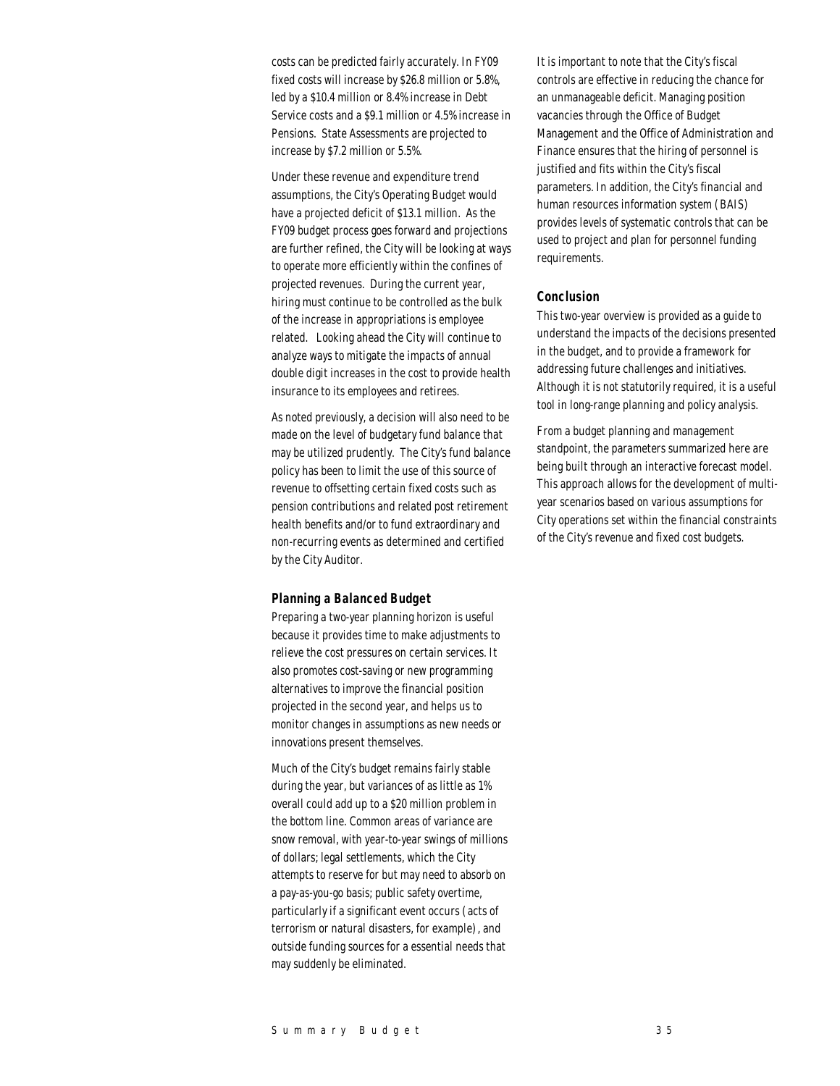costs can be predicted fairly accurately. In FY09 fixed costs will increase by \$26.8 million or 5.8%, led by a \$10.4 million or 8.4% increase in Debt Service costs and a \$9.1 million or 4.5% increase in Pensions. State Assessments are projected to increase by \$7.2 million or 5.5%.

Under these revenue and expenditure trend assumptions, the City's Operating Budget would have a projected deficit of \$13.1 million. As the FY09 budget process goes forward and projections are further refined, the City will be looking at ways to operate more efficiently within the confines of projected revenues. During the current year, hiring must continue to be controlled as the bulk of the increase in appropriations is employee related. Looking ahead the City will continue to analyze ways to mitigate the impacts of annual double digit increases in the cost to provide health insurance to its employees and retirees.

As noted previously, a decision will also need to be made on the level of budgetary fund balance that may be utilized prudently. The City's fund balance policy has been to limit the use of this source of revenue to offsetting certain fixed costs such as pension contributions and related post retirement health benefits and/or to fund extraordinary and non-recurring events as determined and certified by the City Auditor.

#### *Planning a Balanced Budget*

Preparing a two-year planning horizon is useful because it provides time to make adjustments to relieve the cost pressures on certain services. It also promotes cost-saving or new programming alternatives to improve the financial position projected in the second year, and helps us to monitor changes in assumptions as new needs or innovations present themselves.

Much of the City's budget remains fairly stable during the year, but variances of as little as 1% overall could add up to a \$20 million problem in the bottom line. Common areas of variance are snow removal, with year-to-year swings of millions of dollars; legal settlements, which the City attempts to reserve for but may need to absorb on a pay-as-you-go basis; public safety overtime, particularly if a significant event occurs (acts of terrorism or natural disasters, for example), and outside funding sources for a essential needs that may suddenly be eliminated.

It is important to note that the City's fiscal controls are effective in reducing the chance for an unmanageable deficit. Managing position vacancies through the Office of Budget Management and the Office of Administration and Finance ensures that the hiring of personnel is justified and fits within the City's fiscal parameters. In addition, the City's financial and human resources information system (BAIS) provides levels of systematic controls that can be used to project and plan for personnel funding requirements.

### *Conclusion*

This two-year overview is provided as a guide to understand the impacts of the decisions presented in the budget, and to provide a framework for addressing future challenges and initiatives. Although it is not statutorily required, it is a useful tool in long-range planning and policy analysis.

From a budget planning and management standpoint, the parameters summarized here are being built through an interactive forecast model. This approach allows for the development of multiyear scenarios based on various assumptions for City operations set within the financial constraints of the City's revenue and fixed cost budgets.